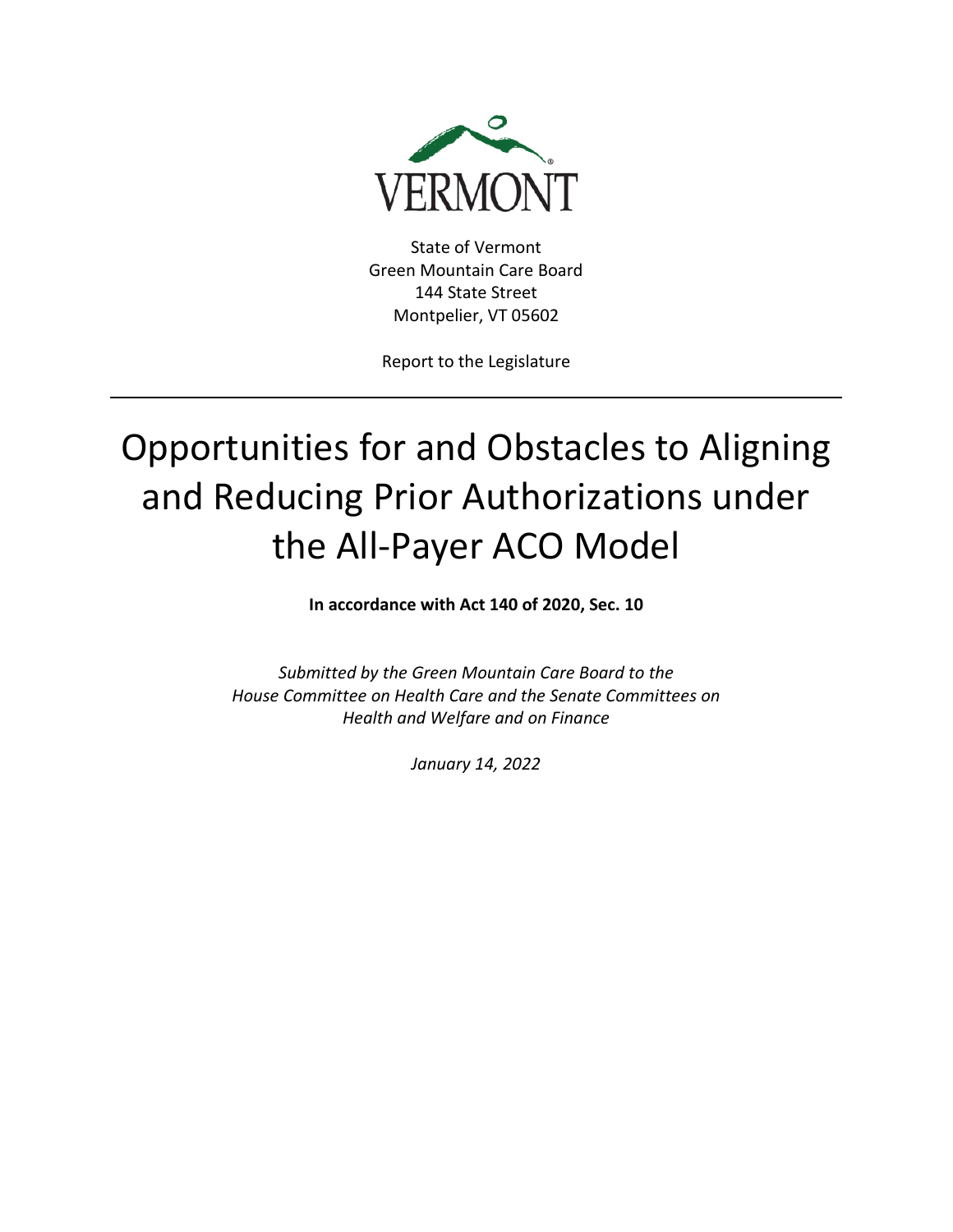

State of Vermont Green Mountain Care Board 144 State Street Montpelier, VT 05602

Report to the Legislature

# Opportunities for and Obstacles to Aligning and Reducing Prior Authorizations under the All-Payer ACO Model

**In accordance with Act 140 of 2020, Sec. 10**

*Submitted by the Green Mountain Care Board to the House Committee on Health Care and the Senate Committees on Health and Welfare and on Finance* 

*January 14, 2022*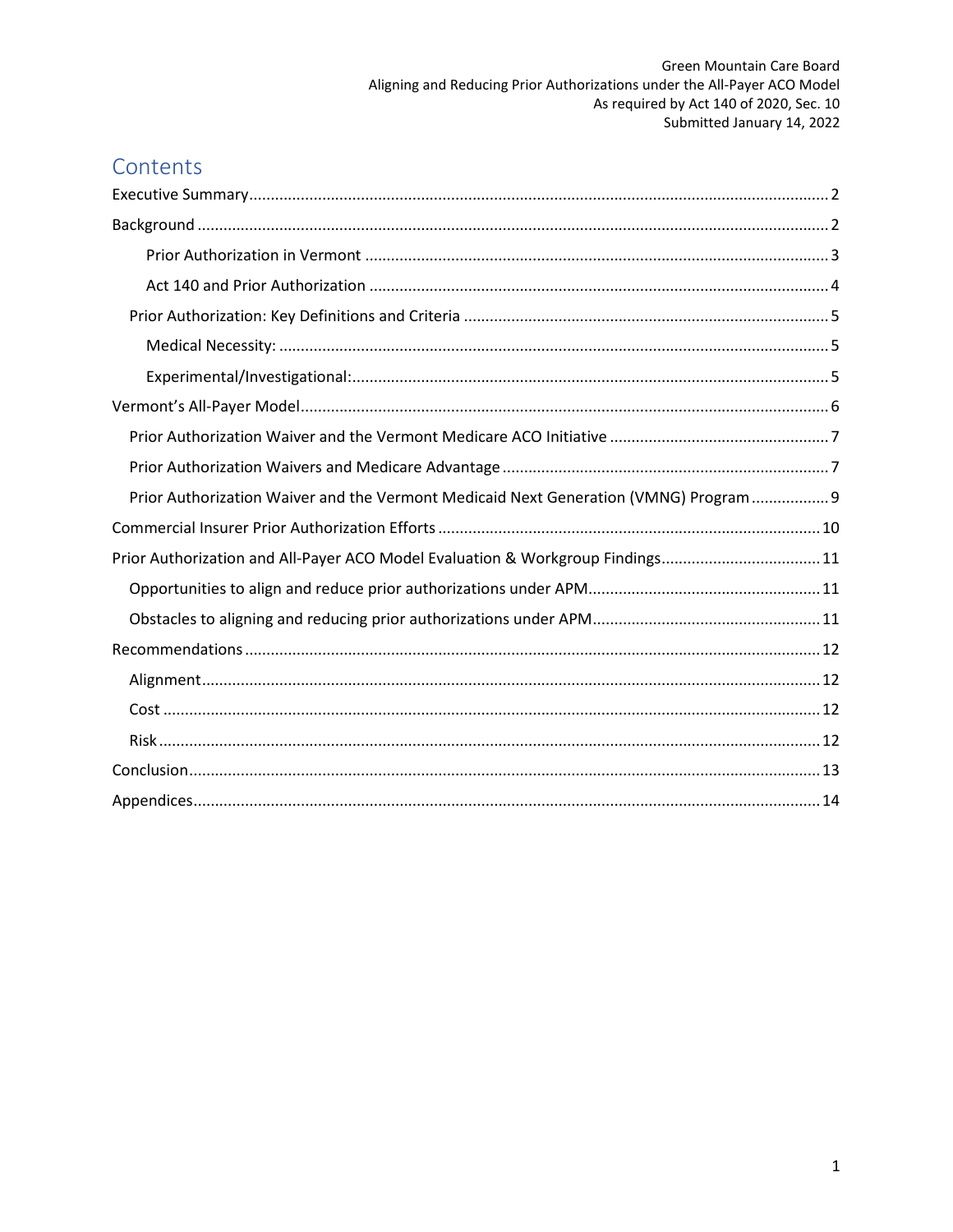# Contents

| Prior Authorization Waiver and the Vermont Medicaid Next Generation (VMNG) Program 9 |
|--------------------------------------------------------------------------------------|
|                                                                                      |
| Prior Authorization and All-Payer ACO Model Evaluation & Workgroup Findings11        |
|                                                                                      |
|                                                                                      |
|                                                                                      |
|                                                                                      |
|                                                                                      |
|                                                                                      |
|                                                                                      |
|                                                                                      |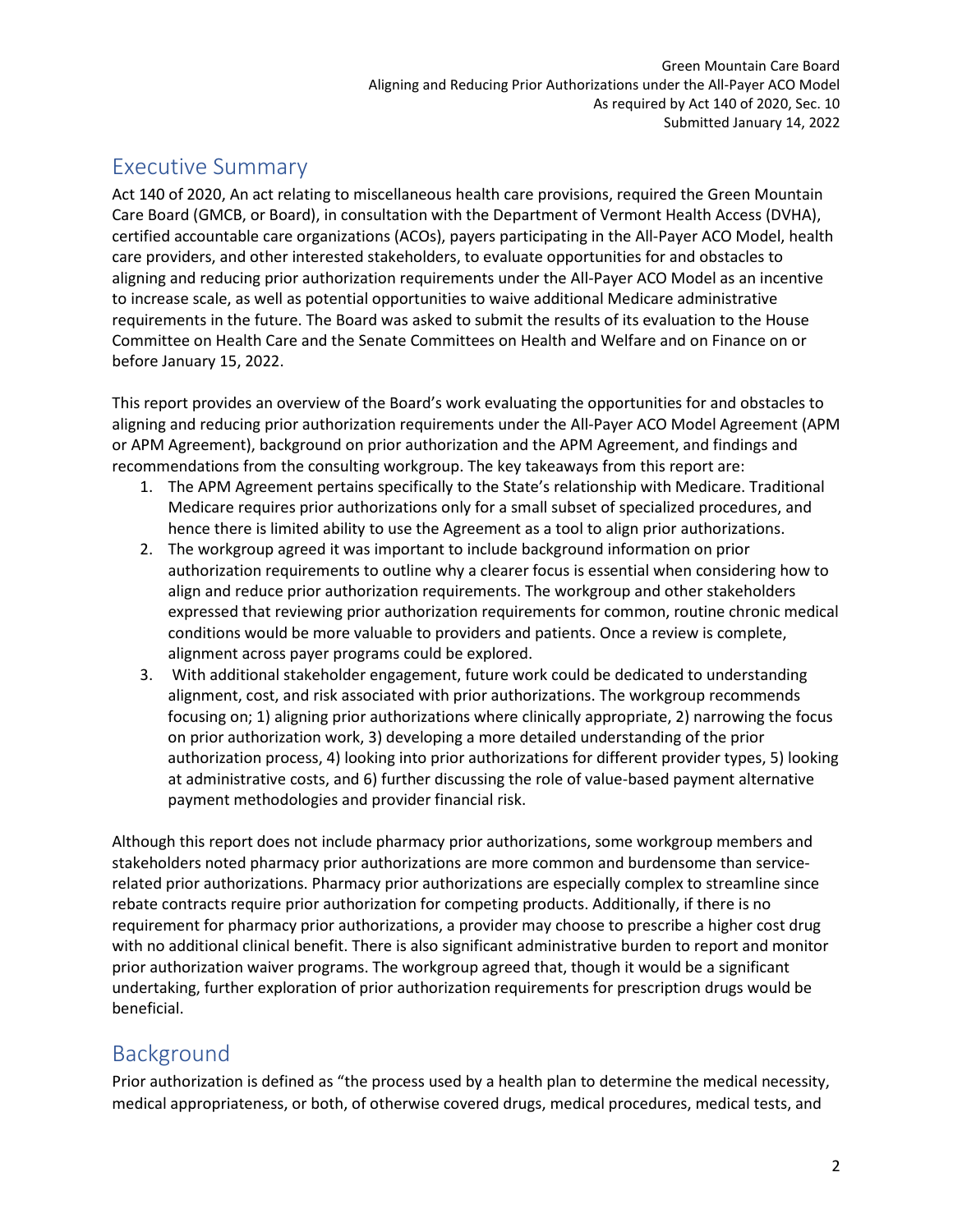# <span id="page-2-0"></span>Executive Summary

Act 140 of 2020, An act relating to miscellaneous health care provisions, required the Green Mountain Care Board (GMCB, or Board), in consultation with the Department of Vermont Health Access (DVHA), certified accountable care organizations (ACOs), payers participating in the All-Payer ACO Model, health care providers, and other interested stakeholders, to evaluate opportunities for and obstacles to aligning and reducing prior authorization requirements under the All-Payer ACO Model as an incentive to increase scale, as well as potential opportunities to waive additional Medicare administrative requirements in the future. The Board was asked to submit the results of its evaluation to the House Committee on Health Care and the Senate Committees on Health and Welfare and on Finance on or before January 15, 2022.

This report provides an overview of the Board's work evaluating the opportunities for and obstacles to aligning and reducing prior authorization requirements under the All-Payer ACO Model Agreement (APM or APM Agreement), background on prior authorization and the APM Agreement, and findings and recommendations from the consulting workgroup. The key takeaways from this report are:

- 1. The APM Agreement pertains specifically to the State's relationship with Medicare. Traditional Medicare requires prior authorizations only for a small subset of specialized procedures, and hence there is limited ability to use the Agreement as a tool to align prior authorizations.
- 2. The workgroup agreed it was important to include background information on prior authorization requirements to outline why a clearer focus is essential when considering how to align and reduce prior authorization requirements. The workgroup and other stakeholders expressed that reviewing prior authorization requirements for common, routine chronic medical conditions would be more valuable to providers and patients. Once a review is complete, alignment across payer programs could be explored.
- 3. With additional stakeholder engagement, future work could be dedicated to understanding alignment, cost, and risk associated with prior authorizations. The workgroup recommends focusing on; 1) aligning prior authorizations where clinically appropriate, 2) narrowing the focus on prior authorization work, 3) developing a more detailed understanding of the prior authorization process, 4) looking into prior authorizations for different provider types, 5) looking at administrative costs, and 6) further discussing the role of value-based payment alternative payment methodologies and provider financial risk.

Although this report does not include pharmacy prior authorizations, some workgroup members and stakeholders noted pharmacy prior authorizations are more common and burdensome than servicerelated prior authorizations. Pharmacy prior authorizations are especially complex to streamline since rebate contracts require prior authorization for competing products. Additionally, if there is no requirement for pharmacy prior authorizations, a provider may choose to prescribe a higher cost drug with no additional clinical benefit. There is also significant administrative burden to report and monitor prior authorization waiver programs. The workgroup agreed that, though it would be a significant undertaking, further exploration of prior authorization requirements for prescription drugs would be beneficial.

# <span id="page-2-1"></span>Background

Prior authorization is defined as "the process used by a health plan to determine the medical necessity, medical appropriateness, or both, of otherwise covered drugs, medical procedures, medical tests, and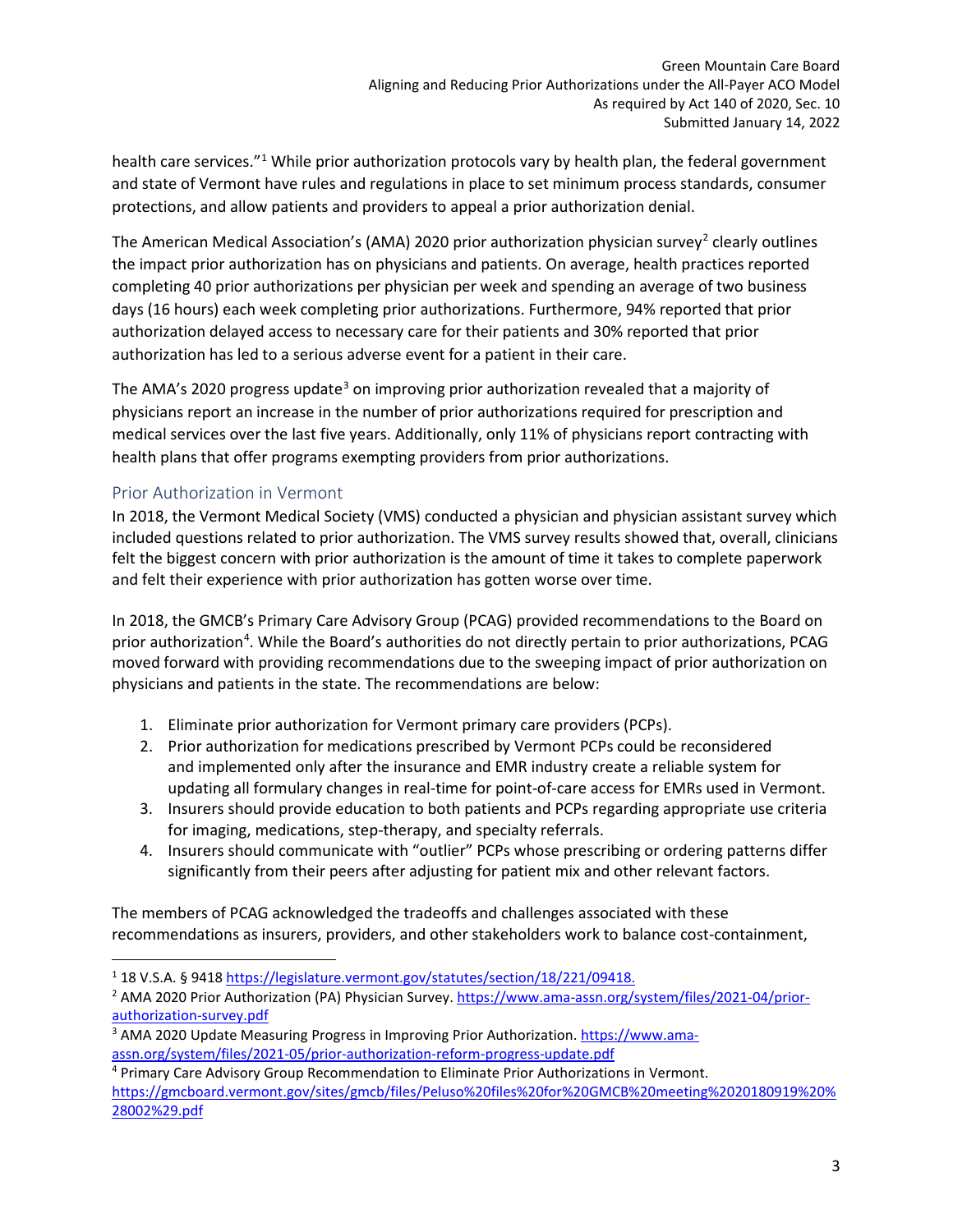health care services."<sup>[1](#page-3-1)</sup> While prior authorization protocols vary by health plan, the federal government and state of Vermont have rules and regulations in place to set minimum process standards, consumer protections, and allow patients and providers to appeal a prior authorization denial.

The American Medical Association's (AMA) [2](#page-3-2)020 prior authorization physician survey<sup>2</sup> clearly outlines the impact prior authorization has on physicians and patients. On average, health practices reported completing 40 prior authorizations per physician per week and spending an average of two business days (16 hours) each week completing prior authorizations. Furthermore, 94% reported that prior authorization delayed access to necessary care for their patients and 30% reported that prior authorization has led to a serious adverse event for a patient in their care.

The AMA's 2020 progress update<sup>[3](#page-3-3)</sup> on improving prior authorization revealed that a majority of physicians report an increase in the number of prior authorizations required for prescription and medical services over the last five years. Additionally, only 11% of physicians report contracting with health plans that offer programs exempting providers from prior authorizations.

### <span id="page-3-0"></span>Prior Authorization in Vermont

In 2018, the Vermont Medical Society (VMS) conducted a physician and physician assistant survey which included questions related to prior authorization. The VMS survey results showed that, overall, clinicians felt the biggest concern with prior authorization is the amount of time it takes to complete paperwork and felt their experience with prior authorization has gotten worse over time.

In 2018, the GMCB's Primary Care Advisory Group (PCAG) provided recommendations to the Board on prior authorization<sup>[4](#page-3-4)</sup>. While the Board's authorities do not directly pertain to prior authorizations, PCAG moved forward with providing recommendations due to the sweeping impact of prior authorization on physicians and patients in the state. The recommendations are below:

- 1. Eliminate prior authorization for Vermont primary care providers (PCPs).
- 2. Prior authorization for medications prescribed by Vermont PCPs could be reconsidered and implemented only after the insurance and EMR industry create a reliable system for updating all formulary changes in real-time for point-of-care access for EMRs used in Vermont.
- 3. Insurers should provide education to both patients and PCPs regarding appropriate use criteria for imaging, medications, step-therapy, and specialty referrals.
- 4. Insurers should communicate with "outlier" PCPs whose prescribing or ordering patterns differ significantly from their peers after adjusting for patient mix and other relevant factors.

The members of PCAG acknowledged the tradeoffs and challenges associated with these recommendations as insurers, providers, and other stakeholders work to balance cost-containment,

<span id="page-3-2"></span><span id="page-3-1"></span><sup>&</sup>lt;sup>1</sup> 18 V.S.A. § 9418 [https://legislature.vermont.gov/statutes/section/18/221/09418.](https://legislature.vermont.gov/statutes/section/18/221/09418)<br><sup>2</sup> AMA 2020 Prior Authorization (PA) Physician Survey. [https://www.ama-assn.org/system/files/2021-04/prior](https://www.ama-assn.org/system/files/2021-04/prior-authorization-survey.pdf)[authorization-survey.pdf](https://www.ama-assn.org/system/files/2021-04/prior-authorization-survey.pdf)

<span id="page-3-3"></span><sup>3</sup> AMA 2020 Update Measuring Progress in Improving Prior Authorization. [https://www.ama](https://www.ama-assn.org/system/files/2021-05/prior-authorization-reform-progress-update.pdf)[assn.org/system/files/2021-05/prior-authorization-reform-progress-update.pdf](https://www.ama-assn.org/system/files/2021-05/prior-authorization-reform-progress-update.pdf)

<span id="page-3-4"></span><sup>4</sup> Primary Care Advisory Group Recommendation to Eliminate Prior Authorizations in Vermont. [https://gmcboard.vermont.gov/sites/gmcb/files/Peluso%20files%20for%20GMCB%20meeting%2020180919%20%](https://gmcboard.vermont.gov/sites/gmcb/files/Peluso%20files%20for%20GMCB%20meeting%2020180919%20%28002%29.pdf) [28002%29.pdf](https://gmcboard.vermont.gov/sites/gmcb/files/Peluso%20files%20for%20GMCB%20meeting%2020180919%20%28002%29.pdf)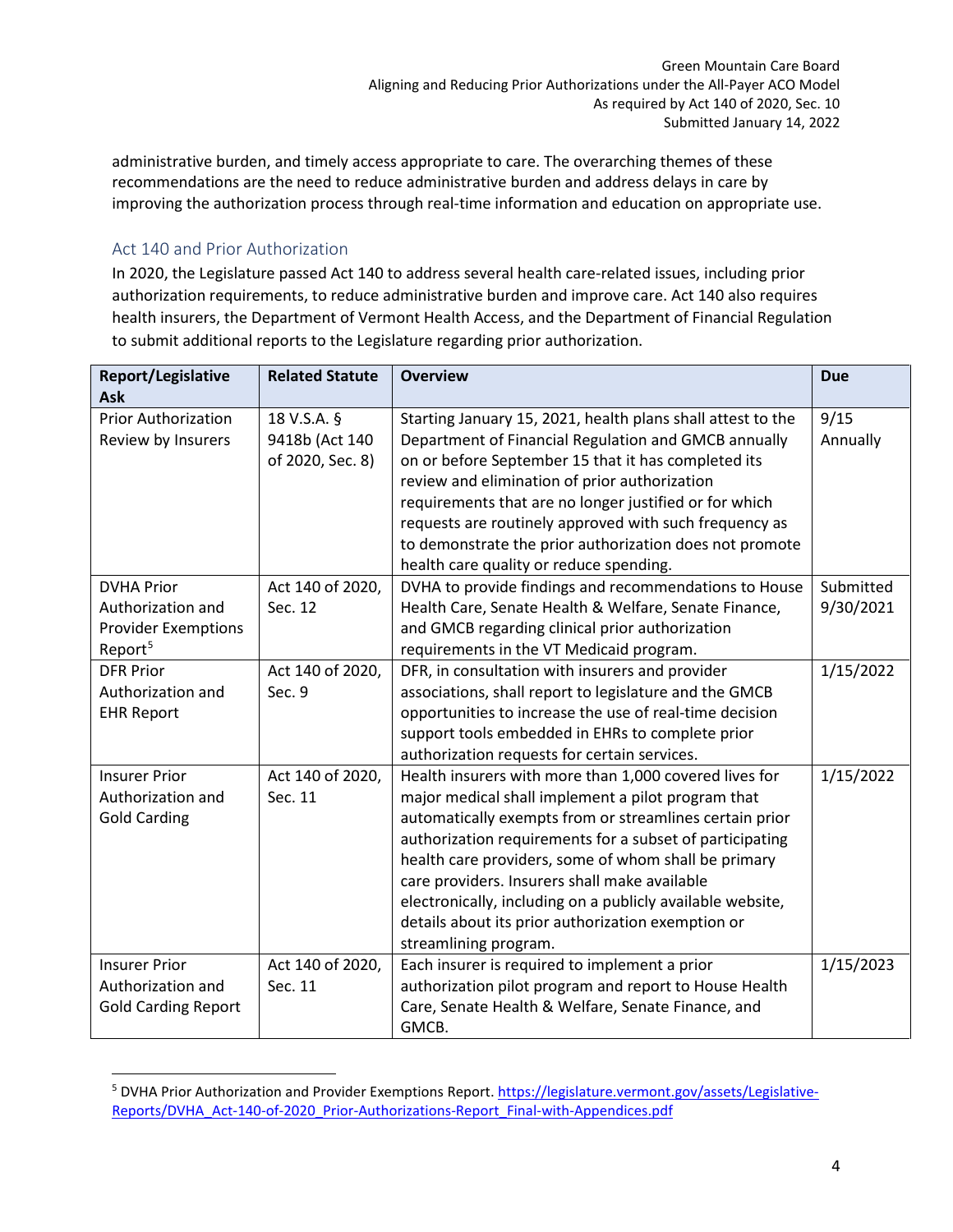administrative burden, and timely access appropriate to care. The overarching themes of these recommendations are the need to reduce administrative burden and address delays in care by improving the authorization process through real-time information and education on appropriate use.

### <span id="page-4-0"></span>Act 140 and Prior Authorization

In 2020, the Legislature passed Act 140 to address several health care-related issues, including prior authorization requirements, to reduce administrative burden and improve care. Act 140 also requires health insurers, the Department of Vermont Health Access, and the Department of Financial Regulation to submit additional reports to the Legislature regarding prior authorization.

| <b>Report/Legislative</b>  | <b>Related Statute</b> | <b>Overview</b>                                             | <b>Due</b> |
|----------------------------|------------------------|-------------------------------------------------------------|------------|
| Ask                        |                        |                                                             |            |
| <b>Prior Authorization</b> | 18 V.S.A. §            | Starting January 15, 2021, health plans shall attest to the | 9/15       |
| Review by Insurers         | 9418b (Act 140         | Department of Financial Regulation and GMCB annually        | Annually   |
|                            | of 2020, Sec. 8)       | on or before September 15 that it has completed its         |            |
|                            |                        | review and elimination of prior authorization               |            |
|                            |                        | requirements that are no longer justified or for which      |            |
|                            |                        | requests are routinely approved with such frequency as      |            |
|                            |                        | to demonstrate the prior authorization does not promote     |            |
|                            |                        | health care quality or reduce spending.                     |            |
| <b>DVHA Prior</b>          | Act 140 of 2020,       | DVHA to provide findings and recommendations to House       | Submitted  |
| Authorization and          | Sec. 12                | Health Care, Senate Health & Welfare, Senate Finance,       | 9/30/2021  |
| <b>Provider Exemptions</b> |                        | and GMCB regarding clinical prior authorization             |            |
| Report <sup>5</sup>        |                        | requirements in the VT Medicaid program.                    |            |
| <b>DFR Prior</b>           | Act 140 of 2020,       | DFR, in consultation with insurers and provider             | 1/15/2022  |
| Authorization and          | Sec. 9                 | associations, shall report to legislature and the GMCB      |            |
| <b>EHR Report</b>          |                        | opportunities to increase the use of real-time decision     |            |
|                            |                        | support tools embedded in EHRs to complete prior            |            |
|                            |                        | authorization requests for certain services.                |            |
| <b>Insurer Prior</b>       | Act 140 of 2020,       | Health insurers with more than 1,000 covered lives for      | 1/15/2022  |
| Authorization and          | Sec. 11                | major medical shall implement a pilot program that          |            |
| <b>Gold Carding</b>        |                        | automatically exempts from or streamlines certain prior     |            |
|                            |                        | authorization requirements for a subset of participating    |            |
|                            |                        | health care providers, some of whom shall be primary        |            |
|                            |                        | care providers. Insurers shall make available               |            |
|                            |                        | electronically, including on a publicly available website,  |            |
|                            |                        | details about its prior authorization exemption or          |            |
|                            |                        | streamlining program.                                       |            |
| <b>Insurer Prior</b>       | Act 140 of 2020,       | Each insurer is required to implement a prior               | 1/15/2023  |
| Authorization and          | Sec. 11                | authorization pilot program and report to House Health      |            |
| <b>Gold Carding Report</b> |                        | Care, Senate Health & Welfare, Senate Finance, and          |            |
|                            |                        | GMCB.                                                       |            |

<span id="page-4-1"></span><sup>5</sup> DVHA Prior Authorization and Provider Exemptions Report. [https://legislature.vermont.gov/assets/Legislative-](https://legislature.vermont.gov/assets/Legislative-Reports/DVHA_Act-140-of-2020_Prior-Authorizations-Report_Final-with-Appendices.pdf)[Reports/DVHA\\_Act-140-of-2020\\_Prior-Authorizations-Report\\_Final-with-Appendices.pdf](https://legislature.vermont.gov/assets/Legislative-Reports/DVHA_Act-140-of-2020_Prior-Authorizations-Report_Final-with-Appendices.pdf)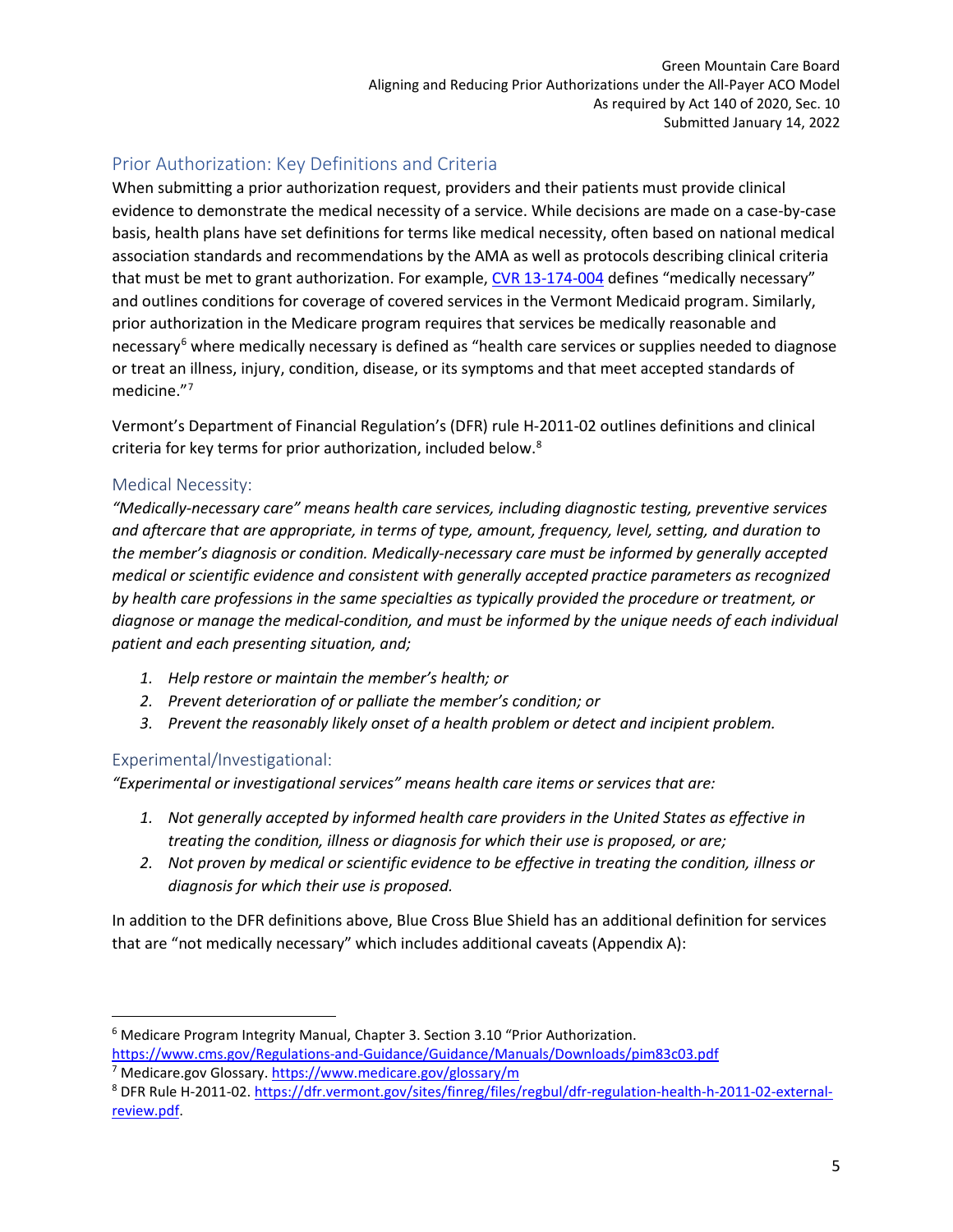# <span id="page-5-0"></span>Prior Authorization: Key Definitions and Criteria

When submitting a prior authorization request, providers and their patients must provide clinical evidence to demonstrate the medical necessity of a service. While decisions are made on a case-by-case basis, health plans have set definitions for terms like medical necessity, often based on national medical association standards and recommendations by the AMA as well as protocols describing clinical criteria that must be met to grant authorization. For example, [CVR 13-174-004](https://advance.lexis.com/api/document/collection/administrative-codes/id/63D6-32X1-JFKM-61D5-00008-00?cite=CVR%2013-174-004&context=1000516) defines "medically necessary" and outlines conditions for coverage of covered services in the Vermont Medicaid program. Similarly, prior authorization in the Medicare program requires that services be medically reasonable and necessary<sup>[6](#page-5-3)</sup> where medically necessary is defined as "health care services or supplies needed to diagnose or treat an illness, injury, condition, disease, or its symptoms and that meet accepted standards of medicine."<sup>[7](#page-5-4)</sup>

Vermont's Department of Financial Regulation's (DFR) rule H-2011-02 outlines definitions and clinical criteria for key terms for prior authorization, included below.<sup>[8](#page-5-5)</sup>

## <span id="page-5-1"></span>Medical Necessity:

*"Medically-necessary care" means health care services, including diagnostic testing, preventive services and aftercare that are appropriate, in terms of type, amount, frequency, level, setting, and duration to the member's diagnosis or condition. Medically-necessary care must be informed by generally accepted medical or scientific evidence and consistent with generally accepted practice parameters as recognized by health care professions in the same specialties as typically provided the procedure or treatment, or diagnose or manage the medical-condition, and must be informed by the unique needs of each individual patient and each presenting situation, and;* 

- *1. Help restore or maintain the member's health; or*
- *2. Prevent deterioration of or palliate the member's condition; or*
- *3. Prevent the reasonably likely onset of a health problem or detect and incipient problem.*

# <span id="page-5-2"></span>Experimental/Investigational:

*"Experimental or investigational services" means health care items or services that are:* 

- *1. Not generally accepted by informed health care providers in the United States as effective in treating the condition, illness or diagnosis for which their use is proposed, or are;*
- *2. Not proven by medical or scientific evidence to be effective in treating the condition, illness or diagnosis for which their use is proposed.*

In addition to the DFR definitions above, Blue Cross Blue Shield has an additional definition for services that are "not medically necessary" which includes additional caveats (Appendix A):

<span id="page-5-3"></span><sup>6</sup> Medicare Program Integrity Manual, Chapter 3. Section 3.10 "Prior Authorization. <https://www.cms.gov/Regulations-and-Guidance/Guidance/Manuals/Downloads/pim83c03.pdf>

<span id="page-5-4"></span><sup>7</sup> Medicare.gov Glossary[. https://www.medicare.gov/glossary/m](https://www.medicare.gov/glossary/m)

<span id="page-5-5"></span><sup>8</sup> DFR Rule H-2011-02. [https://dfr.vermont.gov/sites/finreg/files/regbul/dfr-regulation-health-h-2011-02-external](https://dfr.vermont.gov/sites/finreg/files/regbul/dfr-regulation-health-h-2011-02-external-review.pdf)[review.pdf.](https://dfr.vermont.gov/sites/finreg/files/regbul/dfr-regulation-health-h-2011-02-external-review.pdf)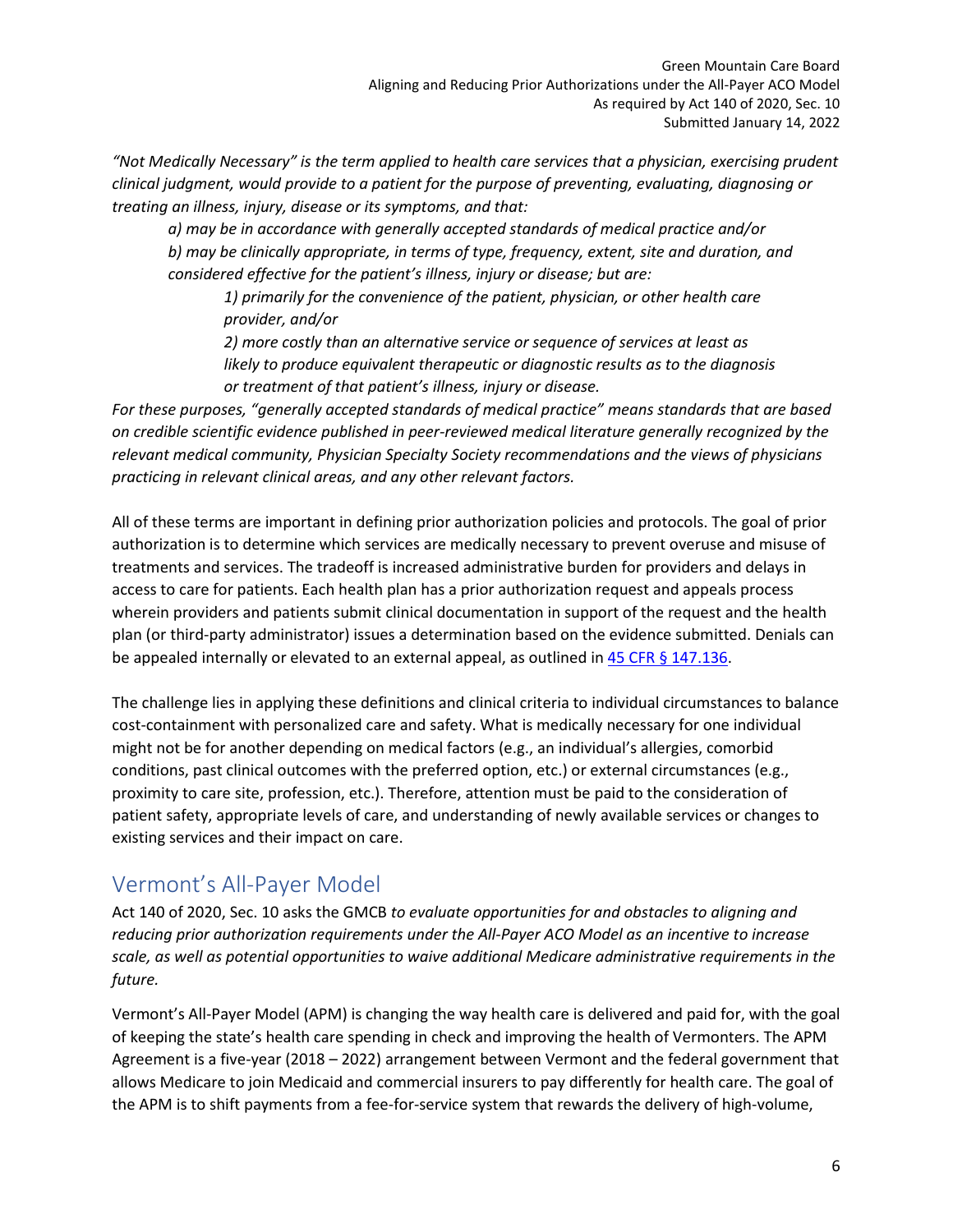*"Not Medically Necessary" is the term applied to health care services that a physician, exercising prudent clinical judgment, would provide to a patient for the purpose of preventing, evaluating, diagnosing or treating an illness, injury, disease or its symptoms, and that:*

*a) may be in accordance with generally accepted standards of medical practice and/or b) may be clinically appropriate, in terms of type, frequency, extent, site and duration, and considered effective for the patient's illness, injury or disease; but are:*

*1) primarily for the convenience of the patient, physician, or other health care provider, and/or*

*2) more costly than an alternative service or sequence of services at least as likely to produce equivalent therapeutic or diagnostic results as to the diagnosis or treatment of that patient's illness, injury or disease.*

*For these purposes, "generally accepted standards of medical practice" means standards that are based on credible scientific evidence published in peer-reviewed medical literature generally recognized by the relevant medical community, Physician Specialty Society recommendations and the views of physicians practicing in relevant clinical areas, and any other relevant factors.*

All of these terms are important in defining prior authorization policies and protocols. The goal of prior authorization is to determine which services are medically necessary to prevent overuse and misuse of treatments and services. The tradeoff is increased administrative burden for providers and delays in access to care for patients. Each health plan has a prior authorization request and appeals process wherein providers and patients submit clinical documentation in support of the request and the health plan (or third-party administrator) issues a determination based on the evidence submitted. Denials can be appealed internally or elevated to an external appeal, as outlined i[n 45 CFR § 147.136.](https://www.ecfr.gov/current/title-45/subtitle-A/subchapter-B/part-147/section-147.136)

The challenge lies in applying these definitions and clinical criteria to individual circumstances to balance cost-containment with personalized care and safety. What is medically necessary for one individual might not be for another depending on medical factors (e.g., an individual's allergies, comorbid conditions, past clinical outcomes with the preferred option, etc.) or external circumstances (e.g., proximity to care site, profession, etc.). Therefore, attention must be paid to the consideration of patient safety, appropriate levels of care, and understanding of newly available services or changes to existing services and their impact on care.

# <span id="page-6-0"></span>Vermont's All-Payer Model

Act 140 of 2020, Sec. 10 asks the GMCB *to evaluate opportunities for and obstacles to aligning and reducing prior authorization requirements under the All-Payer ACO Model as an incentive to increase scale, as well as potential opportunities to waive additional Medicare administrative requirements in the future.*

Vermont's All-Payer Model (APM) is changing the way health care is delivered and paid for, with the goal of keeping the state's health care spending in check and improving the health of Vermonters. The APM Agreement is a five-year (2018 – 2022) arrangement between Vermont and the federal government that allows Medicare to join Medicaid and commercial insurers to pay differently for health care. The goal of the APM is to shift payments from a fee-for-service system that rewards the delivery of high-volume,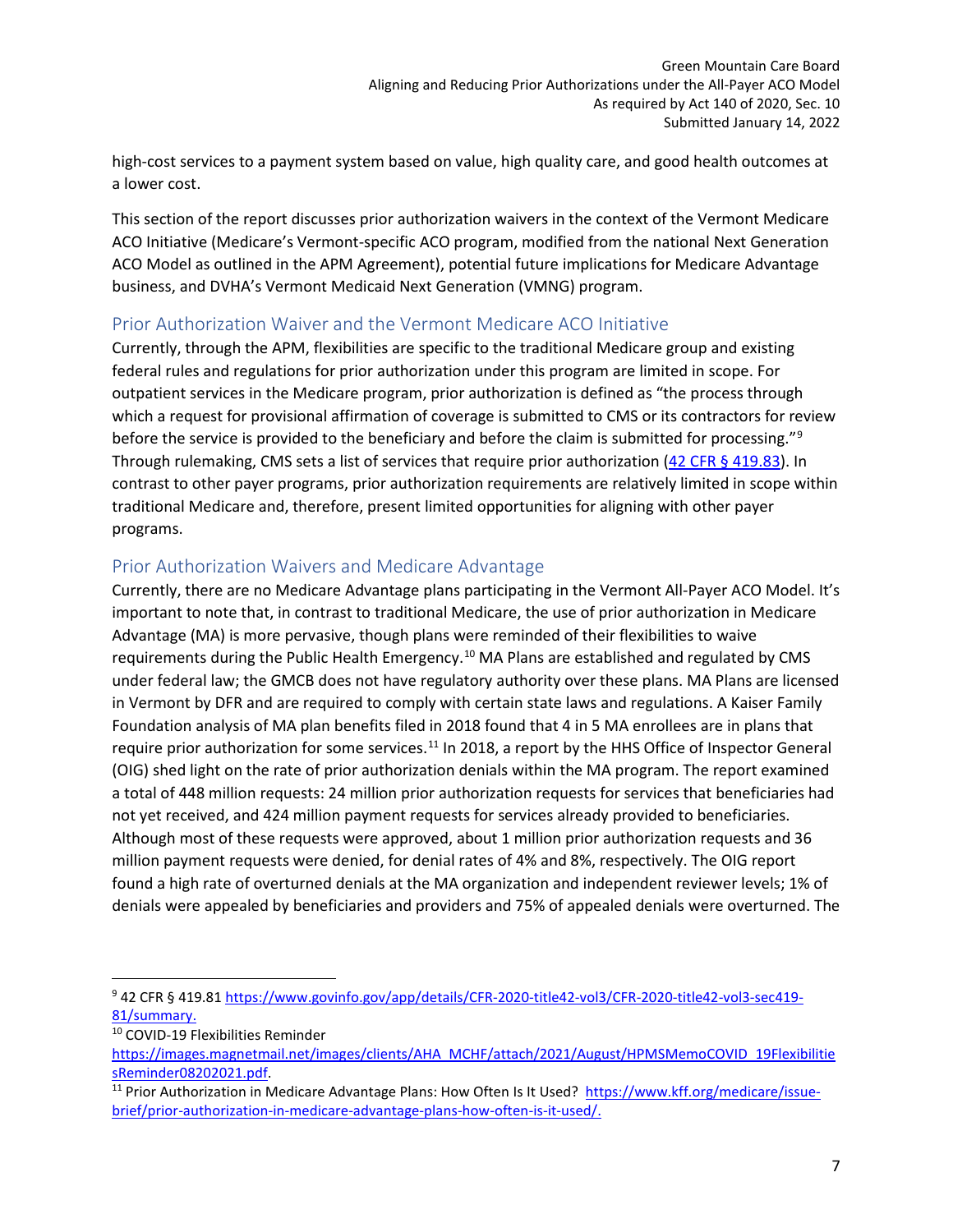high-cost services to a payment system based on value, high quality care, and good health outcomes at a lower cost.

This section of the report discusses prior authorization waivers in the context of the Vermont Medicare ACO Initiative (Medicare's Vermont-specific ACO program, modified from the national Next Generation ACO Model as outlined in the APM Agreement), potential future implications for Medicare Advantage business, and DVHA's Vermont Medicaid Next Generation (VMNG) program.

# <span id="page-7-0"></span>Prior Authorization Waiver and the Vermont Medicare ACO Initiative

Currently, through the APM, flexibilities are specific to the traditional Medicare group and existing federal rules and regulations for prior authorization under this program are limited in scope. For outpatient services in the Medicare program, prior authorization is defined as "the process through which a request for provisional affirmation of coverage is submitted to CMS or its contractors for review before the service is provided to the beneficiary and before the claim is submitted for processing."<sup>[9](#page-7-2)</sup> Through rulemaking, CMS sets a list of services that require prior authorization [\(42 CFR § 419.83\)](https://www.ecfr.gov/current/title-42/chapter-IV/subchapter-B/part-419/subpart-I/section-419.83#p-419.83(a)). In contrast to other payer programs, prior authorization requirements are relatively limited in scope within traditional Medicare and, therefore, present limited opportunities for aligning with other payer programs.

## <span id="page-7-1"></span>Prior Authorization Waivers and Medicare Advantage

Currently, there are no Medicare Advantage plans participating in the Vermont All-Payer ACO Model. It's important to note that, in contrast to traditional Medicare, the use of prior authorization in Medicare Advantage (MA) is more pervasive, though plans were reminded of their flexibilities to waive requirements during the Public Health Emergency.<sup>[10](#page-7-3)</sup> MA Plans are established and regulated by CMS under federal law; the GMCB does not have regulatory authority over these plans. MA Plans are licensed in Vermont by DFR and are required to comply with certain state laws and regulations. A Kaiser Family Foundation analysis of MA plan benefits filed in 2018 found that 4 in 5 MA enrollees are in plans that require prior authorization for some services.<sup>[11](#page-7-4)</sup> In 2018, a report by the HHS Office of Inspector General (OIG) shed light on the rate of prior authorization denials within the MA program. The report examined a total of 448 million requests: 24 million prior authorization requests for services that beneficiaries had not yet received, and 424 million payment requests for services already provided to beneficiaries. Although most of these requests were approved, about 1 million prior authorization requests and 36 million payment requests were denied, for denial rates of 4% and 8%, respectively. The OIG report found a high rate of overturned denials at the MA organization and independent reviewer levels; 1% of denials were appealed by beneficiaries and providers and 75% of appealed denials were overturned. The

<span id="page-7-2"></span><sup>9</sup> 42 CFR § 419.81 [https://www.govinfo.gov/app/details/CFR-2020-title42-vol3/CFR-2020-title42-vol3-sec419-](https://www.govinfo.gov/app/details/CFR-2020-title42-vol3/CFR-2020-title42-vol3-sec419-81/summary) [81/summary.](https://www.govinfo.gov/app/details/CFR-2020-title42-vol3/CFR-2020-title42-vol3-sec419-81/summary)<br><sup>10</sup> COVID-19 Flexibilities Reminder

<span id="page-7-3"></span>

[https://images.magnetmail.net/images/clients/AHA\\_MCHF/attach/2021/August/HPMSMemoCOVID\\_19Flexibilitie](https://images.magnetmail.net/images/clients/AHA_MCHF/attach/2021/August/HPMSMemoCOVID_19FlexibilitiesReminder08202021.pdf) [sReminder08202021.pdf.](https://images.magnetmail.net/images/clients/AHA_MCHF/attach/2021/August/HPMSMemoCOVID_19FlexibilitiesReminder08202021.pdf)<br><sup>11</sup> Prior Authorization in Medicare Advantage Plans: How Often Is It Used? [https://www.kff.org/medicare/issue-](https://www.kff.org/medicare/issue-brief/prior-authorization-in-medicare-advantage-plans-how-often-is-it-used/)

<span id="page-7-4"></span>[brief/prior-authorization-in-medicare-advantage-plans-how-often-is-it-used/.](https://www.kff.org/medicare/issue-brief/prior-authorization-in-medicare-advantage-plans-how-often-is-it-used/)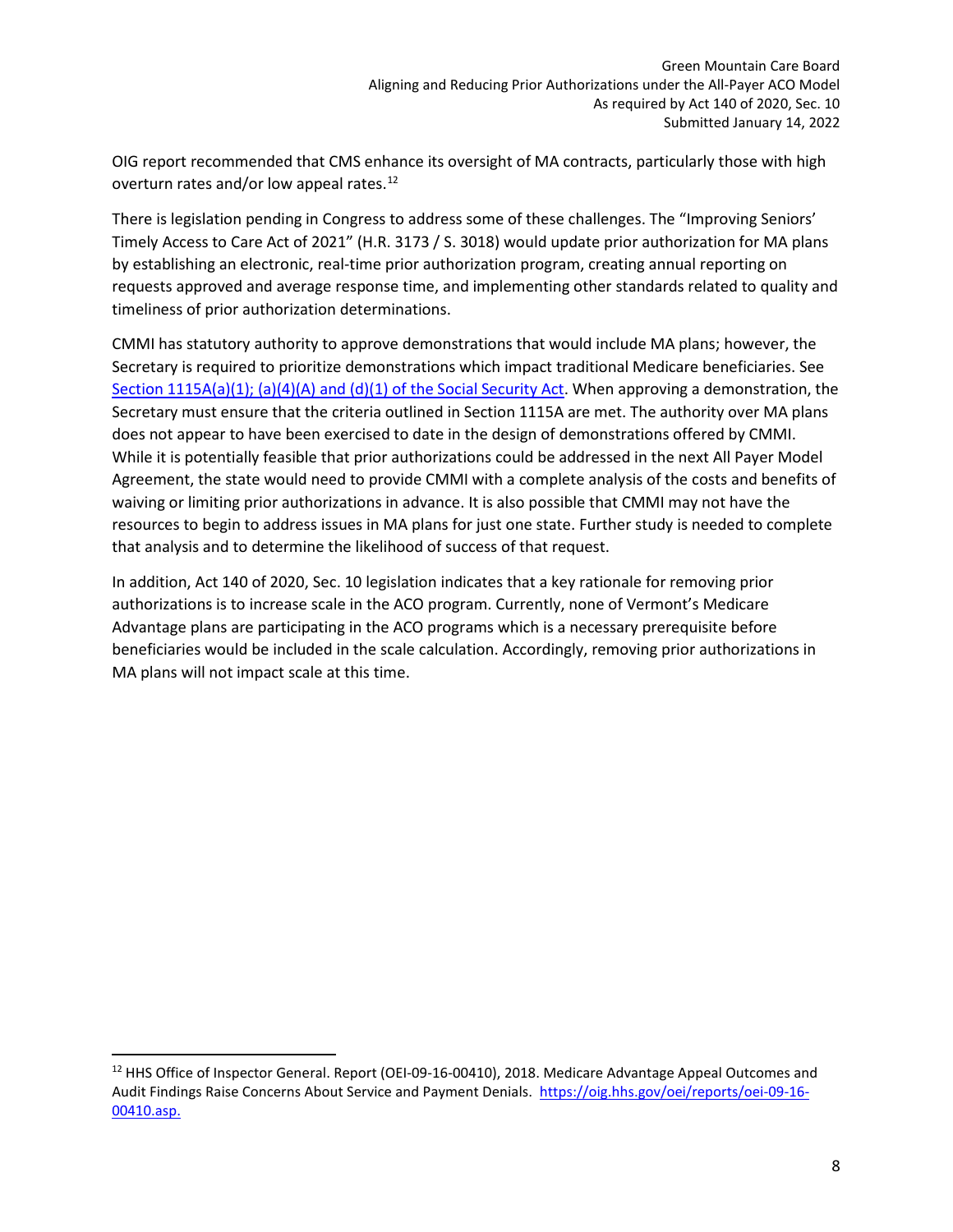OIG report recommended that CMS enhance its oversight of MA contracts, particularly those with high overturn rates and/or low appeal rates.<sup>[12](#page-8-0)</sup>

There is legislation pending in Congress to address some of these challenges. The "Improving Seniors' Timely Access to Care Act of 2021" (H.R. 3173 / S. 3018) would update prior authorization for MA plans by establishing an electronic, real-time prior authorization program, creating annual reporting on requests approved and average response time, and implementing other standards related to quality and timeliness of prior authorization determinations.

CMMI has statutory authority to approve demonstrations that would include MA plans; however, the Secretary is required to prioritize demonstrations which impact traditional Medicare beneficiaries. See [Section 1115A\(a\)\(1\); \(a\)\(4\)\(A\) and \(d\)\(1\)](https://www.ssa.gov/OP_Home/ssact/title11/1115A.htm) of the Social Security Act. When approving a demonstration, the Secretary must ensure that the criteria outlined in Section 1115A are met. The authority over MA plans does not appear to have been exercised to date in the design of demonstrations offered by CMMI. While it is potentially feasible that prior authorizations could be addressed in the next All Payer Model Agreement, the state would need to provide CMMI with a complete analysis of the costs and benefits of waiving or limiting prior authorizations in advance. It is also possible that CMMI may not have the resources to begin to address issues in MA plans for just one state. Further study is needed to complete that analysis and to determine the likelihood of success of that request.

In addition, Act 140 of 2020, Sec. 10 legislation indicates that a key rationale for removing prior authorizations is to increase scale in the ACO program. Currently, none of Vermont's Medicare Advantage plans are participating in the ACO programs which is a necessary prerequisite before beneficiaries would be included in the scale calculation. Accordingly, removing prior authorizations in MA plans will not impact scale at this time.

<span id="page-8-0"></span><sup>&</sup>lt;sup>12</sup> HHS Office of Inspector General. Report (OEI-09-16-00410), 2018. Medicare Advantage Appeal Outcomes and Audit Findings Raise Concerns About Service and Payment Denials. [https://oig.hhs.gov/oei/reports/oei-09-16-](https://oig.hhs.gov/oei/reports/oei-09-16-00410.asp) [00410.asp.](https://oig.hhs.gov/oei/reports/oei-09-16-00410.asp)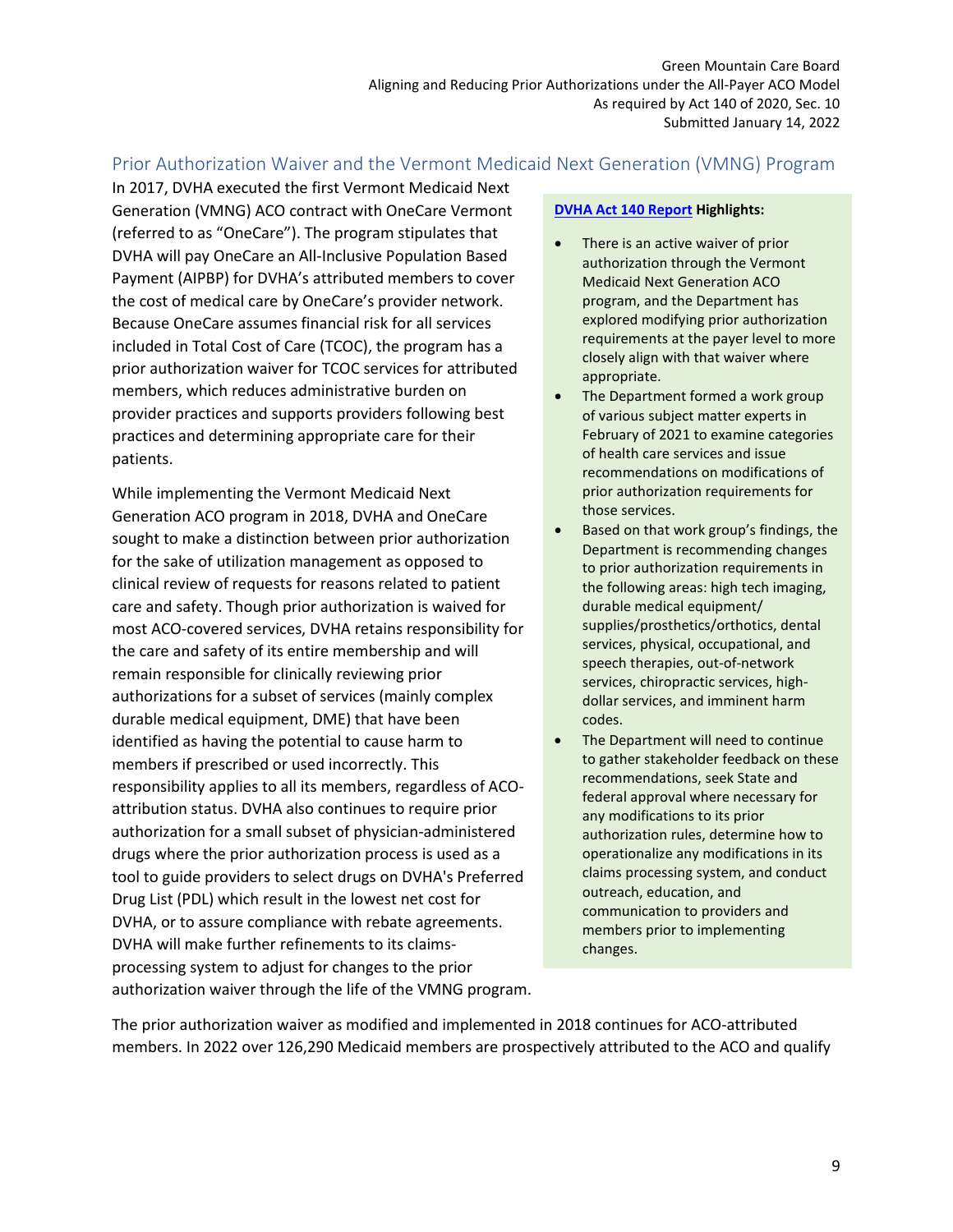# <span id="page-9-0"></span>Prior Authorization Waiver and the Vermont Medicaid Next Generation (VMNG) Program

In 2017, DVHA executed the first Vermont Medicaid Next Generation (VMNG) ACO contract with OneCare Vermont (referred to as "OneCare"). The program stipulates that DVHA will pay OneCare an All-Inclusive Population Based Payment (AIPBP) for DVHA's attributed members to cover the cost of medical care by OneCare's provider network. Because OneCare assumes financial risk for all services included in Total Cost of Care (TCOC), the program has a prior authorization waiver for TCOC services for attributed members, which reduces administrative burden on provider practices and supports providers following best practices and determining appropriate care for their patients.

While implementing the Vermont Medicaid Next Generation ACO program in 2018, DVHA and OneCare sought to make a distinction between prior authorization for the sake of utilization management as opposed to clinical review of requests for reasons related to patient care and safety. Though prior authorization is waived for most ACO-covered services, DVHA retains responsibility for the care and safety of its entire membership and will remain responsible for clinically reviewing prior authorizations for a subset of services (mainly complex durable medical equipment, DME) that have been identified as having the potential to cause harm to members if prescribed or used incorrectly. This responsibility applies to all its members, regardless of ACOattribution status. DVHA also continues to require prior authorization for a small subset of physician-administered drugs where the prior authorization process is used as a tool to guide providers to select drugs on DVHA's Preferred Drug List (PDL) which result in the lowest net cost for DVHA, or to assure compliance with rebate agreements. DVHA will make further refinements to its claimsprocessing system to adjust for changes to the prior authorization waiver through the life of the VMNG program.

#### **DVHA Act 140 Report Highlights:**

- There is an active waiver of prior authorization through the Vermont Medicaid Next Generation ACO program, and the Department has explored modifying prior authorization requirements at the payer level to more closely align with that waiver where appropriate.
- The Department formed a work group of various subject matter experts in February of 2021 to examine categories of health care services and issue recommendations on modifications of prior authorization requirements for those services.
- Based on that work group's findings, the Department is recommending changes to prior authorization requirements in the following areas: high tech imaging, durable medical equipment/ supplies/prosthetics/orthotics, dental services, physical, occupational, and speech therapies, out-of-network services, chiropractic services, highdollar services, and imminent harm codes.
- The Department will need to continue to gather stakeholder feedback on these recommendations, seek State and federal approval where necessary for any modifications to its prior authorization rules, determine how to operationalize any modifications in its claims processing system, and conduct outreach, education, and communication to providers and members prior to implementing changes.

The prior authorization waiver as modified and implemented in 2018 continues for ACO-attributed members. In 2022 over 126,290 Medicaid members are prospectively attributed to the ACO and qualify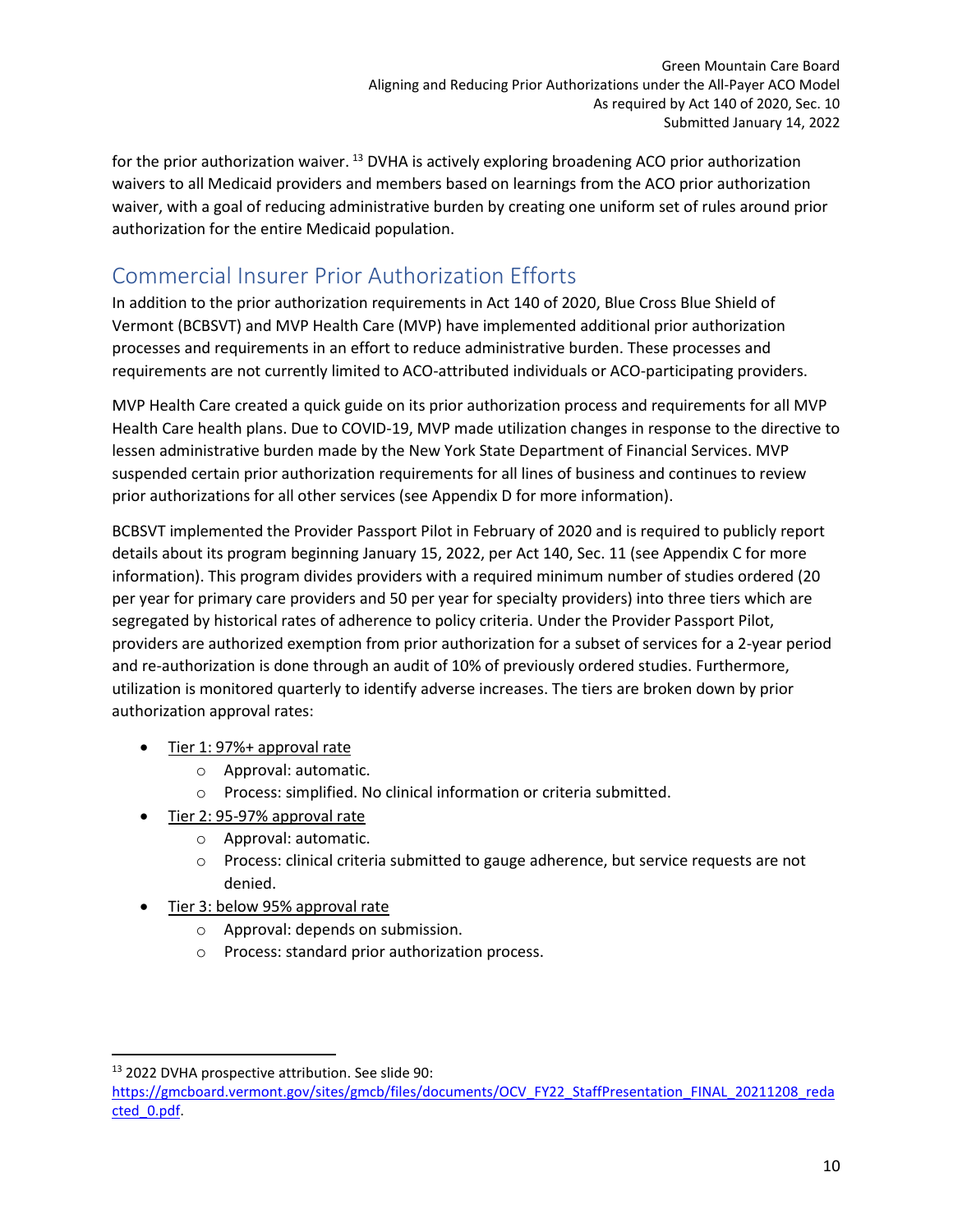for the prior authorization waiver. <sup>[13](#page-10-1)</sup> DVHA is actively exploring broadening ACO prior authorization waivers to all Medicaid providers and members based on learnings from the ACO prior authorization waiver, with a goal of reducing administrative burden by creating one uniform set of rules around prior authorization for the entire Medicaid population.

# <span id="page-10-0"></span>Commercial Insurer Prior Authorization Efforts

In addition to the prior authorization requirements in Act 140 of 2020, Blue Cross Blue Shield of Vermont (BCBSVT) and MVP Health Care (MVP) have implemented additional prior authorization processes and requirements in an effort to reduce administrative burden. These processes and requirements are not currently limited to ACO-attributed individuals or ACO-participating providers.

MVP Health Care created a quick guide on its prior authorization process and requirements for all MVP Health Care health plans. Due to COVID-19, MVP made utilization changes in response to the directive to lessen administrative burden made by the New York State Department of Financial Services. MVP suspended certain prior authorization requirements for all lines of business and continues to review prior authorizations for all other services (see Appendix D for more information).

BCBSVT implemented the Provider Passport Pilot in February of 2020 and is required to publicly report details about its program beginning January 15, 2022, per Act 140, Sec. 11 (see Appendix C for more information). This program divides providers with a required minimum number of studies ordered (20 per year for primary care providers and 50 per year for specialty providers) into three tiers which are segregated by historical rates of adherence to policy criteria. Under the Provider Passport Pilot, providers are authorized exemption from prior authorization for a subset of services for a 2-year period and re-authorization is done through an audit of 10% of previously ordered studies. Furthermore, utilization is monitored quarterly to identify adverse increases. The tiers are broken down by prior authorization approval rates:

- Tier 1: 97%+ approval rate
	- o Approval: automatic.
	- o Process: simplified. No clinical information or criteria submitted.
- Tier 2: 95-97% approval rate
	- o Approval: automatic.
	- o Process: clinical criteria submitted to gauge adherence, but service requests are not denied.
- Tier 3: below 95% approval rate
	- o Approval: depends on submission.
	- o Process: standard prior authorization process.

<span id="page-10-1"></span><sup>13</sup> 2022 DVHA prospective attribution. See slide 90:

[https://gmcboard.vermont.gov/sites/gmcb/files/documents/OCV\\_FY22\\_StaffPresentation\\_FINAL\\_20211208\\_reda](https://gmcboard.vermont.gov/sites/gmcb/files/documents/OCV_FY22_StaffPresentation_FINAL_20211208_redacted_0.pdf) [cted\\_0.pdf.](https://gmcboard.vermont.gov/sites/gmcb/files/documents/OCV_FY22_StaffPresentation_FINAL_20211208_redacted_0.pdf)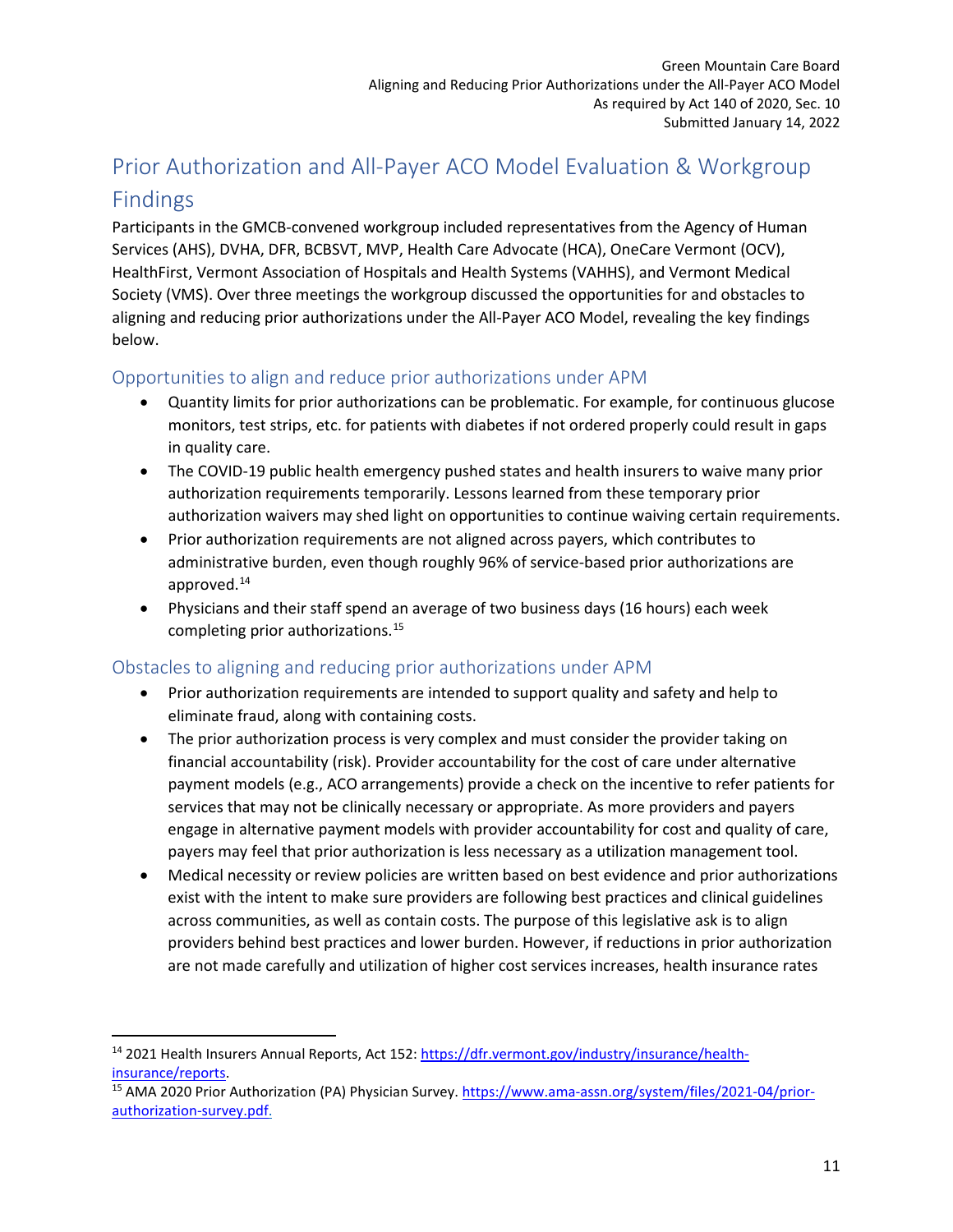# <span id="page-11-0"></span>Prior Authorization and All-Payer ACO Model Evaluation & Workgroup Findings

Participants in the GMCB-convened workgroup included representatives from the Agency of Human Services (AHS), DVHA, DFR, BCBSVT, MVP, Health Care Advocate (HCA), OneCare Vermont (OCV), HealthFirst, Vermont Association of Hospitals and Health Systems (VAHHS), and Vermont Medical Society (VMS). Over three meetings the workgroup discussed the opportunities for and obstacles to aligning and reducing prior authorizations under the All-Payer ACO Model, revealing the key findings below.

# <span id="page-11-1"></span>Opportunities to align and reduce prior authorizations under APM

- Quantity limits for prior authorizations can be problematic. For example, for continuous glucose monitors, test strips, etc. for patients with diabetes if not ordered properly could result in gaps in quality care.
- The COVID-19 public health emergency pushed states and health insurers to waive many prior authorization requirements temporarily. Lessons learned from these temporary prior authorization waivers may shed light on opportunities to continue waiving certain requirements.
- Prior authorization requirements are not aligned across payers, which contributes to administrative burden, even though roughly 96% of service-based prior authorizations are approved.[14](#page-11-3)
- Physicians and their staff spend an average of two business days (16 hours) each week completing prior authorizations. [15](#page-11-4)

# <span id="page-11-2"></span>Obstacles to aligning and reducing prior authorizations under APM

- Prior authorization requirements are intended to support quality and safety and help to eliminate fraud, along with containing costs.
- The prior authorization process is very complex and must consider the provider taking on financial accountability (risk). Provider accountability for the cost of care under alternative payment models (e.g., ACO arrangements) provide a check on the incentive to refer patients for services that may not be clinically necessary or appropriate. As more providers and payers engage in alternative payment models with provider accountability for cost and quality of care, payers may feel that prior authorization is less necessary as a utilization management tool.
- Medical necessity or review policies are written based on best evidence and prior authorizations exist with the intent to make sure providers are following best practices and clinical guidelines across communities, as well as contain costs. The purpose of this legislative ask is to align providers behind best practices and lower burden. However, if reductions in prior authorization are not made carefully and utilization of higher cost services increases, health insurance rates

<span id="page-11-3"></span><sup>14</sup> 2021 Health Insurers Annual Reports, Act 152: [https://dfr.vermont.gov/industry/insurance/health](https://dfr.vermont.gov/industry/insurance/health-insurance/reports)[insurance/reports.](https://dfr.vermont.gov/industry/insurance/health-insurance/reports)<br><sup>15</sup> AMA 2020 Prior Authorization (PA) Physician Survey. [https://www.ama-assn.org/system/files/2021-04/prior-](https://www.ama-assn.org/system/files/2021-04/prior-authorization-survey.pdf)

<span id="page-11-4"></span>[authorization-survey.pdf.](https://www.ama-assn.org/system/files/2021-04/prior-authorization-survey.pdf)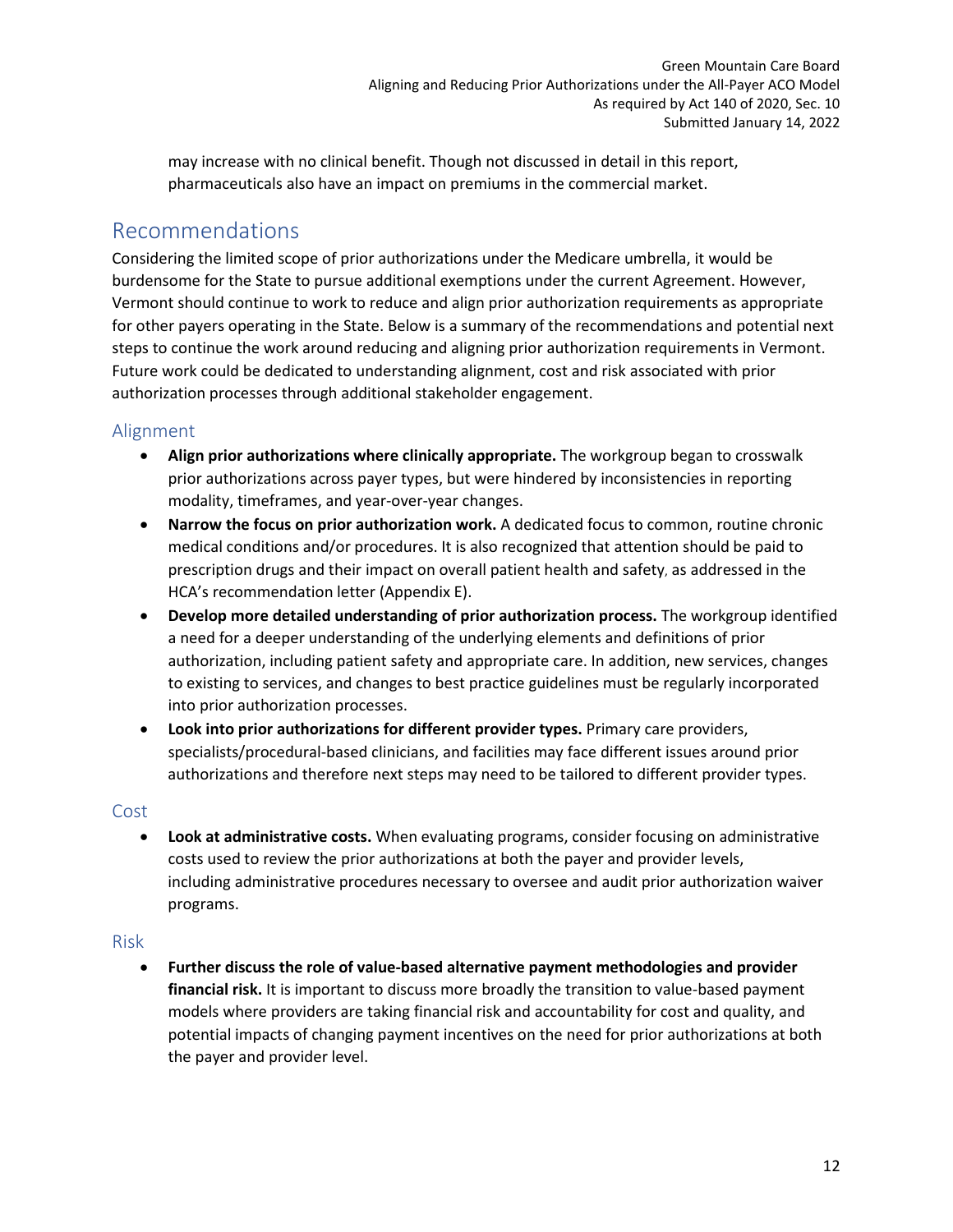may increase with no clinical benefit. Though not discussed in detail in this report, pharmaceuticals also have an impact on premiums in the commercial market.

# <span id="page-12-0"></span>Recommendations

Considering the limited scope of prior authorizations under the Medicare umbrella, it would be burdensome for the State to pursue additional exemptions under the current Agreement. However, Vermont should continue to work to reduce and align prior authorization requirements as appropriate for other payers operating in the State. Below is a summary of the recommendations and potential next steps to continue the work around reducing and aligning prior authorization requirements in Vermont. Future work could be dedicated to understanding alignment, cost and risk associated with prior authorization processes through additional stakeholder engagement.

# <span id="page-12-1"></span>Alignment

- **Align prior authorizations where clinically appropriate.** The workgroup began to crosswalk prior authorizations across payer types, but were hindered by inconsistencies in reporting modality, timeframes, and year-over-year changes.
- **Narrow the focus on prior authorization work.** A dedicated focus to common, routine chronic medical conditions and/or procedures. It is also recognized that attention should be paid to prescription drugs and their impact on overall patient health and safety, as addressed in the HCA's recommendation letter (Appendix E).
- **Develop more detailed understanding of prior authorization process.** The workgroup identified a need for a deeper understanding of the underlying elements and definitions of prior authorization, including patient safety and appropriate care. In addition, new services, changes to existing to services, and changes to best practice guidelines must be regularly incorporated into prior authorization processes.
- **Look into prior authorizations for different provider types.** Primary care providers, specialists/procedural-based clinicians, and facilities may face different issues around prior authorizations and therefore next steps may need to be tailored to different provider types.

## <span id="page-12-2"></span>Cost

• **Look at administrative costs.** When evaluating programs, consider focusing on administrative costs used to review the prior authorizations at both the payer and provider levels, including administrative procedures necessary to oversee and audit prior authorization waiver programs.

## <span id="page-12-3"></span>Risk

• **Further discuss the role of value-based alternative payment methodologies and provider financial risk.** It is important to discuss more broadly the transition to value-based payment models where providers are taking financial risk and accountability for cost and quality, and potential impacts of changing payment incentives on the need for prior authorizations at both the payer and provider level.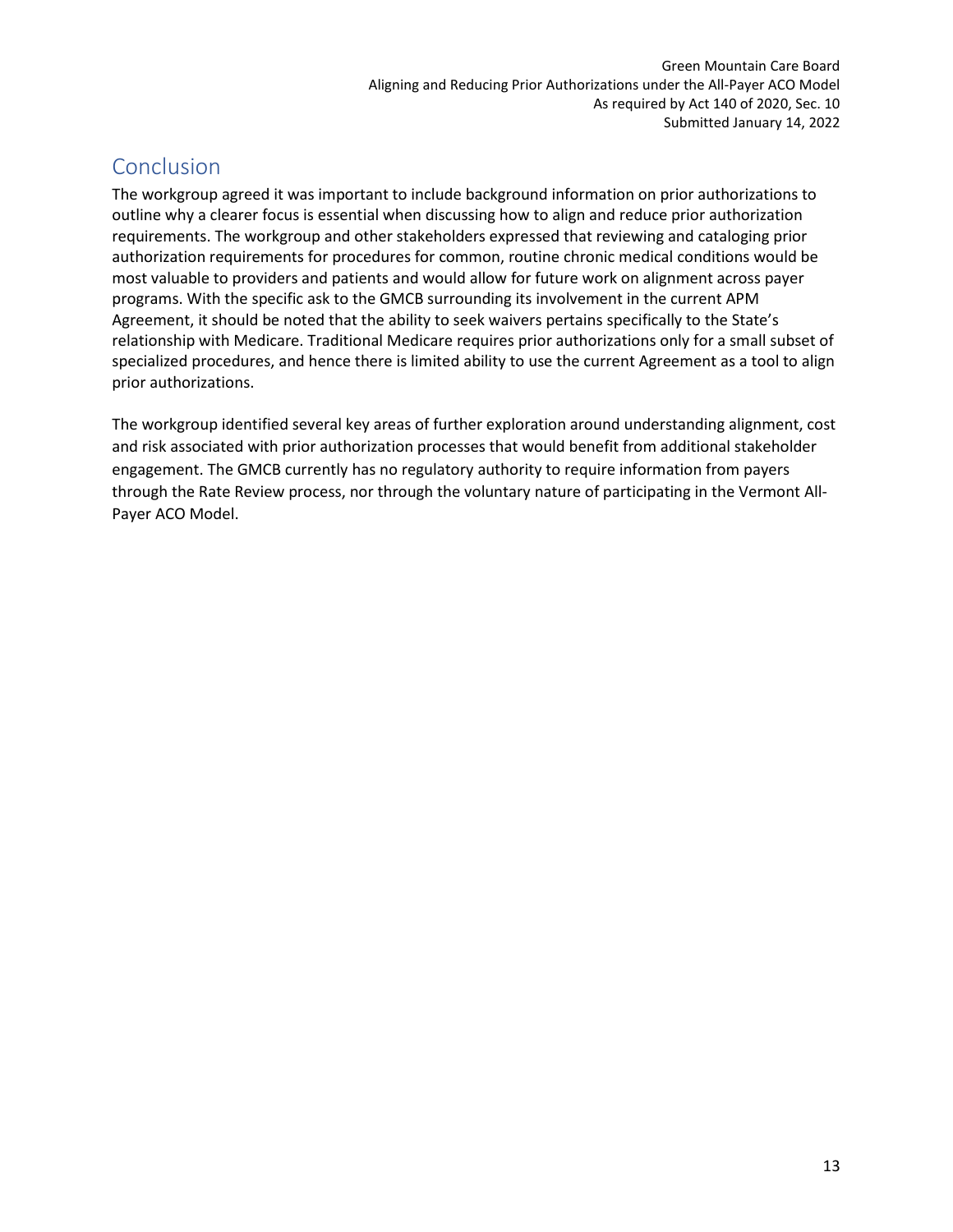# <span id="page-13-0"></span>Conclusion

The workgroup agreed it was important to include background information on prior authorizations to outline why a clearer focus is essential when discussing how to align and reduce prior authorization requirements. The workgroup and other stakeholders expressed that reviewing and cataloging prior authorization requirements for procedures for common, routine chronic medical conditions would be most valuable to providers and patients and would allow for future work on alignment across payer programs. With the specific ask to the GMCB surrounding its involvement in the current APM Agreement, it should be noted that the ability to seek waivers pertains specifically to the State's relationship with Medicare. Traditional Medicare requires prior authorizations only for a small subset of specialized procedures, and hence there is limited ability to use the current Agreement as a tool to align prior authorizations.

The workgroup identified several key areas of further exploration around understanding alignment, cost and risk associated with prior authorization processes that would benefit from additional stakeholder engagement. The GMCB currently has no regulatory authority to require information from payers through the Rate Review process, nor through the voluntary nature of participating in the Vermont All-Payer ACO Model.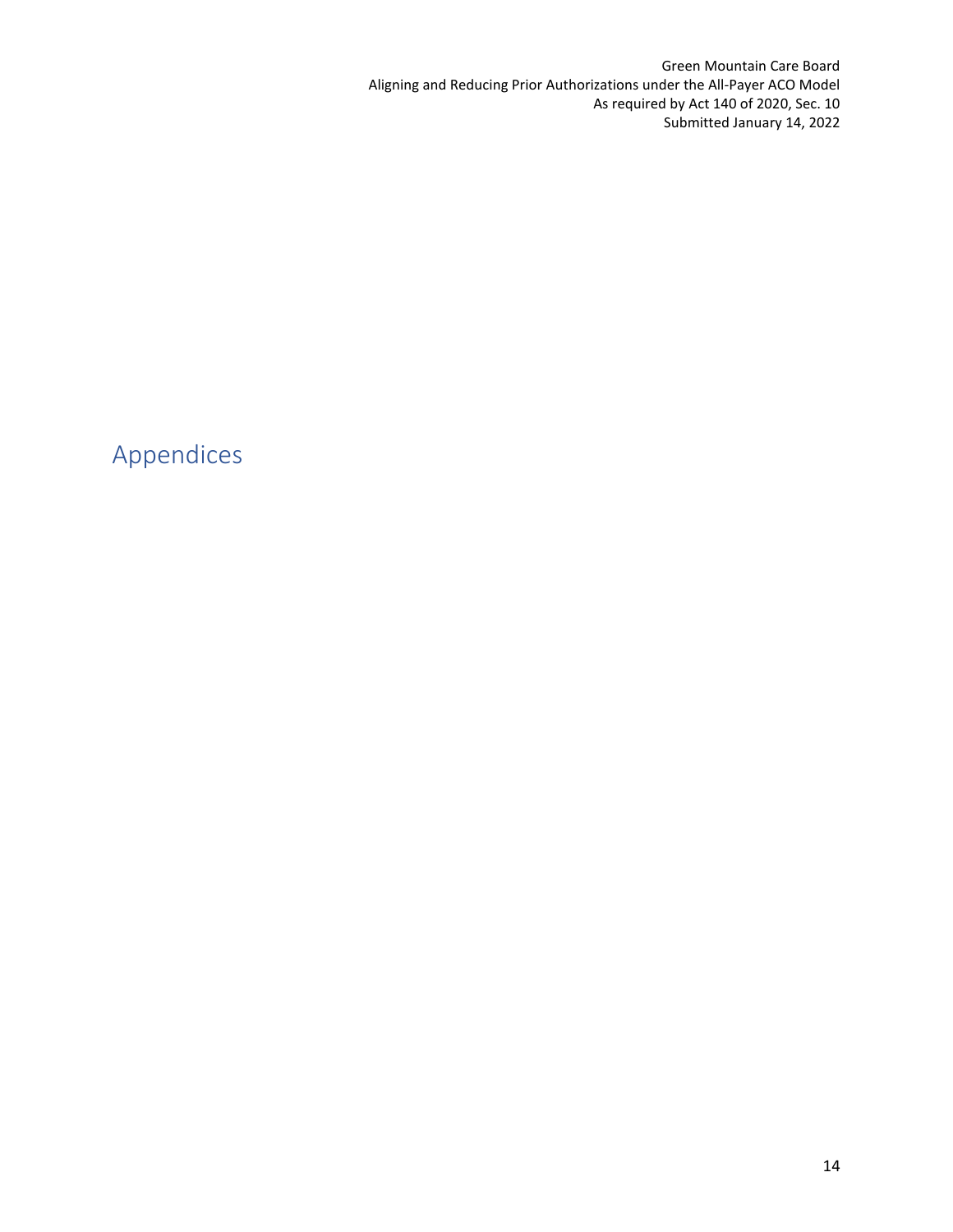Green Mountain Care Board Aligning and Reducing Prior Authorizations under the All-Payer ACO Model As required by Act 140 of 2020, Sec. 10 Submitted January 14, 2022

<span id="page-14-0"></span>Appendices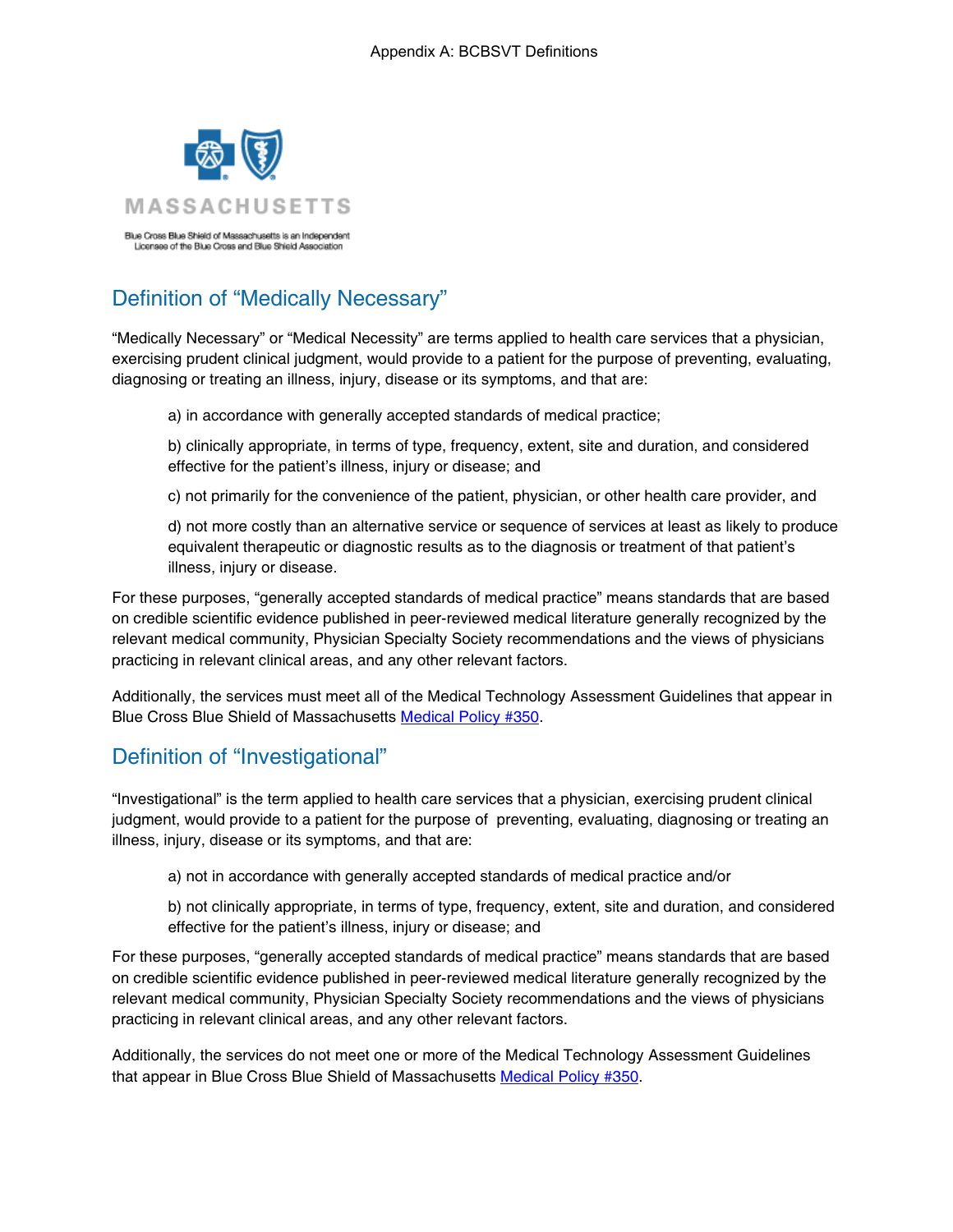

# Definition of "Medically Necessary"

"Medically Necessary" or "Medical Necessity" are terms applied to health care services that a physician, exercising prudent clinical judgment, would provide to a patient for the purpose of preventing, evaluating, diagnosing or treating an illness, injury, disease or its symptoms, and that are:

a) in accordance with generally accepted standards of medical practice;

b) clinically appropriate, in terms of type, frequency, extent, site and duration, and considered effective for the patient's illness, injury or disease; and

c) not primarily for the convenience of the patient, physician, or other health care provider, and

d) not more costly than an alternative service or sequence of services at least as likely to produce equivalent therapeutic or diagnostic results as to the diagnosis or treatment of that patient's illness, injury or disease.

For these purposes, "generally accepted standards of medical practice" means standards that are based on credible scientific evidence published in peer-reviewed medical literature generally recognized by the relevant medical community, Physician Specialty Society recommendations and the views of physicians practicing in relevant clinical areas, and any other relevant factors.

Additionally, the services must meet all of the Medical Technology Assessment Guidelines that appear in Blue Cross Blue Shield of Massachusetts Medical Policy #350.

# Definition of "Investigational"

"Investigational" is the term applied to health care services that a physician, exercising prudent clinical judgment, would provide to a patient for the purpose of preventing, evaluating, diagnosing or treating an illness, injury, disease or its symptoms, and that are:

a) not in accordance with generally accepted standards of medical practice and/or

b) not clinically appropriate, in terms of type, frequency, extent, site and duration, and considered effective for the patient's illness, injury or disease; and

For these purposes, "generally accepted standards of medical practice" means standards that are based on credible scientific evidence published in peer-reviewed medical literature generally recognized by the relevant medical community, Physician Specialty Society recommendations and the views of physicians practicing in relevant clinical areas, and any other relevant factors.

Additionally, the services do not meet one or more of the Medical Technology Assessment Guidelines that appear in Blue Cross Blue Shield of Massachusetts Medical Policy #350.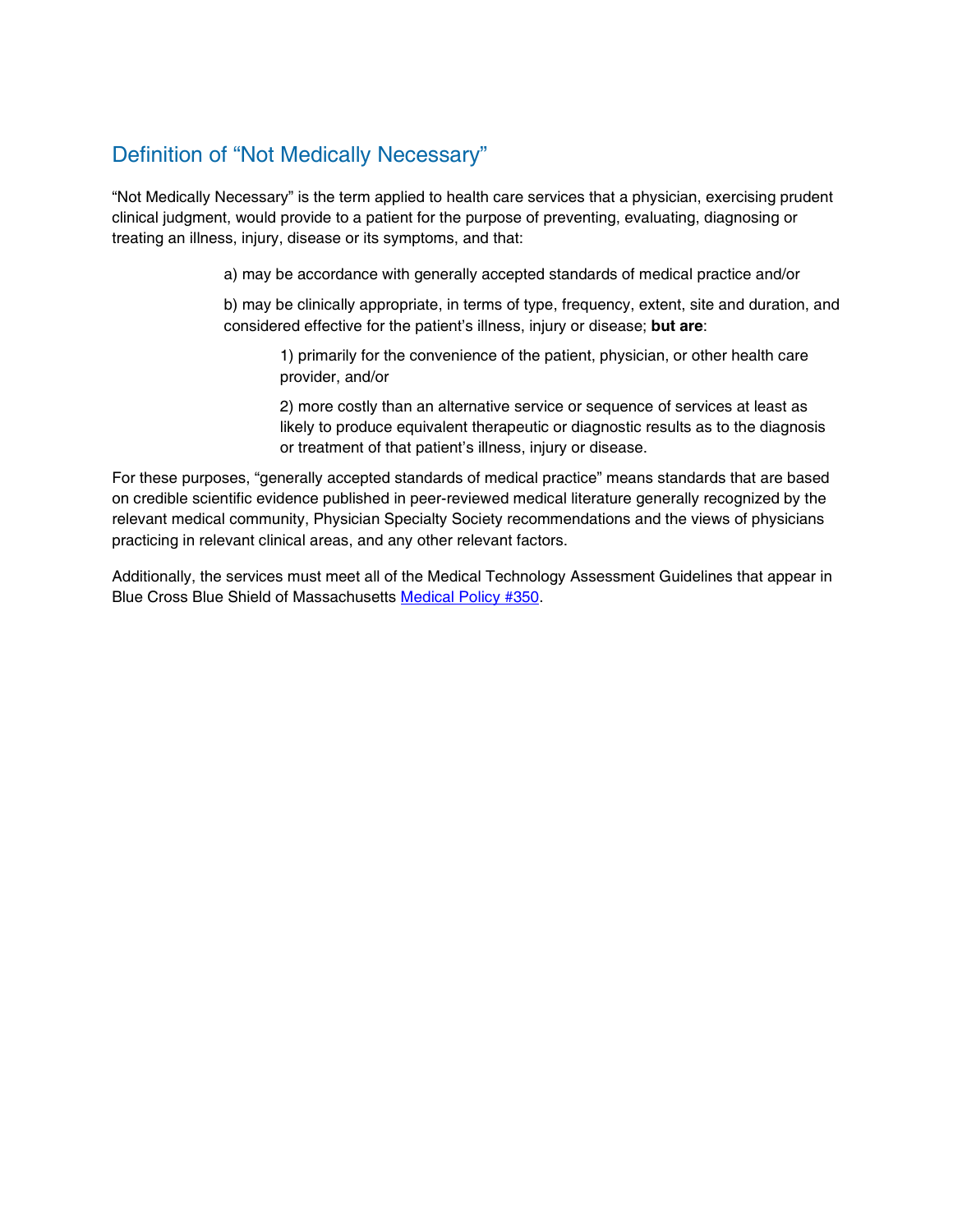# Definition of "Not Medically Necessary"

"Not Medically Necessary" is the term applied to health care services that a physician, exercising prudent clinical judgment, would provide to a patient for the purpose of preventing, evaluating, diagnosing or treating an illness, injury, disease or its symptoms, and that:

a) may be accordance with generally accepted standards of medical practice and/or

b) may be clinically appropriate, in terms of type, frequency, extent, site and duration, and considered effective for the patient's illness, injury or disease; **but are**:

1) primarily for the convenience of the patient, physician, or other health care provider, and/or

2) more costly than an alternative service or sequence of services at least as likely to produce equivalent therapeutic or diagnostic results as to the diagnosis or treatment of that patient's illness, injury or disease.

For these purposes, "generally accepted standards of medical practice" means standards that are based on credible scientific evidence published in peer-reviewed medical literature generally recognized by the relevant medical community, Physician Specialty Society recommendations and the views of physicians practicing in relevant clinical areas, and any other relevant factors.

Additionally, the services must meet all of the Medical Technology Assessment Guidelines that appear in Blue Cross Blue Shield of Massachusetts Medical Policy #350.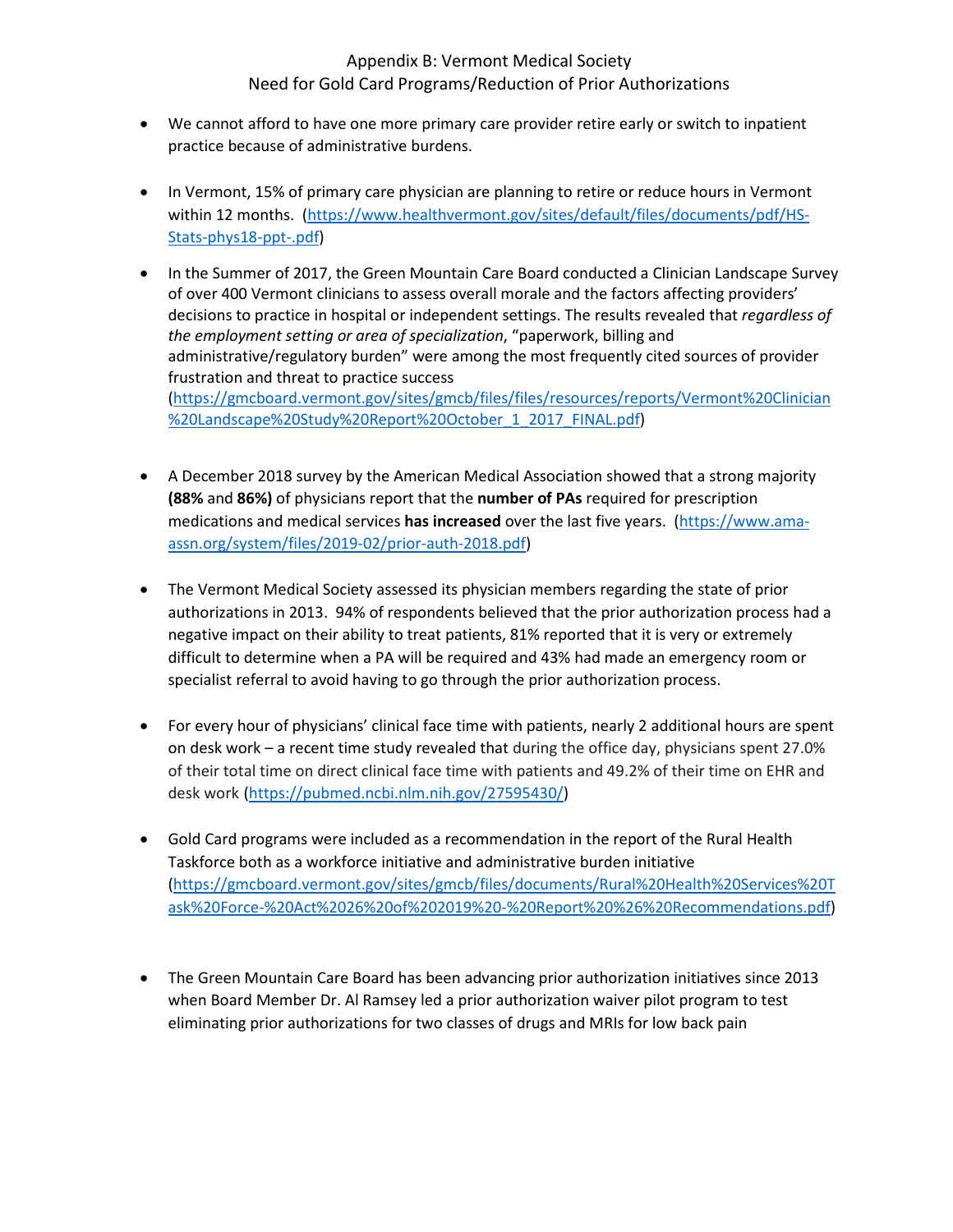## Appendix B: Vermont Medical Society Need for Gold Card Programs/Reduction of Prior Authorizations

- We cannot afford to have one more primary care provider retire early or switch to inpatient practice because of administrative burdens.
- In Vermont, 15% of primary care physician are planning to retire or reduce hours in Vermont within 12 months. [\(https://www.healthvermont.gov/sites/default/files/documents/pdf/HS-](https://www.healthvermont.gov/sites/default/files/documents/pdf/HS-Stats-phys18-ppt-.pdf)[Stats-phys18-ppt-.pdf\)](https://www.healthvermont.gov/sites/default/files/documents/pdf/HS-Stats-phys18-ppt-.pdf)
- In the Summer of 2017, the Green Mountain Care Board conducted a Clinician Landscape Survey of over 400 Vermont clinicians to assess overall morale and the factors affecting providers' decisions to practice in hospital or independent settings. The results revealed that *regardless of the employment setting or area of specialization*, "paperwork, billing and administrative/regulatory burden" were among the most frequently cited sources of provider frustration and threat to practice success [\(https://gmcboard.vermont.gov/sites/gmcb/files/files/resources/reports/Vermont%20Clinician](https://gmcboard.vermont.gov/sites/gmcb/files/files/resources/reports/Vermont%20Clinician%20Landscape%20Study%20Report%20October_1_2017_FINAL.pdf) [%20Landscape%20Study%20Report%20October\\_1\\_2017\\_FINAL.pdf\)](https://gmcboard.vermont.gov/sites/gmcb/files/files/resources/reports/Vermont%20Clinician%20Landscape%20Study%20Report%20October_1_2017_FINAL.pdf)
- A December 2018 survey by the American Medical Association showed that a strong majority **(88%** and **86%)** of physicians report that the **number of PAs** required for prescription medications and medical services **has increased** over the last five years. [\(https://www.ama](https://www.ama-assn.org/system/files/2019-02/prior-auth-2018.pdf)[assn.org/system/files/2019-02/prior-auth-2018.pdf\)](https://www.ama-assn.org/system/files/2019-02/prior-auth-2018.pdf)
- The Vermont Medical Society assessed its physician members regarding the state of prior authorizations in 2013. 94% of respondents believed that the prior authorization process had a negative impact on their ability to treat patients, 81% reported that it is very or extremely difficult to determine when a PA will be required and 43% had made an emergency room or specialist referral to avoid having to go through the prior authorization process.
- For every hour of physicians' clinical face time with patients, nearly 2 additional hours are spent on desk work – a recent time study revealed that during the office day, physicians spent 27.0% of their total time on direct clinical face time with patients and 49.2% of their time on EHR and desk work [\(https://pubmed.ncbi.nlm.nih.gov/27595430/\)](https://pubmed.ncbi.nlm.nih.gov/27595430/)
- Gold Card programs were included as a recommendation in the report of the Rural Health Taskforce both as a workforce initiative and administrative burden initiative [\(https://gmcboard.vermont.gov/sites/gmcb/files/documents/Rural%20Health%20Services%20T](https://gmcboard.vermont.gov/sites/gmcb/files/documents/Rural%20Health%20Services%20Task%20Force-%20Act%2026%20of%202019%20-%20Report%20%26%20Recommendations.pdf) [ask%20Force-%20Act%2026%20of%202019%20-%20Report%20%26%20Recommendations.pdf\)](https://gmcboard.vermont.gov/sites/gmcb/files/documents/Rural%20Health%20Services%20Task%20Force-%20Act%2026%20of%202019%20-%20Report%20%26%20Recommendations.pdf)
- The Green Mountain Care Board has been advancing prior authorization initiatives since 2013 when Board Member Dr. Al Ramsey led a prior authorization waiver pilot program to test eliminating prior authorizations for two classes of drugs and MRIs for low back pain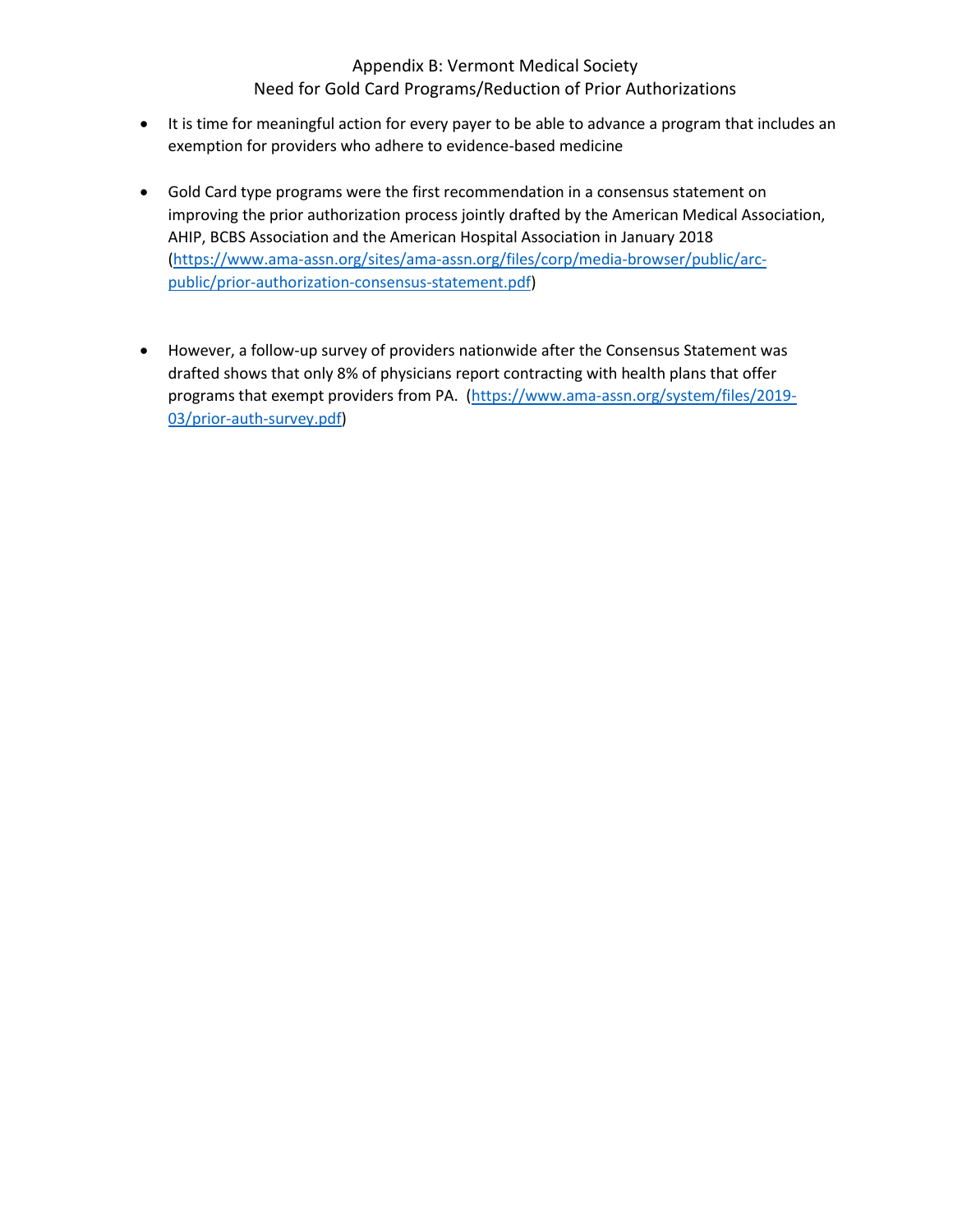### Appendix B: Vermont Medical Society Need for Gold Card Programs/Reduction of Prior Authorizations

- It is time for meaningful action for every payer to be able to advance a program that includes an exemption for providers who adhere to evidence-based medicine
- Gold Card type programs were the first recommendation in a consensus statement on improving the prior authorization process jointly drafted by the American Medical Association, AHIP, BCBS Association and the American Hospital Association in January 2018 [\(https://www.ama-assn.org/sites/ama-assn.org/files/corp/media-browser/public/arc](https://www.ama-assn.org/sites/ama-assn.org/files/corp/media-browser/public/arc-public/prior-authorization-consensus-statement.pdf)[public/prior-authorization-consensus-statement.pdf\)](https://www.ama-assn.org/sites/ama-assn.org/files/corp/media-browser/public/arc-public/prior-authorization-consensus-statement.pdf)
- However, a follow-up survey of providers nationwide after the Consensus Statement was drafted shows that only 8% of physicians report contracting with health plans that offer programs that exempt providers from PA. [\(https://www.ama-assn.org/system/files/2019-](https://www.ama-assn.org/system/files/2019-03/prior-auth-survey.pdf) [03/prior-auth-survey.pdf\)](https://www.ama-assn.org/system/files/2019-03/prior-auth-survey.pdf)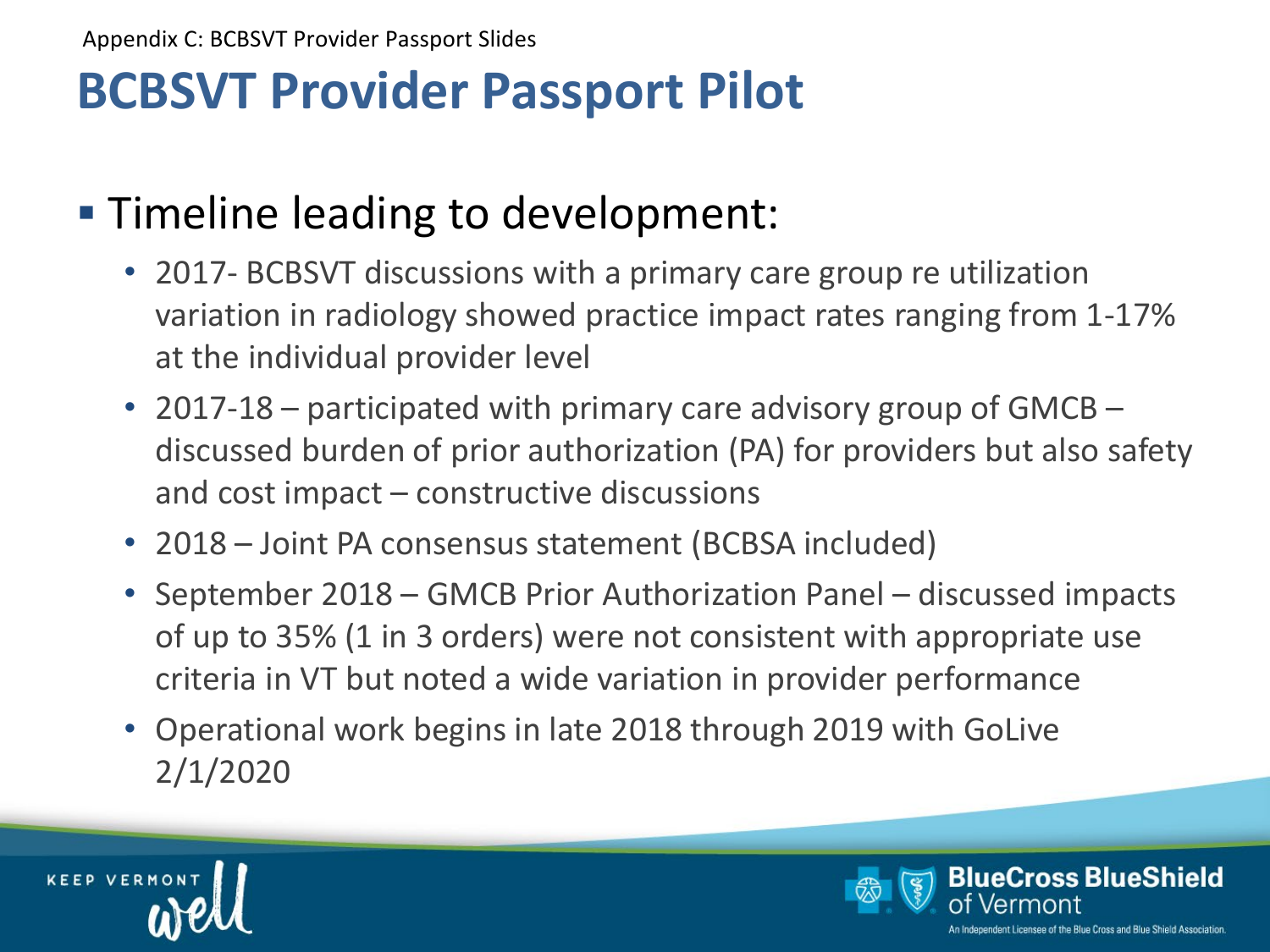# **BCBSVT Provider Passport Pilot**

# **Timeline leading to development:**

- 2017- BCBSVT discussions with a primary care group re utilization variation in radiology showed practice impact rates ranging from 1-17% at the individual provider level
- 2017-18 participated with primary care advisory group of GMCB discussed burden of prior authorization (PA) for providers but also safety and cost impact – constructive discussions
- 2018 Joint PA consensus statement (BCBSA included)
- September 2018 GMCB Prior Authorization Panel discussed impacts of up to 35% (1 in 3 orders) were not consistent with appropriate use criteria in VT but noted a wide variation in provider performance
- Operational work begins in late 2018 through 2019 with GoLive 2/1/2020



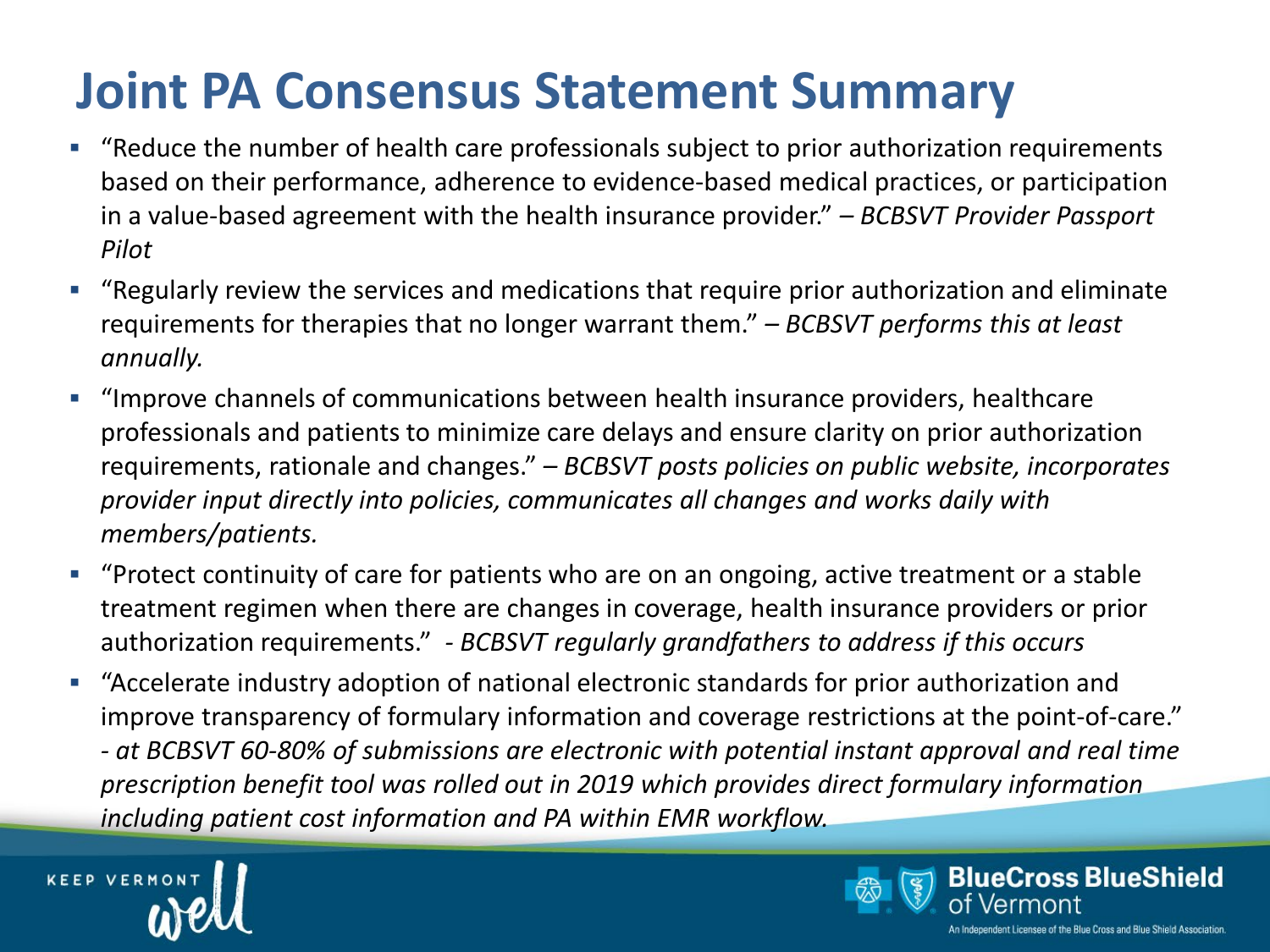# **Joint PA Consensus Statement Summary**

- "Reduce the number of health care professionals subject to prior authorization requirements based on their performance, adherence to evidence-based medical practices, or participation in a value-based agreement with the health insurance provider." *– BCBSVT Provider Passport Pilot*
- "Regularly review the services and medications that require prior authorization and eliminate requirements for therapies that no longer warrant them." *– BCBSVT performs this at least annually.*
- "Improve channels of communications between health insurance providers, healthcare professionals and patients to minimize care delays and ensure clarity on prior authorization requirements, rationale and changes." *– BCBSVT posts policies on public website, incorporates provider input directly into policies, communicates all changes and works daily with members/patients.*
- "Protect continuity of care for patients who are on an ongoing, active treatment or a stable treatment regimen when there are changes in coverage, health insurance providers or prior authorization requirements." *- BCBSVT regularly grandfathers to address if this occurs*
- "Accelerate industry adoption of national electronic standards for prior authorization and improve transparency of formulary information and coverage restrictions at the point-of-care." *- at BCBSVT 60-80% of submissions are electronic with potential instant approval and real time prescription benefit tool was rolled out in 2019 which provides direct formulary information including patient cost information and PA within EMR workflow.*



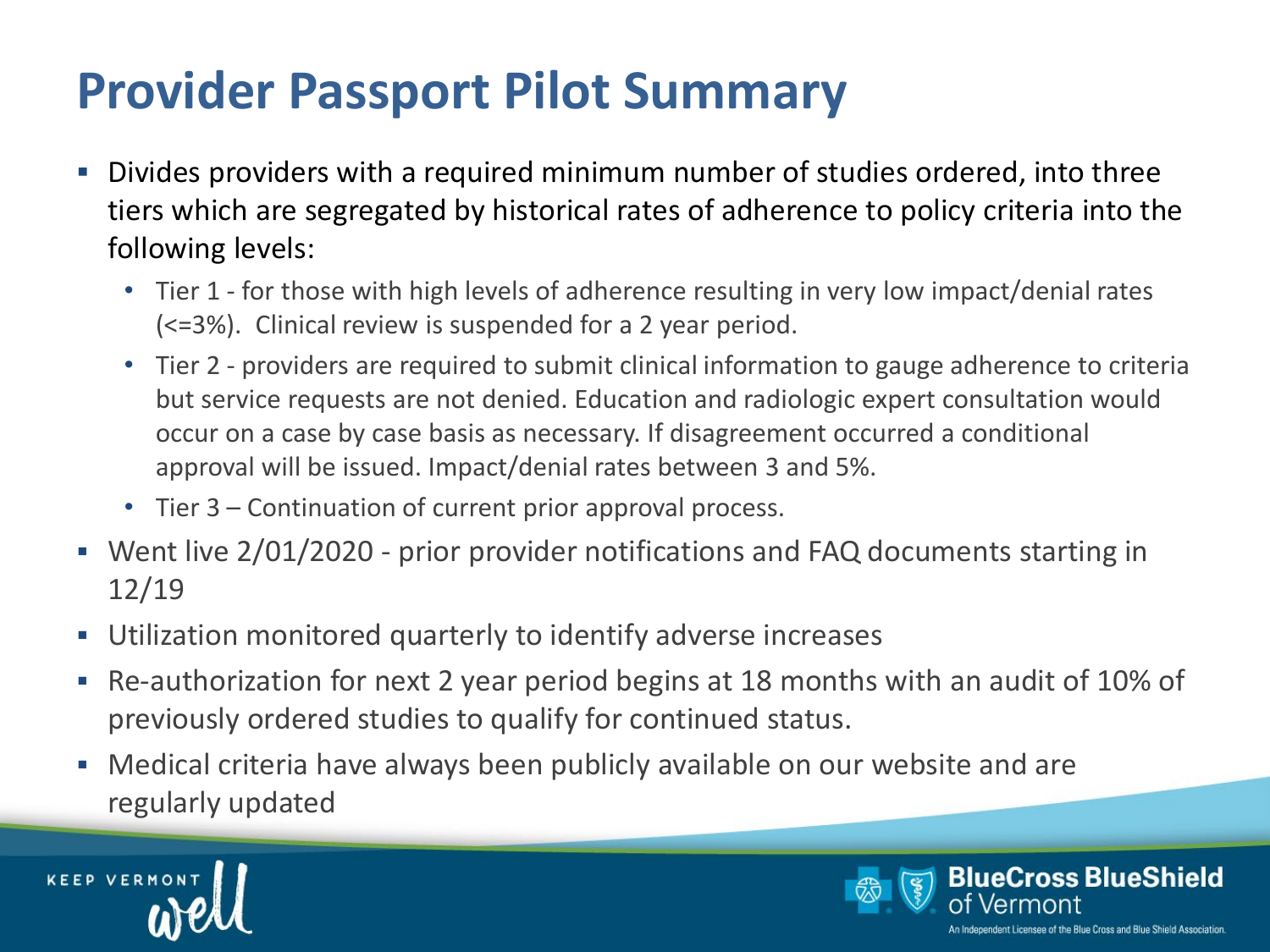# **Provider Passport Pilot Summary**

- Divides providers with a required minimum number of studies ordered, into three tiers which are segregated by historical rates of adherence to policy criteria into the following levels:
	- Tier 1 for those with high levels of adherence resulting in very low impact/denial rates (<=3%). Clinical review is suspended for a 2 year period.
	- Tier 2 providers are required to submit clinical information to gauge adherence to criteria but service requests are not denied. Education and radiologic expert consultation would occur on a case by case basis as necessary. If disagreement occurred a conditional approval will be issued. Impact/denial rates between 3 and 5%.
	- Tier 3 Continuation of current prior approval process.
- Went live 2/01/2020 prior provider notifications and FAQ documents starting in 12/19
- Utilization monitored quarterly to identify adverse increases
- Re-authorization for next 2 year period begins at 18 months with an audit of 10% of previously ordered studies to qualify for continued status.
- Medical criteria have always been publicly available on our website and are regularly updated



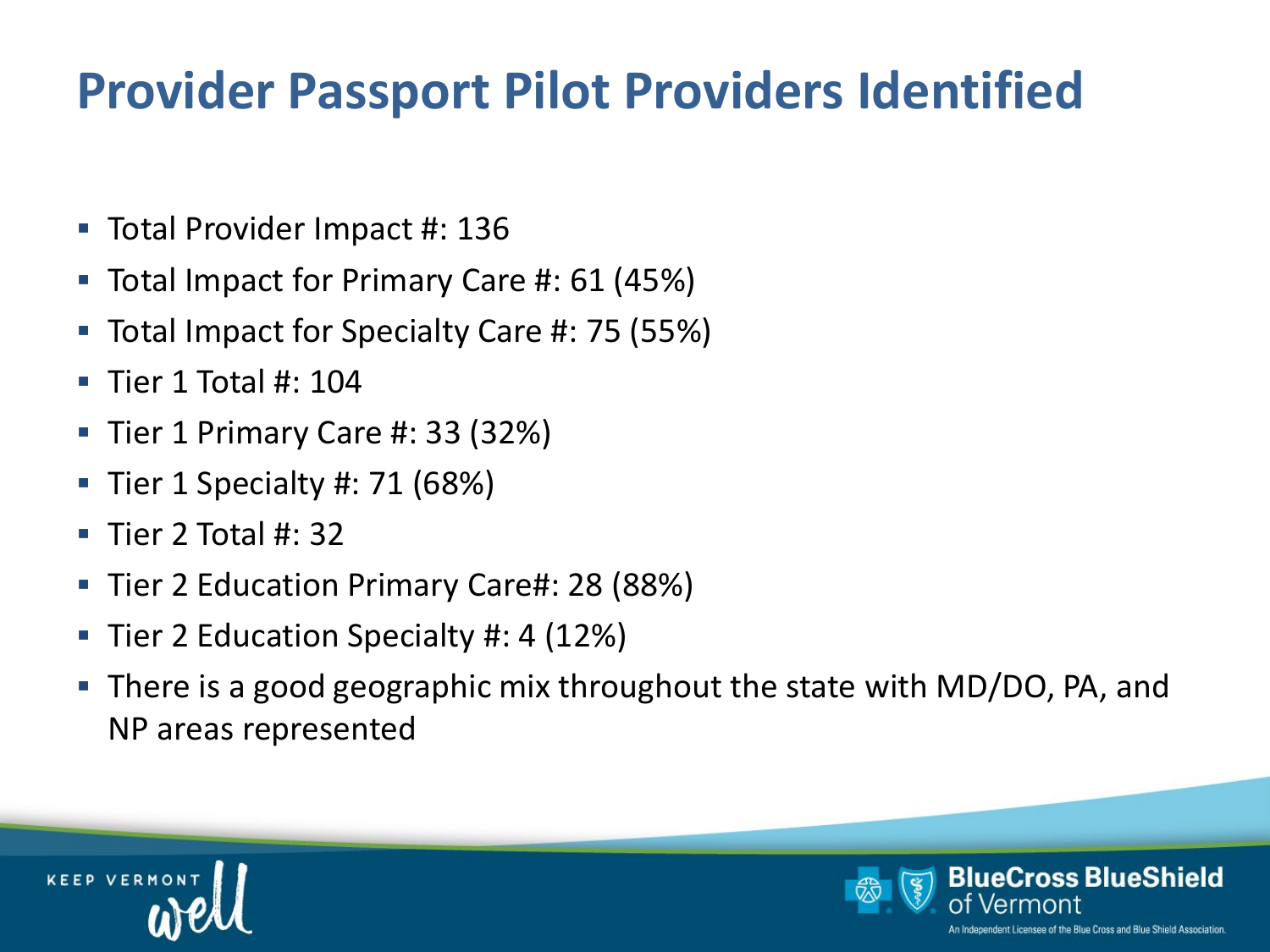# **Provider Passport Pilot Providers Identified**

- Total Provider Impact #: 136
- Total Impact for Primary Care #: 61 (45%)
- Total Impact for Specialty Care #: 75 (55%)
- $\blacksquare$  Tier 1 Total #: 104
- $\blacksquare$  Tier 1 Primary Care #: 33 (32%)
- $\blacksquare$  Tier 1 Specialty #: 71 (68%)
- $\blacksquare$  Tier 2 Total #: 32
- Tier 2 Education Primary Care#: 28 (88%)
- Tier 2 Education Specialty #: 4 (12%)
- There is a good geographic mix throughout the state with MD/DO, PA, and NP areas represented



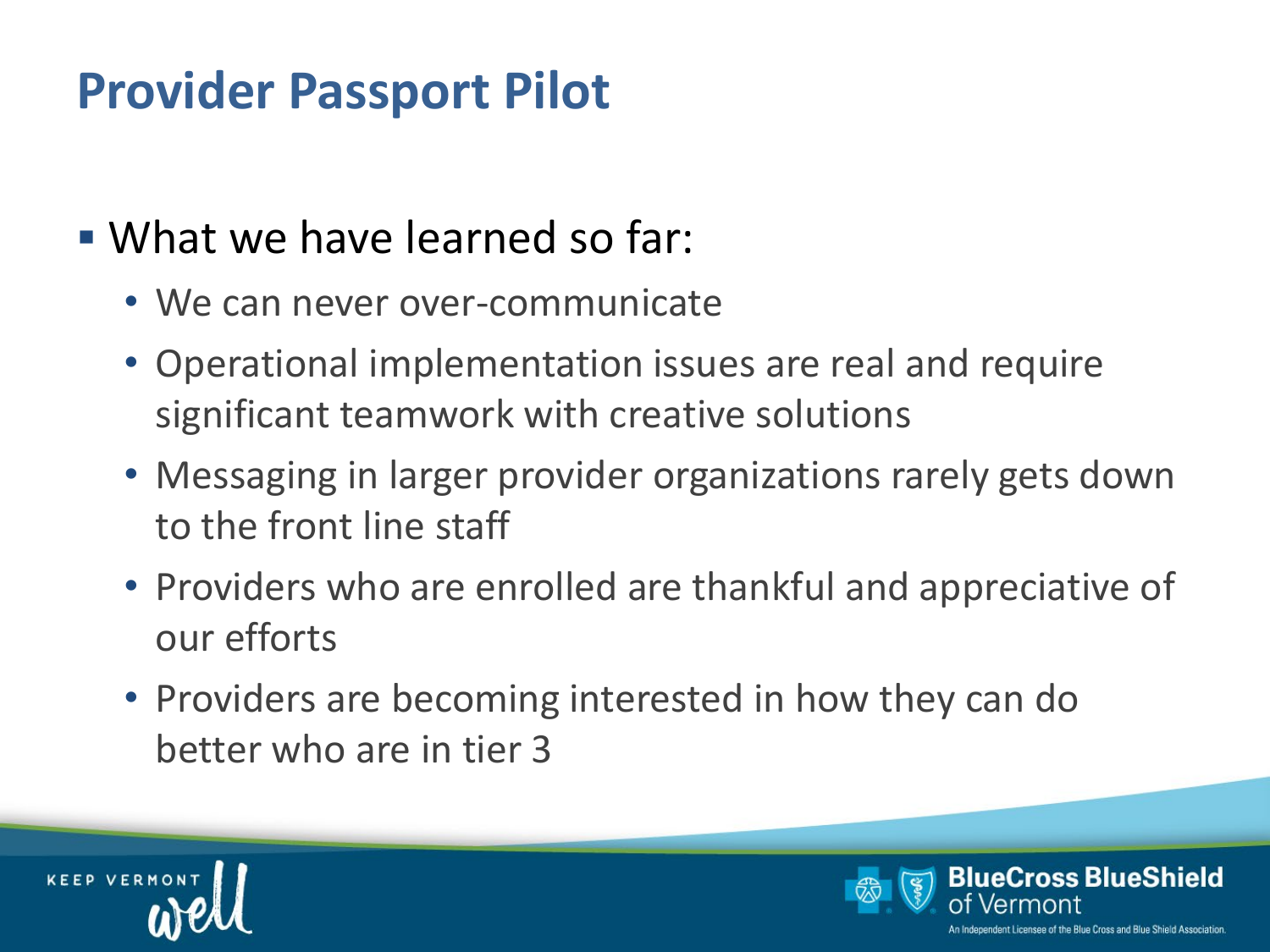# **Provider Passport Pilot**

- What we have learned so far:
	- We can never over-communicate
	- Operational implementation issues are real and require significant teamwork with creative solutions
	- Messaging in larger provider organizations rarely gets down to the front line staff
	- Providers who are enrolled are thankful and appreciative of our efforts
	- Providers are becoming interested in how they can do better who are in tier 3



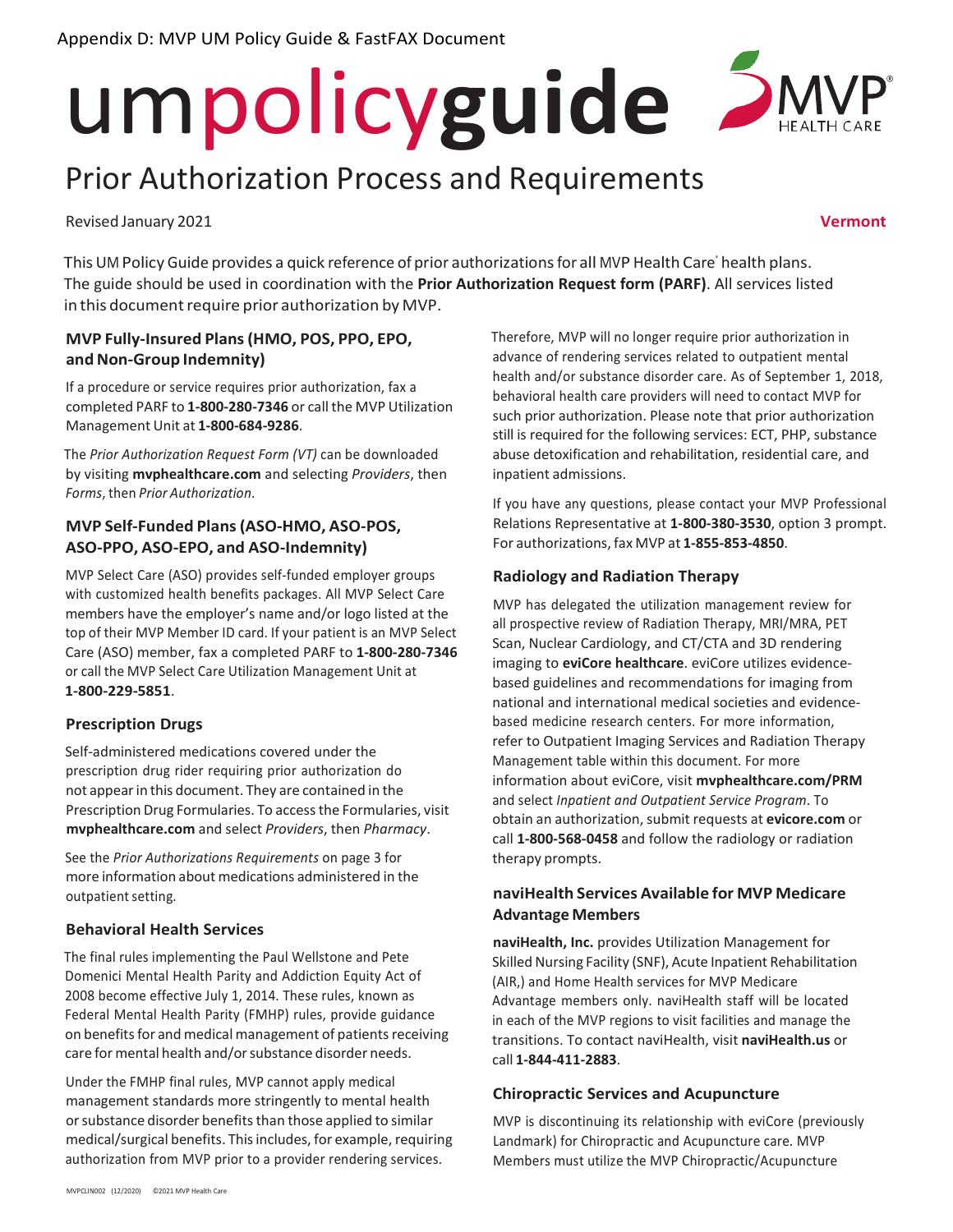# umpolicy**guide**

# Prior Authorization Process and Requirements

Revised January 2021 **Vermont**

This UM Policy Guide provides a quick reference of prior authorizations for all MVP Health Care® health plans. The guide should be used in coordination with the **Prior Authorization Request form (PARF)**. All services listed in this document require prior authorization by MVP.

#### **MVP Fully-Insured Plans(HMO, POS, PPO, EPO, andNon-Group Indemnity)**

If a procedure or service requires prior authorization, fax a completed PARF to **1-800-280-7346** or call the MVP Utilization Management Unit at **1-800-684-9286**.

The *Prior Authorization Request Form (VT)* can be downloaded by visiting **mvphealthcare.com** and selecting *Providers*, then *Forms*, then *Prior Authorization*.

#### **MVP Self-Funded Plans (ASO-HMO, ASO-POS, ASO-PPO, ASO-EPO, and ASO-Indemnity)**

MVP Select Care (ASO) provides self-funded employer groups with customized health benefits packages. All MVP Select Care members have the employer's name and/or logo listed at the top of their MVP Member ID card. If your patient is an MVP Select Care (ASO) member, fax a completed PARF to **1-800-280-7346** or call the MVP Select Care Utilization Management Unit at **1-800-229-5851**.

#### **Prescription Drugs**

Self-administered medications covered under the prescription drug rider requiring prior authorization do not appearin this document. They are contained in the Prescription Drug Formularies. To access the Formularies, visit **mvphealthcare.com** and select *Providers*, then *Pharmacy*.

See the *Prior Authorizations Requirements* on page 3 for more information about medications administered in the outpatient setting.

#### **Behavioral Health Services**

The final rules implementing the Paul Wellstone and Pete Domenici Mental Health Parity and Addiction Equity Act of 2008 become effective July 1, 2014. These rules, known as Federal Mental Health Parity (FMHP) rules, provide guidance on benefits for and medical management of patients receiving care for mental health and/or substance disorder needs.

Under the FMHP final rules, MVP cannot apply medical management standards more stringently to mental health or substance disorder benefits than those applied to similar medical/surgical benefits. This includes, for example, requiring authorization from MVP prior to a provider rendering services.

Therefore, MVP will no longer require prior authorization in advance of rendering services related to outpatient mental health and/or substance disorder care. As of September 1, 2018, behavioral health care providers will need to contact MVP for such prior authorization. Please note that prior authorization still is required for the following services: ECT, PHP, substance abuse detoxification and rehabilitation, residential care, and inpatient admissions.

If you have any questions, please contact your MVP Professional Relations Representative at **1-800-380-3530**, option 3 prompt. For authorizations, fax MVP at **1-855-853-4850**.

#### **Radiology and Radiation Therapy**

MVP has delegated the utilization management review for all prospective review of Radiation Therapy, MRI/MRA, PET Scan, Nuclear Cardiology, and CT/CTA and 3D rendering imaging to **eviCore healthcare**. eviCore utilizes evidencebased guidelines and recommendations for imaging from national and international medical societies and evidencebased medicine research centers. For more information, refer to Outpatient Imaging Services and Radiation Therapy Management table within this document. For more information about eviCore, visit **mvphealthcare.com/PRM** and select *Inpatient and Outpatient Service Program*. To obtain an authorization,submit requests at **evicore.com** or call **1-800-568-0458** and follow the radiology or radiation therapy prompts.

#### **naviHealth Services Available for MVP Medicare Advantage Members**

**naviHealth, Inc.** provides Utilization Management for Skilled Nursing Facility (SNF), Acute Inpatient Rehabilitation (AIR,) and Home Health services for MVP Medicare Advantage members only. naviHealth staff will be located in each of the MVP regions to visit facilities and manage the transitions. To contact naviHealth, visit **naviHealth.us** or call **1-844-411-2883**.

#### **Chiropractic Services and Acupuncture**

MVP is discontinuing its relationship with eviCore (previously Landmark) for Chiropractic and Acupuncture care. MVP Members must utilize the MVP Chiropractic/Acupuncture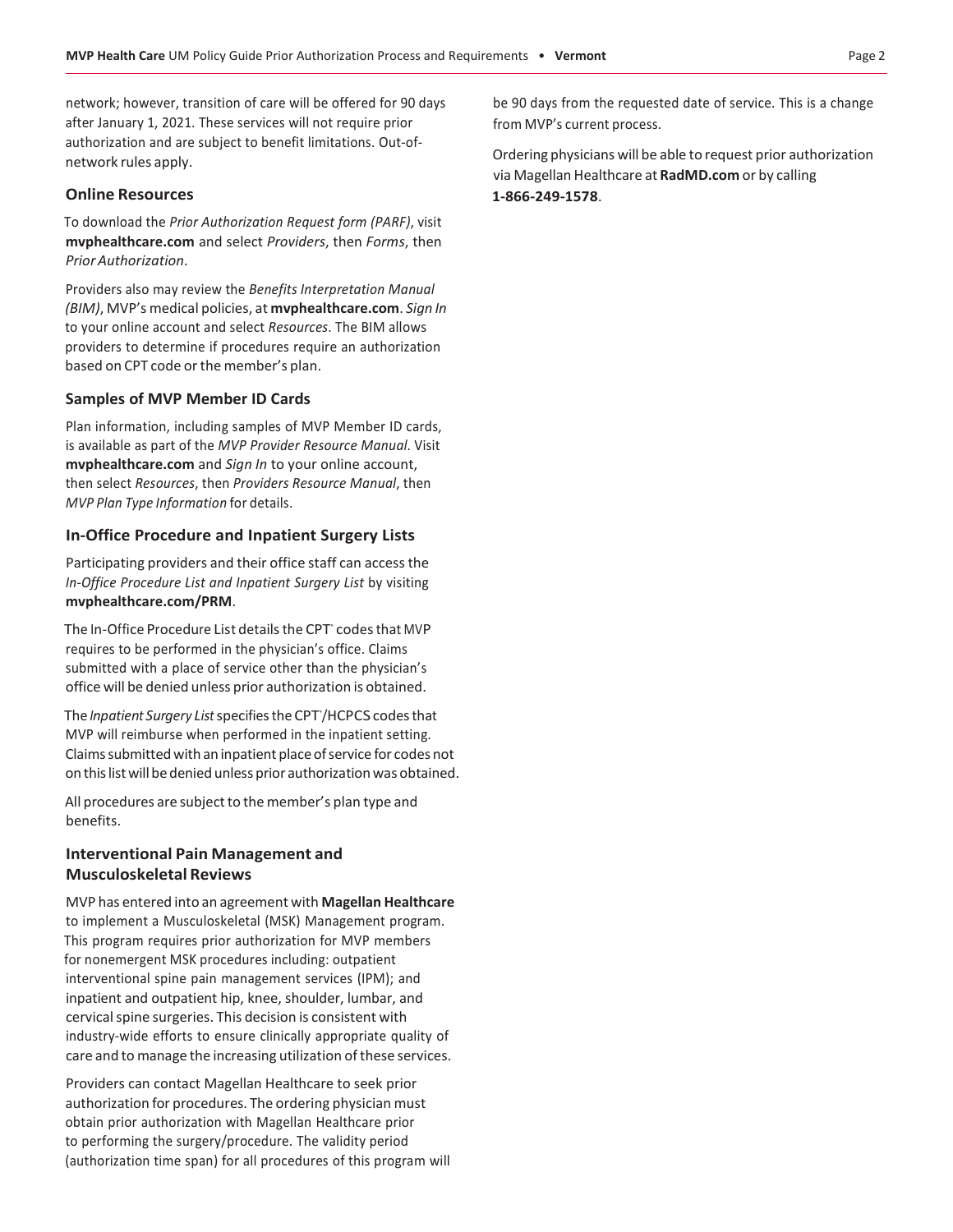network; however, transition of care will be offered for 90 days after January 1, 2021. These services will not require prior authorization and are subject to benefit limitations. Out-ofnetwork rules apply.

#### **Online Resources**

To download the *Prior Authorization Request form (PARF)*, visit **mvphealthcare.com** and select *Providers*, then *Forms*, then *PriorAuthorization*.

Providers also may review the *Benefits Interpretation Manual (BIM)*, MVP's medical policies, at **mvphealthcare.com**. *Sign In* to your online account and select *Resources*. The BIM allows providers to determine if procedures require an authorization based on CPT code or the member's plan.

#### **Samples of MVP Member ID Cards**

Plan information, including samples of MVP Member ID cards, is available as part of the *MVP Provider Resource Manual*. Visit **mvphealthcare.com** and *Sign In* to your online account, then select *Resources*, then *Providers Resource Manual*, then *MVP Plan Type Information* for details.

#### **In-Office Procedure and Inpatient Surgery Lists**

Participating providers and their office staff can accessthe *In-Office Procedure List and Inpatient Surgery List* by visiting **mvphealthcare.com/PRM**.

The In-Office Procedure List details the CPT° codes that MVP requires to be performed in the physician's office. Claims submitted with a place of service other than the physician's office will be denied unless prior authorization is obtained.

The *Inpatient Surgery List* specifies the CPT<sup>'</sup>/HCPCS codes that MVP will reimburse when performed in the inpatient setting. Claims submitted with an inpatient place of service for codes not on this list will be denied unless prior authorization was obtained.

All procedures are subject to the member's plan type and benefits.

#### **Interventional Pain Management and Musculoskeletal Reviews**

MVP has entered into an agreement with **Magellan Healthcare** to implement a Musculoskeletal (MSK) Management program. This program requires prior authorization for MVP members for nonemergent MSK procedures including: outpatient interventional spine pain management services (IPM); and inpatient and outpatient hip, knee, shoulder, lumbar, and cervical spine surgeries. This decision is consistent with industry-wide efforts to ensure clinically appropriate quality of care and to manage the increasing utilization of these services.

Providers can contact Magellan Healthcare to seek prior authorization for procedures. The ordering physician must obtain prior authorization with Magellan Healthcare prior to performing the surgery/procedure. The validity period (authorization time span) for all procedures of this program will be 90 days from the requested date of service. This is a change from MVP's current process.

Ordering physicians will be able to request prior authorization via Magellan Healthcare at **RadMD.com** or by calling **1-866-249-1578**.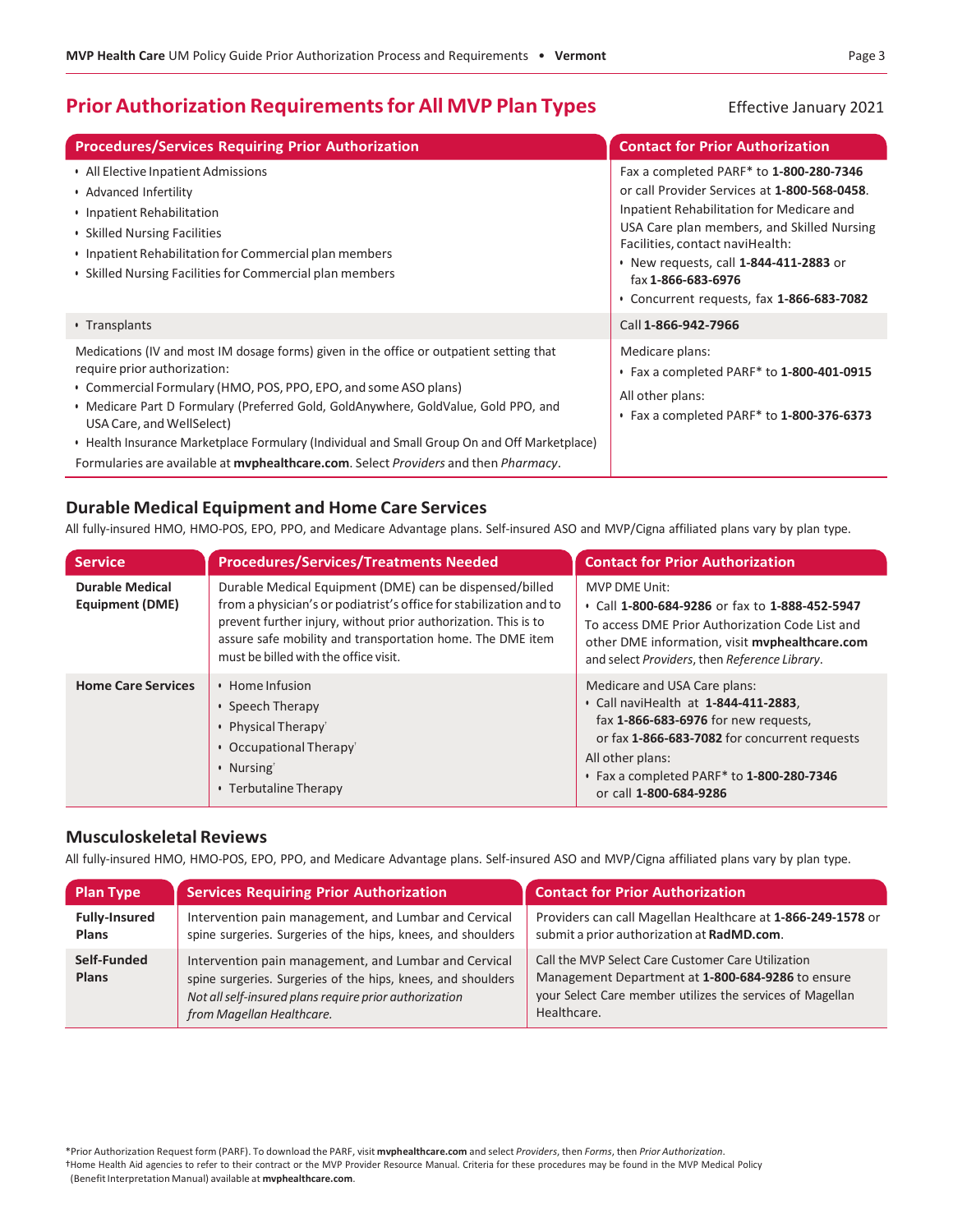# **Prior Authorization Requirements for All MVP Plan Types** Effective January 2021

| <b>Procedures/Services Requiring Prior Authorization</b>                                                                                                                                                                                                                                                                                                                                                                                                                                               | <b>Contact for Prior Authorization</b>                                                                                                                                                                                                                                                                                             |
|--------------------------------------------------------------------------------------------------------------------------------------------------------------------------------------------------------------------------------------------------------------------------------------------------------------------------------------------------------------------------------------------------------------------------------------------------------------------------------------------------------|------------------------------------------------------------------------------------------------------------------------------------------------------------------------------------------------------------------------------------------------------------------------------------------------------------------------------------|
| • All Elective Inpatient Admissions<br>• Advanced Infertility<br>• Inpatient Rehabilitation<br>• Skilled Nursing Facilities<br>• Inpatient Rehabilitation for Commercial plan members<br>• Skilled Nursing Facilities for Commercial plan members                                                                                                                                                                                                                                                      | Fax a completed PARF* to 1-800-280-7346<br>or call Provider Services at 1-800-568-0458.<br>Inpatient Rehabilitation for Medicare and<br>USA Care plan members, and Skilled Nursing<br>Facilities, contact naviHealth:<br>• New requests, call 1-844-411-2883 or<br>fax 1-866-683-6976<br>• Concurrent requests, fax 1-866-683-7082 |
| • Transplants                                                                                                                                                                                                                                                                                                                                                                                                                                                                                          | Call 1-866-942-7966                                                                                                                                                                                                                                                                                                                |
| Medications (IV and most IM dosage forms) given in the office or outpatient setting that<br>require prior authorization:<br>• Commercial Formulary (HMO, POS, PPO, EPO, and some ASO plans)<br>• Medicare Part D Formulary (Preferred Gold, GoldAnywhere, GoldValue, Gold PPO, and<br>USA Care, and WellSelect)<br>• Health Insurance Marketplace Formulary (Individual and Small Group On and Off Marketplace)<br>Formularies are available at mvphealthcare.com. Select Providers and then Pharmacy. | Medicare plans:<br>• Fax a completed PARF* to 1-800-401-0915<br>All other plans:<br>$\cdot$ Fax a completed PARF* to 1-800-376-6373                                                                                                                                                                                                |

#### **Durable Medical Equipment and Home Care Services**

All fully-insured HMO, HMO-POS, EPO, PPO, and Medicare Advantage plans. Self-insured ASO and MVP/Cigna affiliated plans vary by plan type.

| <b>Service</b>                            | <b>Procedures/Services/Treatments Needed</b>                                                                                                                                                                                                                                                            | <b>Contact for Prior Authorization</b>                                                                                                                                                                                                                   |
|-------------------------------------------|---------------------------------------------------------------------------------------------------------------------------------------------------------------------------------------------------------------------------------------------------------------------------------------------------------|----------------------------------------------------------------------------------------------------------------------------------------------------------------------------------------------------------------------------------------------------------|
| <b>Durable Medical</b><br>Equipment (DME) | Durable Medical Equipment (DME) can be dispensed/billed<br>from a physician's or podiatrist's office for stabilization and to<br>prevent further injury, without prior authorization. This is to<br>assure safe mobility and transportation home. The DME item<br>must be billed with the office visit. | MVP DME Unit:<br>• Call 1-800-684-9286 or fax to 1-888-452-5947<br>To access DME Prior Authorization Code List and<br>other DME information, visit myphealthcare.com<br>and select Providers, then Reference Library.                                    |
| <b>Home Care Services</b>                 | Home Infusion<br>• Speech Therapy<br>• Physical Therapy <sup>®</sup><br>• Occupational Therapy <sup>®</sup><br>• Nursing<br>• Terbutaline Therapy                                                                                                                                                       | Medicare and USA Care plans:<br>• Call naviHealth at 1-844-411-2883,<br>fax 1-866-683-6976 for new requests,<br>or fax 1-866-683-7082 for concurrent requests<br>All other plans:<br>• Fax a completed PARF* to 1-800-280-7346<br>or call 1-800-684-9286 |

#### **Musculoskeletal Reviews**

All fully-insured HMO, HMO-POS, EPO, PPO, and Medicare Advantage plans. Self-insured ASO and MVP/Cigna affiliated plans vary by plan type.

| <b>Plan Type</b>                     | <b>Services Requiring Prior Authorization</b>                                                                                                                                                                | <b>Contact for Prior Authorization</b>                                                                                                                                              |
|--------------------------------------|--------------------------------------------------------------------------------------------------------------------------------------------------------------------------------------------------------------|-------------------------------------------------------------------------------------------------------------------------------------------------------------------------------------|
| <b>Fully-Insured</b><br><b>Plans</b> | Intervention pain management, and Lumbar and Cervical<br>spine surgeries. Surgeries of the hips, knees, and shoulders                                                                                        | Providers can call Magellan Healthcare at 1-866-249-1578 or<br>submit a prior authorization at RadMD.com.                                                                           |
| Self-Funded<br>Plans                 | Intervention pain management, and Lumbar and Cervical<br>spine surgeries. Surgeries of the hips, knees, and shoulders<br>Not all self-insured plans require prior authorization<br>from Magellan Healthcare. | Call the MVP Select Care Customer Care Utilization<br>Management Department at 1-800-684-9286 to ensure<br>your Select Care member utilizes the services of Magellan<br>Healthcare. |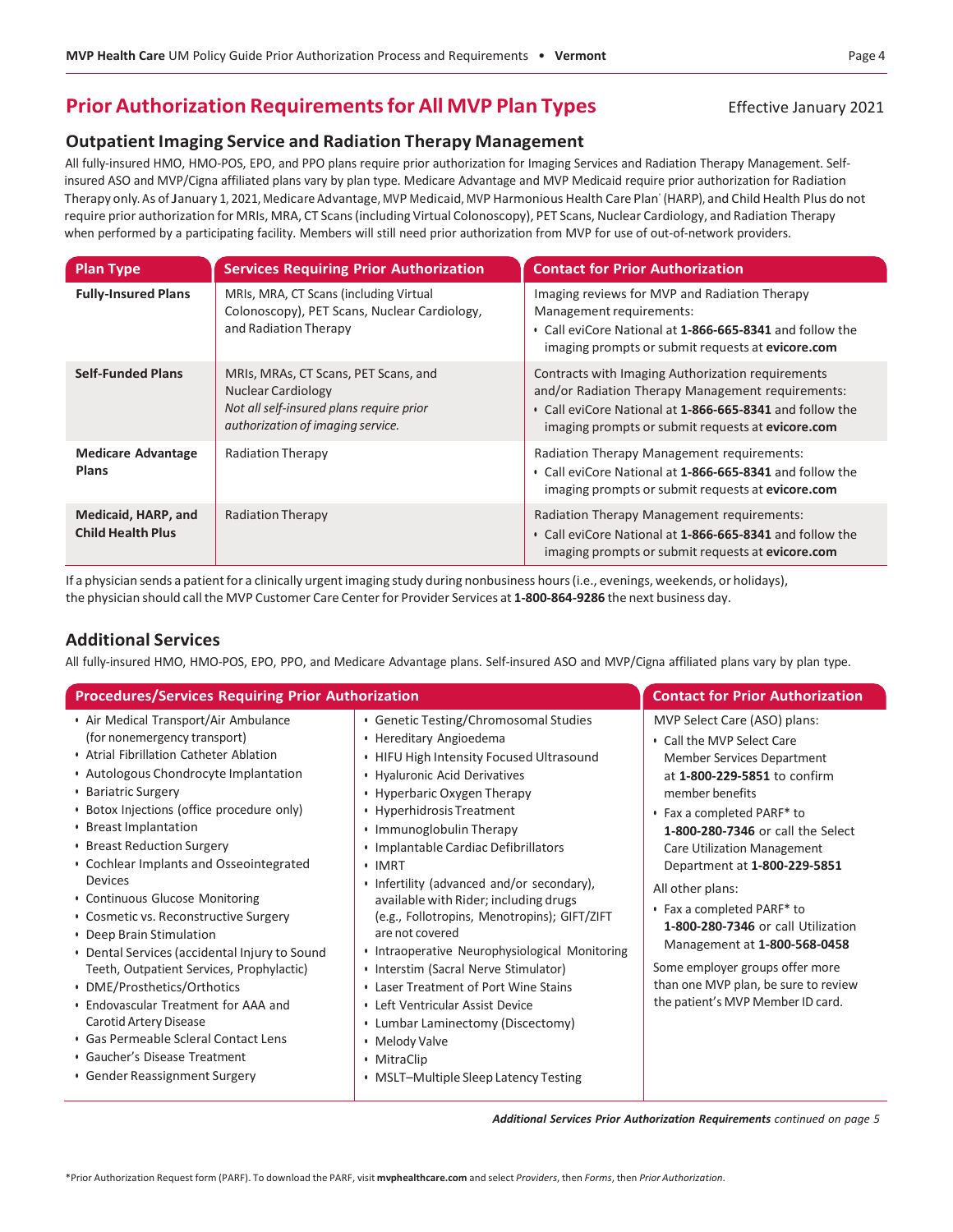# **Prior Authorization Requirements for All MVP Plan Types** Effective January 2021

#### **Outpatient Imaging Service and Radiation Therapy Management**

All fully-insured HMO, HMO-POS, EPO, and PPO plans require prior authorization for Imaging Services and Radiation Therapy Management. Selfinsured ASO and MVP/Cigna affiliated plans vary by plan type. Medicare Advantage and MVP Medicaid require prior authorization for Radiation Therapy only. As of January 1, 2021, Medicare Advantage, MVP Medicaid, MVP Harmonious Health Care Plan' (HARP), and Child Health Plus do not require prior authorization for MRIs, MRA, CT Scans(including Virtual Colonoscopy), PET Scans, Nuclear Cardiology, and Radiation Therapy when performed by a participating facility. Members will still need prior authorization from MVP for use of out-of-network providers.

| <b>Plan Type</b>                                | <b>Services Requiring Prior Authorization</b>                                                                                                      | <b>Contact for Prior Authorization</b>                                                                                                                                                                                  |
|-------------------------------------------------|----------------------------------------------------------------------------------------------------------------------------------------------------|-------------------------------------------------------------------------------------------------------------------------------------------------------------------------------------------------------------------------|
| <b>Fully-Insured Plans</b>                      | MRIs, MRA, CT Scans (including Virtual<br>Colonoscopy), PET Scans, Nuclear Cardiology,<br>and Radiation Therapy                                    | Imaging reviews for MVP and Radiation Therapy<br>Management requirements:<br>• Call eviCore National at 1-866-665-8341 and follow the<br>imaging prompts or submit requests at evicore.com                              |
| <b>Self-Funded Plans</b>                        | MRIs, MRAs, CT Scans, PET Scans, and<br><b>Nuclear Cardiology</b><br>Not all self-insured plans require prior<br>authorization of imaging service. | Contracts with Imaging Authorization requirements<br>and/or Radiation Therapy Management requirements:<br>• Call eviCore National at 1-866-665-8341 and follow the<br>imaging prompts or submit requests at evicore.com |
| <b>Medicare Advantage</b><br><b>Plans</b>       | <b>Radiation Therapy</b>                                                                                                                           | Radiation Therapy Management requirements:<br>• Call eviCore National at 1-866-665-8341 and follow the<br>imaging prompts or submit requests at evicore.com                                                             |
| Medicaid, HARP, and<br><b>Child Health Plus</b> | <b>Radiation Therapy</b>                                                                                                                           | Radiation Therapy Management requirements:<br>• Call eviCore National at 1-866-665-8341 and follow the<br>imaging prompts or submit requests at evicore.com                                                             |

If a physician sends a patient for a clinically urgent imaging study during nonbusiness hours (i.e., evenings, weekends, or holidays), the physician should call the MVP Customer Care Centerfor Provider Services at **1-800-864-9286** the next business day.

#### **Additional Services**

All fully-insured HMO, HMO-POS, EPO, PPO, and Medicare Advantage plans. Self-insured ASO and MVP/Cigna affiliated plans vary by plan type.

| <b>Procedures/Services Requiring Prior Authorization</b>                                                                                                                                                                                                                                                                                                                                                                                                                                                                                                                                                                                                                                                                                                     |                                                                                                                                                                                                                                                                                                                                                                                                                                                                                                                                                                                                                                                                                                                                                | <b>Contact for Prior Authorization</b>                                                                                                                                                                                                                                                                                                                                                                                                                                                                                       |
|--------------------------------------------------------------------------------------------------------------------------------------------------------------------------------------------------------------------------------------------------------------------------------------------------------------------------------------------------------------------------------------------------------------------------------------------------------------------------------------------------------------------------------------------------------------------------------------------------------------------------------------------------------------------------------------------------------------------------------------------------------------|------------------------------------------------------------------------------------------------------------------------------------------------------------------------------------------------------------------------------------------------------------------------------------------------------------------------------------------------------------------------------------------------------------------------------------------------------------------------------------------------------------------------------------------------------------------------------------------------------------------------------------------------------------------------------------------------------------------------------------------------|------------------------------------------------------------------------------------------------------------------------------------------------------------------------------------------------------------------------------------------------------------------------------------------------------------------------------------------------------------------------------------------------------------------------------------------------------------------------------------------------------------------------------|
| • Air Medical Transport/Air Ambulance<br>(for nonemergency transport)<br>• Atrial Fibrillation Catheter Ablation<br>• Autologous Chondrocyte Implantation<br>• Bariatric Surgery<br>• Botox Injections (office procedure only)<br>• Breast Implantation<br>• Breast Reduction Surgery<br>• Cochlear Implants and Osseointegrated<br>Devices<br>• Continuous Glucose Monitoring<br>• Cosmetic vs. Reconstructive Surgery<br>• Deep Brain Stimulation<br>• Dental Services (accidental Injury to Sound<br>Teeth, Outpatient Services, Prophylactic)<br>• DME/Prosthetics/Orthotics<br>• Endovascular Treatment for AAA and<br>Carotid Artery Disease<br>· Gas Permeable Scleral Contact Lens<br>• Gaucher's Disease Treatment<br>• Gender Reassignment Surgery | • Genetic Testing/Chromosomal Studies<br>• Hereditary Angioedema<br>• HIFU High Intensity Focused Ultrasound<br>• Hyaluronic Acid Derivatives<br>• Hyperbaric Oxygen Therapy<br>• Hyperhidrosis Treatment<br>• Immunoglobulin Therapy<br>• Implantable Cardiac Defibrillators<br>$\cdot$ IMRT<br>• Infertility (advanced and/or secondary),<br>available with Rider; including drugs<br>(e.g., Follotropins, Menotropins); GIFT/ZIFT<br>are not covered<br>• Intraoperative Neurophysiological Monitoring<br>• Interstim (Sacral Nerve Stimulator)<br>• Laser Treatment of Port Wine Stains<br>• Left Ventricular Assist Device<br>• Lumbar Laminectomy (Discectomy)<br>• Melody Valve<br>• MitraClip<br>• MSLT-Multiple Sleep Latency Testing | MVP Select Care (ASO) plans:<br>• Call the MVP Select Care<br>Member Services Department<br>at 1-800-229-5851 to confirm<br>member benefits<br>• Fax a completed PARF* to<br>1-800-280-7346 or call the Select<br><b>Care Utilization Management</b><br>Department at 1-800-229-5851<br>All other plans:<br>• Fax a completed PARF* to<br>1-800-280-7346 or call Utilization<br>Management at 1-800-568-0458<br>Some employer groups offer more<br>than one MVP plan, be sure to review<br>the patient's MVP Member ID card. |
|                                                                                                                                                                                                                                                                                                                                                                                                                                                                                                                                                                                                                                                                                                                                                              |                                                                                                                                                                                                                                                                                                                                                                                                                                                                                                                                                                                                                                                                                                                                                |                                                                                                                                                                                                                                                                                                                                                                                                                                                                                                                              |

*Additional Services Prior Authorization Requirements continued on page 5*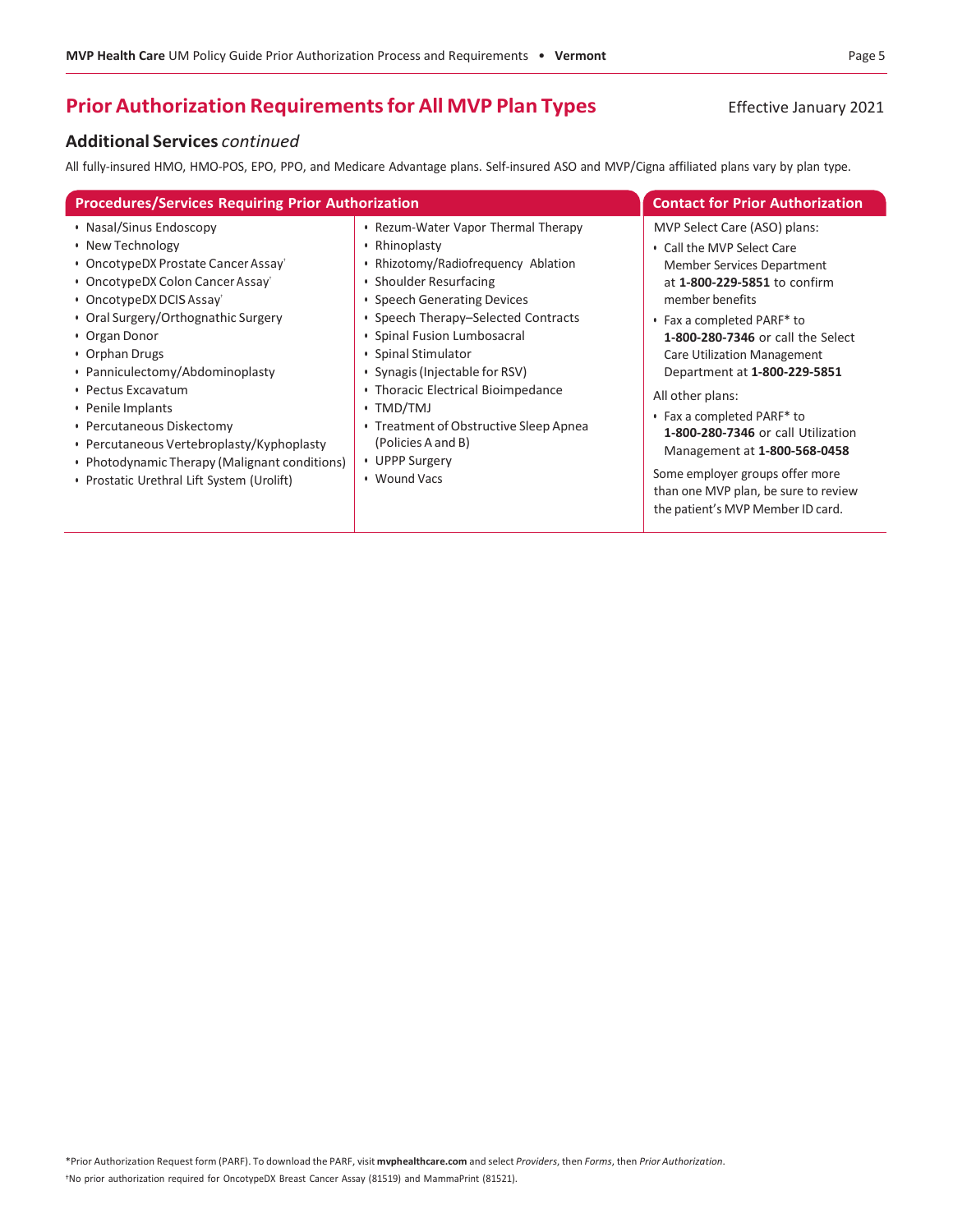# **Prior Authorization Requirements for All MVP Plan Types** Effective January 2021

#### **Additional Services** *continued*

All fully-insured HMO, HMO-POS, EPO, PPO, and Medicare Advantage plans. Self-insured ASO and MVP/Cigna affiliated plans vary by plan type.

| <b>Procedures/Services Requiring Prior Authorization</b>                                                                                                                                                                                                                                                                                                                                                                                                                                                   | <b>Contact for Prior Authorization</b>                                                                                                                                                                                                                                                                                                                                                                                                   |                                                                                                                                                                                                                                                                                                                                                                                                                                                                                                                       |
|------------------------------------------------------------------------------------------------------------------------------------------------------------------------------------------------------------------------------------------------------------------------------------------------------------------------------------------------------------------------------------------------------------------------------------------------------------------------------------------------------------|------------------------------------------------------------------------------------------------------------------------------------------------------------------------------------------------------------------------------------------------------------------------------------------------------------------------------------------------------------------------------------------------------------------------------------------|-----------------------------------------------------------------------------------------------------------------------------------------------------------------------------------------------------------------------------------------------------------------------------------------------------------------------------------------------------------------------------------------------------------------------------------------------------------------------------------------------------------------------|
| • Nasal/Sinus Endoscopy<br>• New Technology<br>• OncotypeDX Prostate Cancer Assay <sup>®</sup><br>• OncotypeDX Colon Cancer Assay <sup>®</sup><br>• OncotypeDX DCIS Assay<br>• Oral Surgery/Orthognathic Surgery<br>• Organ Donor<br>• Orphan Drugs<br>• Panniculectomy/Abdominoplasty<br>• Pectus Excavatum<br>• Penile Implants<br>• Percutaneous Diskectomy<br>• Percutaneous Vertebroplasty/Kyphoplasty<br>• Photodynamic Therapy (Malignant conditions)<br>• Prostatic Urethral Lift System (Urolift) | • Rezum-Water Vapor Thermal Therapy<br>• Rhinoplasty<br>• Rhizotomy/Radiofrequency Ablation<br>• Shoulder Resurfacing<br>• Speech Generating Devices<br>• Speech Therapy-Selected Contracts<br>• Spinal Fusion Lumbosacral<br>• Spinal Stimulator<br>• Synagis (Injectable for RSV)<br>• Thoracic Electrical Bioimpedance<br>• TMD/TMJ<br>• Treatment of Obstructive Sleep Apnea<br>(Policies A and B)<br>• UPPP Surgery<br>• Wound Vacs | MVP Select Care (ASO) plans:<br>• Call the MVP Select Care<br>Member Services Department<br>at 1-800-229-5851 to confirm<br>member benefits<br>• Fax a completed PARF* to<br>1-800-280-7346 or call the Select<br>Care Utilization Management<br>Department at 1-800-229-5851<br>All other plans:<br>• Fax a completed PARF* to<br>1-800-280-7346 or call Utilization<br>Management at 1-800-568-0458<br>Some employer groups offer more<br>than one MVP plan, be sure to review<br>the patient's MVP Member ID card. |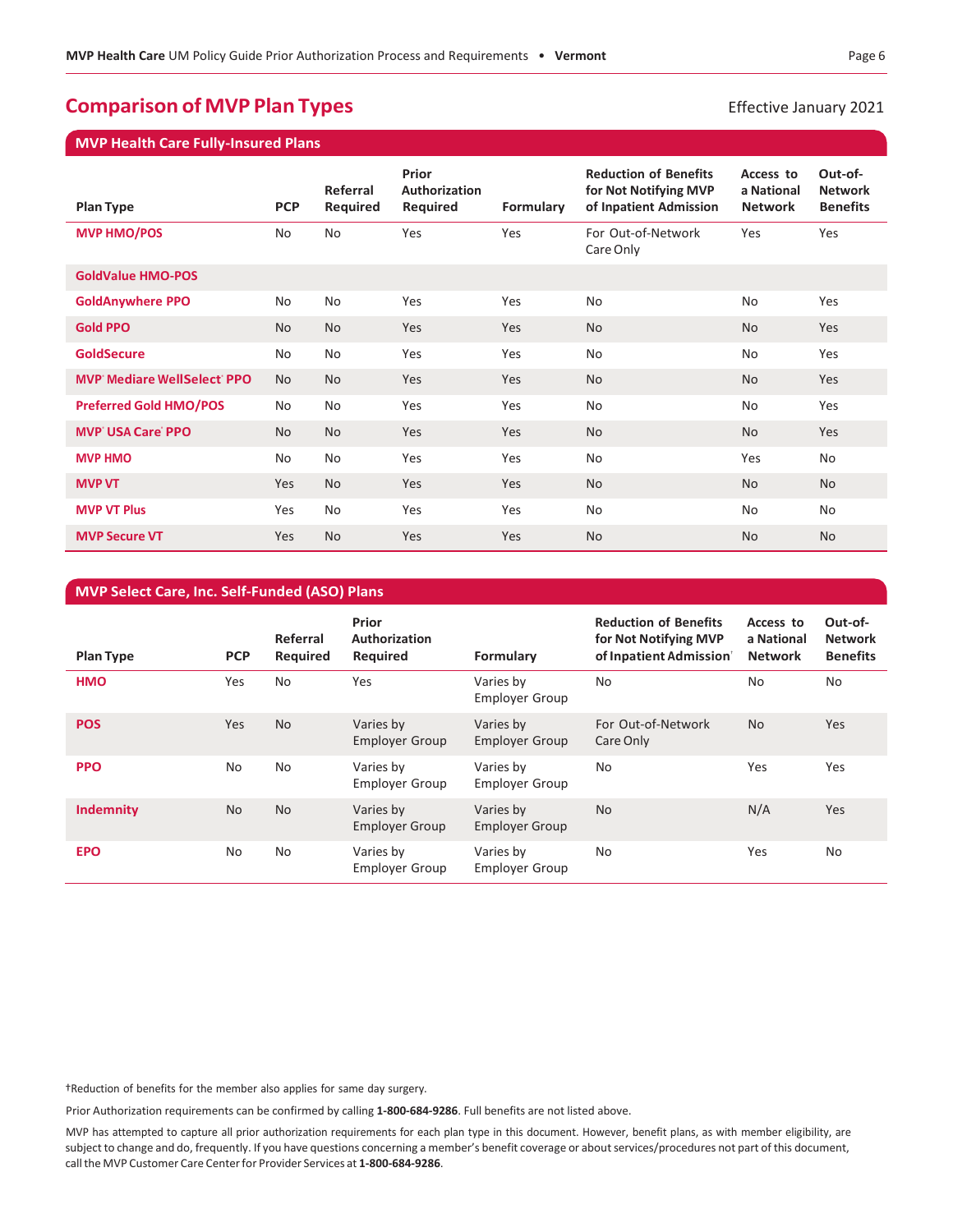# **Comparison of MVP Plan Types Effective January 2021**

**MVP Health Care Fully-Insured Plans**

| <b>Plan Type</b>                  | <b>PCP</b> | Referral<br>Required | <b>Prior</b><br>Authorization<br>Required | Formulary | <b>Reduction of Benefits</b><br>for Not Notifying MVP<br>of Inpatient Admission | Access to<br>a National<br><b>Network</b> | Out-of-<br><b>Network</b><br><b>Benefits</b> |
|-----------------------------------|------------|----------------------|-------------------------------------------|-----------|---------------------------------------------------------------------------------|-------------------------------------------|----------------------------------------------|
| <b>MVP HMO/POS</b>                | No         | <b>No</b>            | Yes                                       | Yes       | For Out-of-Network<br>Care Only                                                 | Yes                                       | Yes                                          |
| <b>GoldValue HMO-POS</b>          |            |                      |                                           |           |                                                                                 |                                           |                                              |
| <b>GoldAnywhere PPO</b>           | No         | <b>No</b>            | Yes                                       | Yes       | No                                                                              | <b>No</b>                                 | Yes                                          |
| <b>Gold PPO</b>                   | <b>No</b>  | <b>No</b>            | Yes                                       | Yes       | <b>No</b>                                                                       | <b>No</b>                                 | Yes                                          |
| <b>GoldSecure</b>                 | No         | No                   | Yes                                       | Yes       | No                                                                              | No                                        | Yes                                          |
| <b>MVP</b> Mediare WellSelect PPO | <b>No</b>  | <b>No</b>            | Yes                                       | Yes       | <b>No</b>                                                                       | <b>No</b>                                 | Yes                                          |
| <b>Preferred Gold HMO/POS</b>     | No         | No                   | Yes                                       | Yes       | No                                                                              | No                                        | Yes                                          |
| <b>MVP USA Care PPO</b>           | <b>No</b>  | <b>No</b>            | Yes                                       | Yes       | <b>No</b>                                                                       | <b>No</b>                                 | Yes                                          |
| <b>MVP HMO</b>                    | No         | No                   | Yes                                       | Yes       | No                                                                              | Yes                                       | No                                           |
| <b>MVP VT</b>                     | Yes        | <b>No</b>            | Yes                                       | Yes       | <b>No</b>                                                                       | <b>No</b>                                 | <b>No</b>                                    |
| <b>MVP VT Plus</b>                | Yes        | No                   | Yes                                       | Yes       | No                                                                              | No                                        | No                                           |
| <b>MVP Secure VT</b>              | Yes        | <b>No</b>            | <b>Yes</b>                                | Yes       | <b>No</b>                                                                       | <b>No</b>                                 | <b>No</b>                                    |

#### **MVP Select Care, Inc. Self-Funded (ASO) Plans**

| <b>Plan Type</b> | <b>PCP</b> | Referral<br>Required | Prior<br>Authorization<br>Required | Formulary                          | <b>Reduction of Benefits</b><br>for Not Notifying MVP<br>of Inpatient Admission | Access to<br>a National<br><b>Network</b> | Out-of-<br><b>Network</b><br><b>Benefits</b> |
|------------------|------------|----------------------|------------------------------------|------------------------------------|---------------------------------------------------------------------------------|-------------------------------------------|----------------------------------------------|
| <b>HMO</b>       | Yes        | <b>No</b>            | Yes                                | Varies by<br><b>Employer Group</b> | No                                                                              | <b>No</b>                                 | No                                           |
| <b>POS</b>       | Yes        | <b>No</b>            | Varies by<br><b>Employer Group</b> | Varies by<br><b>Employer Group</b> | For Out-of-Network<br>Care Only                                                 | <b>No</b>                                 | <b>Yes</b>                                   |
| <b>PPO</b>       | <b>No</b>  | No                   | Varies by<br><b>Employer Group</b> | Varies by<br>Employer Group        | No                                                                              | Yes                                       | Yes                                          |
| <b>Indemnity</b> | <b>No</b>  | <b>No</b>            | Varies by<br><b>Employer Group</b> | Varies by<br><b>Employer Group</b> | <b>No</b>                                                                       | N/A                                       | Yes                                          |
| <b>EPO</b>       | No         | No                   | Varies by<br><b>Employer Group</b> | Varies by<br><b>Employer Group</b> | No                                                                              | Yes                                       | No                                           |

†Reduction of benefits for the member also applies for same day surgery.

Prior Authorization requirements can be confirmed by calling **1-800-684-9286**. Full benefits are not listed above.

MVP has attempted to capture all prior authorization requirements for each plan type in this document. However, benefit plans, as with member eligibility, are subject to change and do, frequently. If you have questions concerning a member's benefit coverage or aboutservices/procedures not part of this document, call the MVP Customer Care Center for Provider Services at 1-800-684-9286.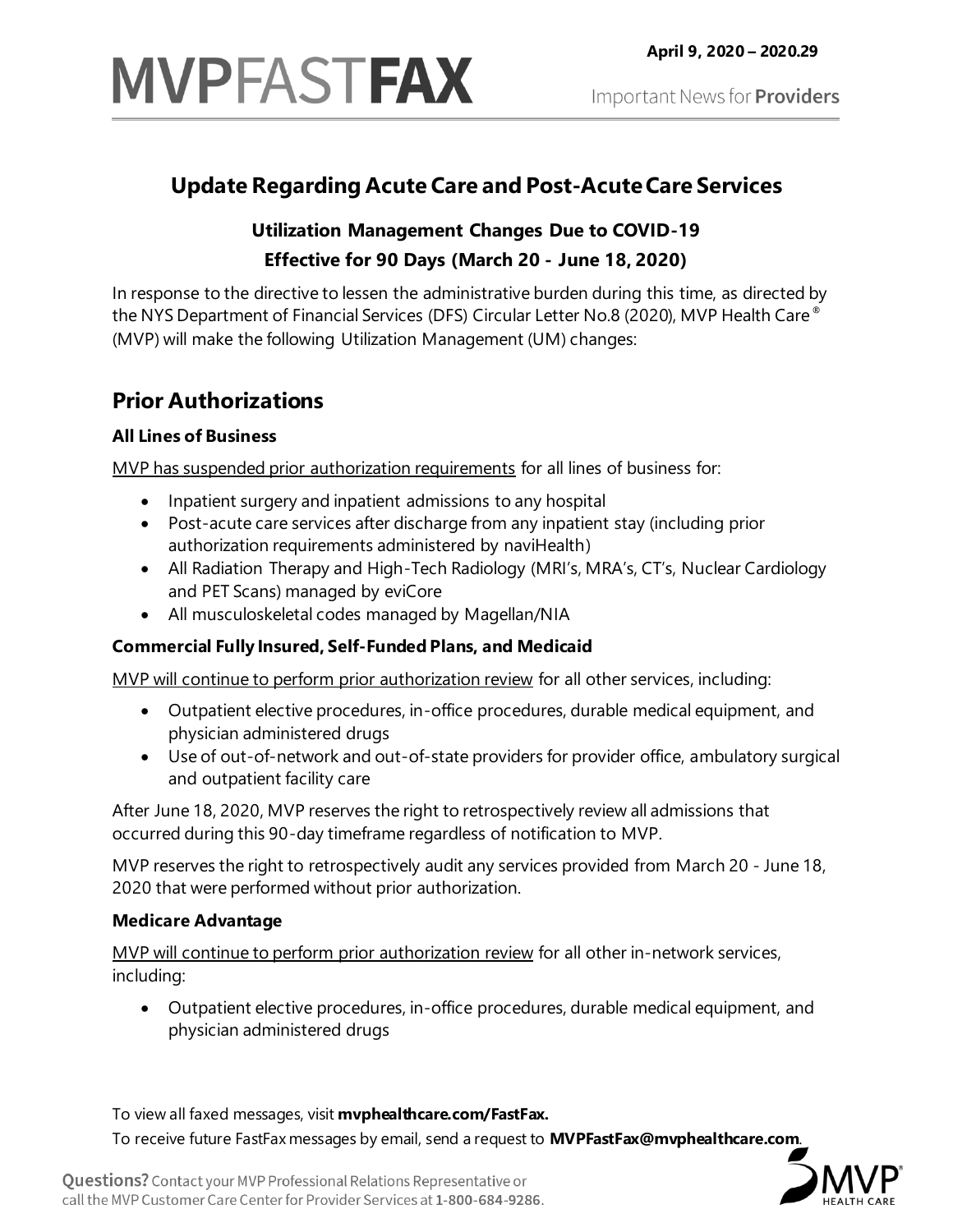

# **Update Regarding Acute Care and Post-AcuteCare Services**

# **Utilization Management Changes Due to COVID-19 Effective for 90 Days (March 20 - June 18, 2020)**

In response to the directive to lessen the administrative burden during this time, as directed by the NYS Department of Financial Services (DFS) Circular Letter No.8 (2020), MVP Health Care® (MVP) will make the following Utilization Management (UM) changes:

# **Prior Authorizations**

## **All Lines of Business**

MVP has suspended prior authorization requirements for all lines of business for:

- Inpatient surgery and inpatient admissions to any hospital
- Post-acute care services after discharge from any inpatient stay (including prior authorization requirements administered by naviHealth)
- All Radiation Therapy and High-Tech Radiology (MRI's, MRA's, CT's, Nuclear Cardiology and PET Scans) managed by eviCore
- All musculoskeletal codes managed by Magellan/NIA

# **Commercial Fully Insured, Self-Funded Plans, and Medicaid**

MVP will continue to perform prior authorization review for all other services, including:

- Outpatient elective procedures, in-office procedures, durable medical equipment, and physician administered drugs
- Use of out-of-network and out-of-state providers for provider office, ambulatory surgical and outpatient facility care

After June 18, 2020, MVP reserves the right to retrospectively review all admissions that occurred during this 90-day timeframe regardless of notification to MVP.

MVP reserves the right to retrospectively audit any services provided from March 20 - June 18, 2020 that were performed without prior authorization.

## **Medicare Advantage**

MVP will continue to perform prior authorization review for all other in-network services, including:

• Outpatient elective procedures, in-office procedures, durable medical equipment, and physician administered drugs

To view all faxed messages, visit **mvphealthcare.com/FastFax.**

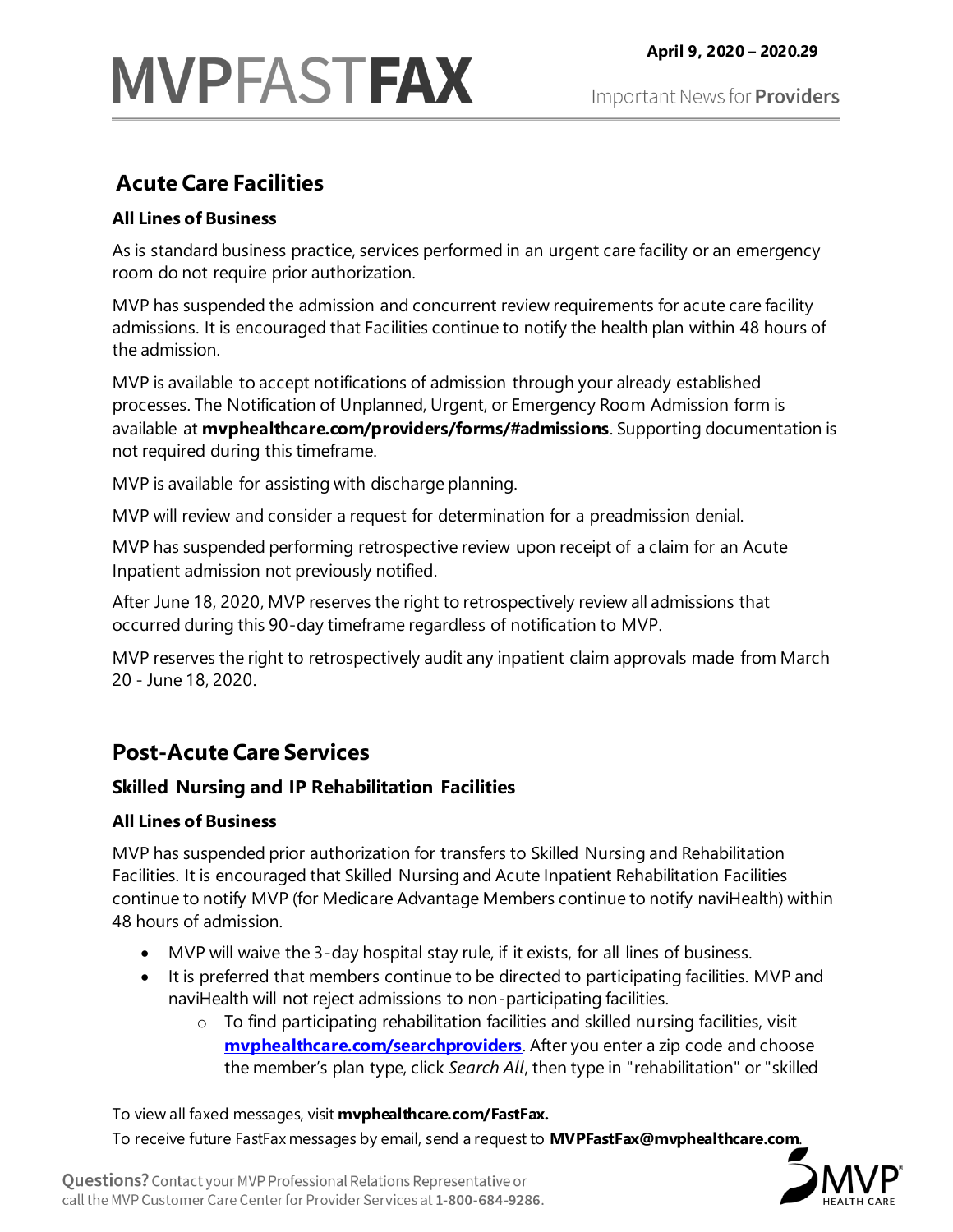# **MVPFASTFAX**

# **Acute Care Facilities**

# **All Lines of Business**

As is standard business practice, services performed in an urgent care facility or an emergency room do not require prior authorization.

MVP has suspended the admission and concurrent review requirements for acute care facility admissions. It is encouraged that Facilities continue to notify the health plan within 48 hours of the admission.

MVP is available to accept notifications of admission through your already established processes. The Notification of Unplanned, Urgent, or Emergency Room Admission form is available at **mvphealthcare.com/providers/forms/#admissions**. Supporting documentation is not required during this timeframe.

MVP is available for assisting with discharge planning.

MVP will review and consider a request for determination for a preadmission denial.

MVP has suspended performing retrospective review upon receipt of a claim for an Acute Inpatient admission not previously notified.

After June 18, 2020, MVP reserves the right to retrospectively review all admissions that occurred during this 90-day timeframe regardless of notification to MVP.

MVP reserves the right to retrospectively audit any inpatient claim approvals made from March 20 - June 18, 2020.

# **Post-Acute Care Services**

# **Skilled Nursing and IP Rehabilitation Facilities**

# **All Lines of Business**

MVP has suspended prior authorization for transfers to Skilled Nursing and Rehabilitation Facilities. It is encouraged that Skilled Nursing and Acute Inpatient Rehabilitation Facilities continue to notify MVP (for Medicare Advantage Members continue to notify naviHealth) within 48 hours of admission.

- MVP will waive the 3-day hospital stay rule, if it exists, for all lines of business.
- It is preferred that members continue to be directed to participating facilities. MVP and naviHealth will not reject admissions to non-participating facilities.
	- o To find participating rehabilitation facilities and skilled nursing facilities, visit **myphealthcare.com/searchproviders**. After you enter a zip code and choose the member's plan type, click *Search All*, then type in "rehabilitation" or "skilled

To view all faxed messages, visit **mvphealthcare.com/FastFax.**

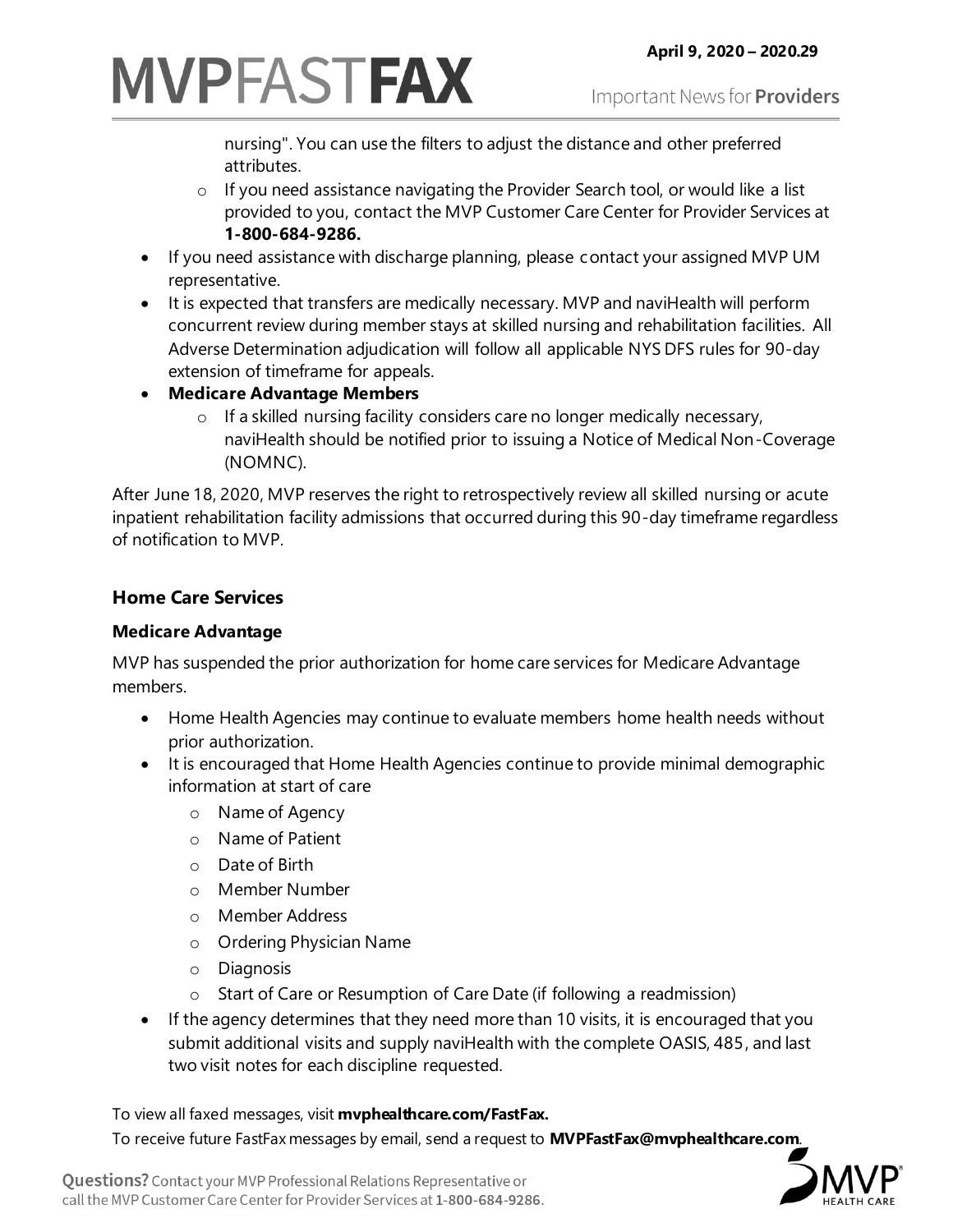# **MVPFASTFAX**

nursing". You can use the filters to adjust the distance and other preferred attributes.

- o If you need assistance navigating the Provider Search tool, or would like a list provided to you, contact the MVP Customer Care Center for Provider Services at **1-800-684-9286.**
- If you need assistance with discharge planning, please contact your assigned MVP UM representative.
- It is expected that transfers are medically necessary. MVP and naviHealth will perform concurrent review during member stays at skilled nursing and rehabilitation facilities. All Adverse Determination adjudication will follow all applicable NYS DFS rules for 90-day extension of timeframe for appeals.
- **Medicare Advantage Members**
	- o If a skilled nursing facility considers care no longer medically necessary, naviHealth should be notified prior to issuing a Notice of Medical Non-Coverage (NOMNC).

After June 18, 2020, MVP reserves the right to retrospectively review all skilled nursing or acute inpatient rehabilitation facility admissions that occurred during this 90-day timeframe regardless of notification to MVP.

# **Home Care Services**

## **Medicare Advantage**

MVP has suspended the prior authorization for home care services for Medicare Advantage members.

- Home Health Agencies may continue to evaluate members home health needs without prior authorization.
- It is encouraged that Home Health Agencies continue to provide minimal demographic information at start of care
	- o Name of Agency
	- o Name of Patient
	- o Date of Birth
	- o Member Number
	- o Member Address
	- o Ordering Physician Name
	- o Diagnosis
	- o Start of Care or Resumption of Care Date (if following a readmission)
- If the agency determines that they need more than 10 visits, it is encouraged that you submit additional visits and supply naviHealth with the complete OASIS, 485, and last two visit notes for each discipline requested.

To view all faxed messages, visit **mvphealthcare.com/FastFax.**

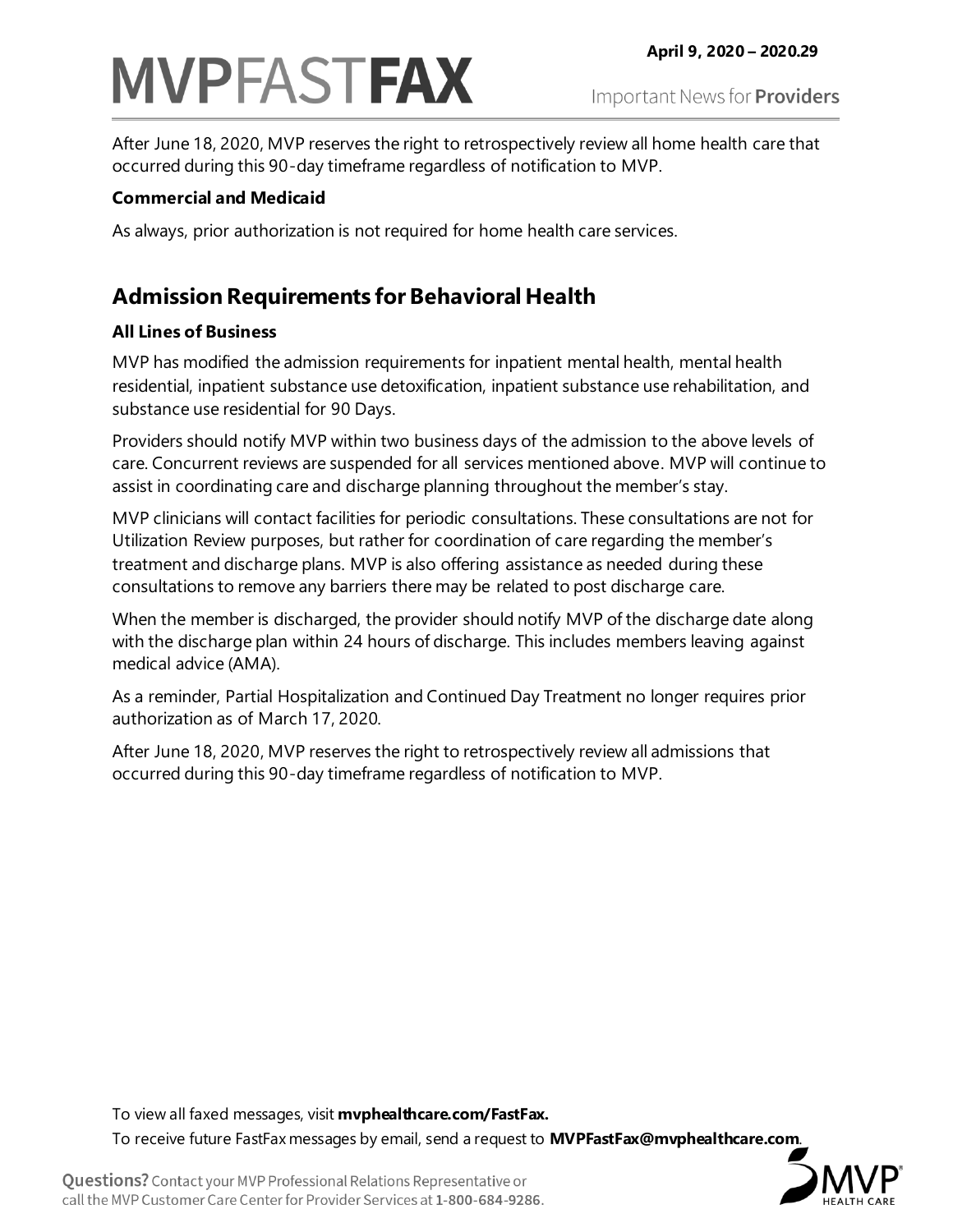# **MVPFASTFAX**

After June 18, 2020, MVP reserves the right to retrospectively review all home health care that occurred during this 90-day timeframe regardless of notification to MVP.

# **Commercial and Medicaid**

As always, prior authorization is not required for home health care services.

# **Admission Requirements for Behavioral Health**

# **All Lines of Business**

MVP has modified the admission requirements for inpatient mental health, mental health residential, inpatient substance use detoxification, inpatient substance use rehabilitation, and substance use residential for 90 Days.

Providers should notify MVP within two business days of the admission to the above levels of care. Concurrent reviews are suspended for all services mentioned above. MVP will continue to assist in coordinating care and discharge planning throughout the member's stay.

MVP clinicians will contact facilities for periodic consultations. These consultations are not for Utilization Review purposes, but rather for coordination of care regarding the member's treatment and discharge plans. MVP is also offering assistance as needed during these consultations to remove any barriers there may be related to post discharge care.

When the member is discharged, the provider should notify MVP of the discharge date along with the discharge plan within 24 hours of discharge. This includes members leaving against medical advice (AMA).

As a reminder, Partial Hospitalization and Continued Day Treatment no longer requires prior authorization as of March 17, 2020.

After June 18, 2020, MVP reserves the right to retrospectively review all admissions that occurred during this 90-day timeframe regardless of notification to MVP.

To view all faxed messages, visit **mvphealthcare.com/FastFax.**

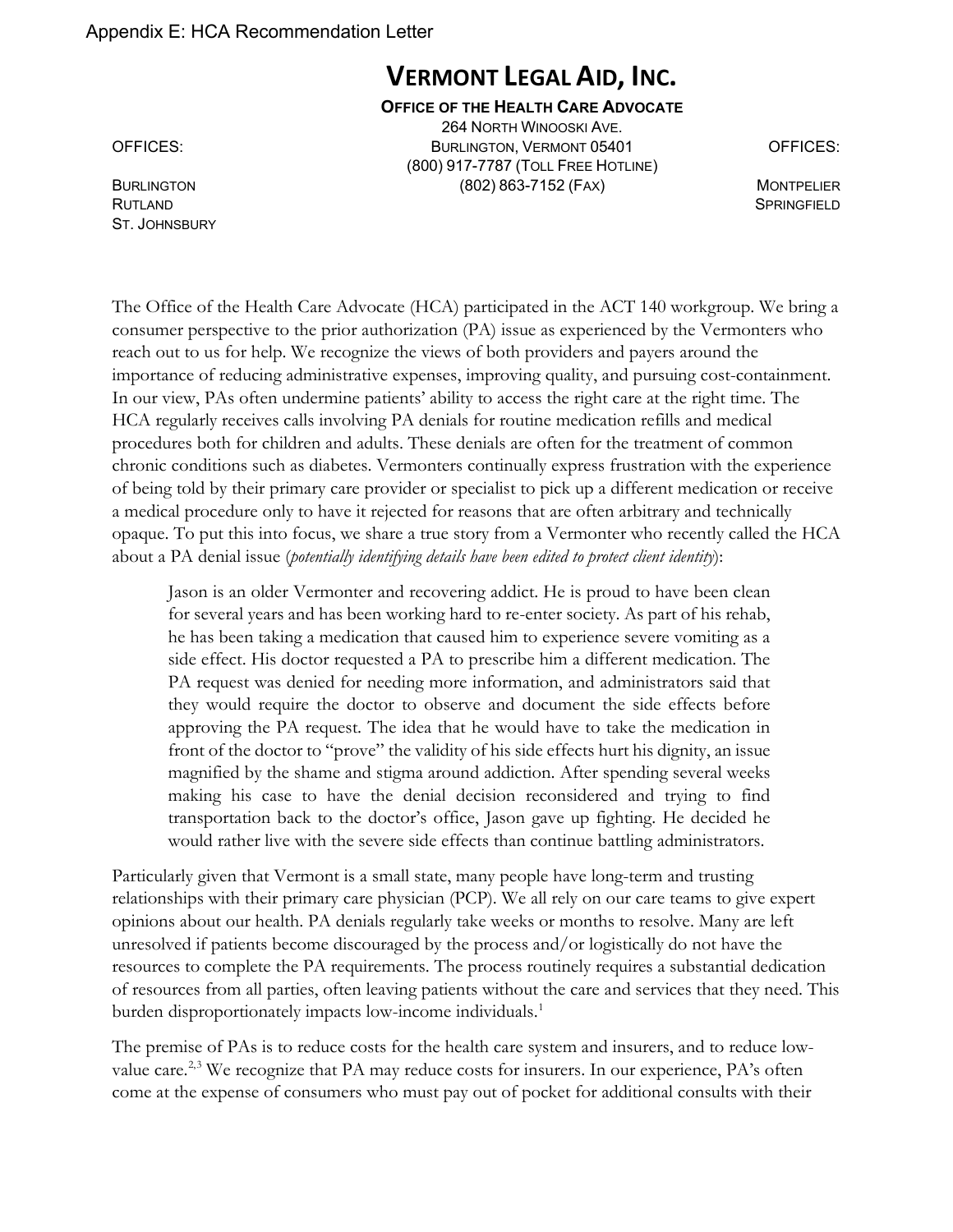Appendix E: HCA Recommendation Letter

# **VERMONT LEGAL AID, INC.**

#### **OFFICE OF THE HEALTH CARE ADVOCATE**

264 NORTH WINOOSKI AVE. OFFICES: BURLINGTON, VERMONT 05401 OFFICES: (800) 917-7787 (TOLL FREE HOTLINE) BURLINGTON **MONTPELIER** (802) 863-7152 (FAX) MONTPELIER

RUTLAND SPRINGFIELD **Service Contract Contract Contract Contract Contract Contract Contract Contract Contract Contract Contract Contract Contract Contract Contract Contract Contract Contract Contract Contract Contract Cont** ST. JOHNSBURY

The Office of the Health Care Advocate (HCA) participated in the ACT 140 workgroup. We bring a consumer perspective to the prior authorization (PA) issue as experienced by the Vermonters who reach out to us for help. We recognize the views of both providers and payers around the importance of reducing administrative expenses, improving quality, and pursuing cost-containment. In our view, PAs often undermine patients' ability to access the right care at the right time. The HCA regularly receives calls involving PA denials for routine medication refills and medical procedures both for children and adults. These denials are often for the treatment of common chronic conditions such as diabetes. Vermonters continually express frustration with the experience of being told by their primary care provider or specialist to pick up a different medication or receive a medical procedure only to have it rejected for reasons that are often arbitrary and technically opaque. To put this into focus, we share a true story from a Vermonter who recently called the HCA about a PA denial issue (*potentially identifying details have been edited to protect client identity*):

Jason is an older Vermonter and recovering addict. He is proud to have been clean for several years and has been working hard to re-enter society. As part of his rehab, he has been taking a medication that caused him to experience severe vomiting as a side effect. His doctor requested a PA to prescribe him a different medication. The PA request was denied for needing more information, and administrators said that they would require the doctor to observe and document the side effects before approving the PA request. The idea that he would have to take the medication in front of the doctor to "prove" the validity of his side effects hurt his dignity, an issue magnified by the shame and stigma around addiction. After spending several weeks making his case to have the denial decision reconsidered and trying to find transportation back to the doctor's office, Jason gave up fighting. He decided he would rather live with the severe side effects than continue battling administrators.

Particularly given that Vermont is a small state, many people have long-term and trusting relationships with their primary care physician (PCP). We all rely on our care teams to give expert opinions about our health. PA denials regularly take weeks or months to resolve. Many are left unresolved if patients become discouraged by the process and/or logistically do not have the resources to complete the PA requirements. The process routinely requires a substantial dedication of resources from all parties, often leaving patients without the care and services that they need. This burden disproportionately impacts low-income individuals.<sup>[1](#page-35-0)</sup>

The premise of PAs is to reduce costs for the health care system and insurers, and to reduce low-value care.<sup>[2](#page-35-1),[3](#page-35-2)</sup> We recognize that PA may reduce costs for insurers. In our experience, PA's often come at the expense of consumers who must pay out of pocket for additional consults with their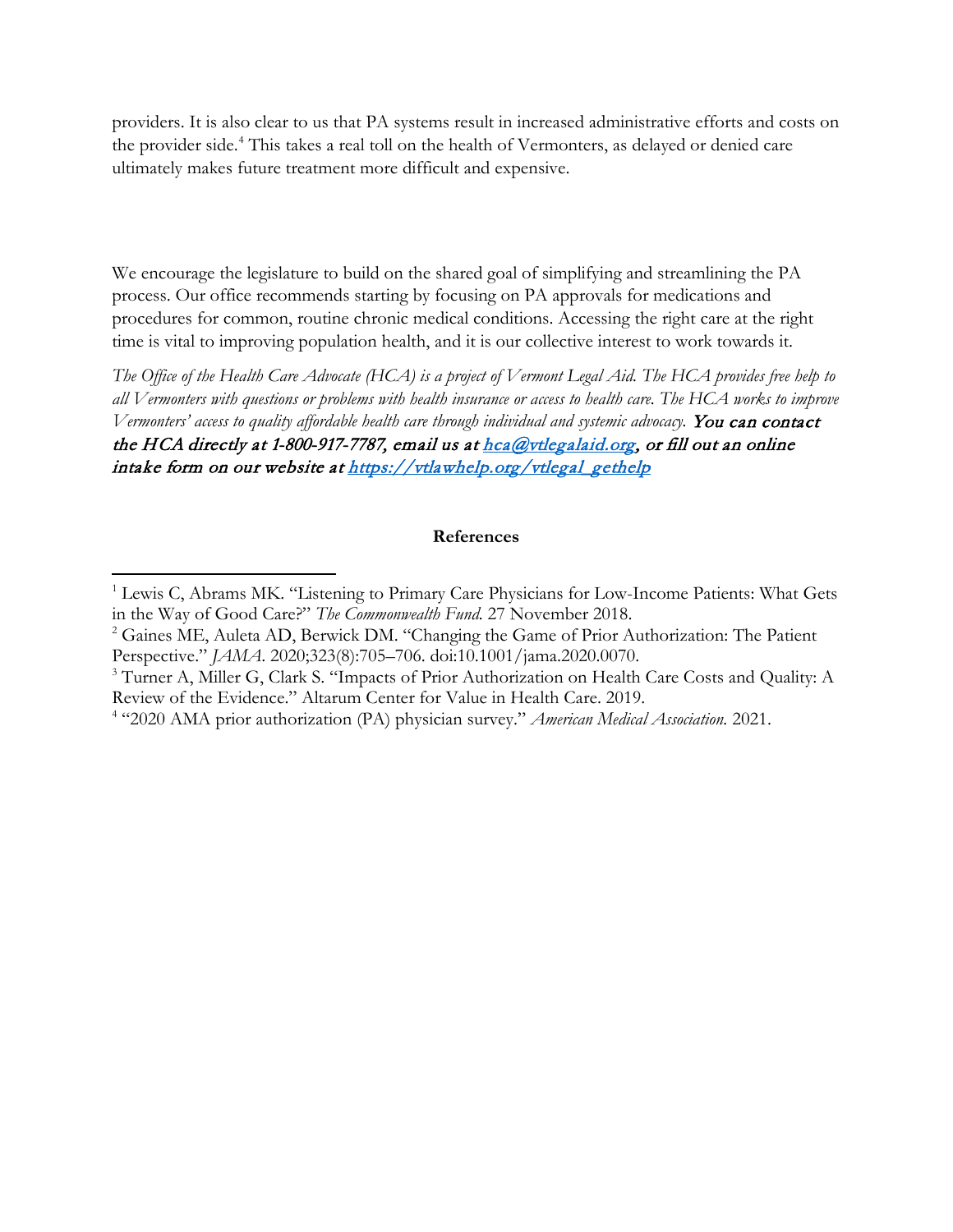providers. It is also clear to us that PA systems result in increased administrative efforts and costs on the provider side.<sup>4</sup> This takes a real toll on the health of Vermonters, as delayed or denied care ultimately makes future treatment more difficult and expensive.

We encourage the legislature to build on the shared goal of simplifying and streamlining the PA process. Our office recommends starting by focusing on PA approvals for medications and procedures for common, routine chronic medical conditions. Accessing the right care at the right time is vital to improving population health, and it is our collective interest to work towards it.

*The Office of the Health Care Advocate (HCA) is a project of Vermont Legal Aid. The HCA provides free help to all Vermonters with questions or problems with health insurance or access to health care. The HCA works to improve Vermonters' access to quality affordable health care through individual and systemic advocacy.* You can contact the HCA directly at 1-800-917-7787, email us a[t hca@vtlegalaid.org,](mailto:hca@vtlegalaid.org) or fill out an online intake form on our website a[t https://vtlawhelp.org/vtlegal\\_gethelp](https://vtlawhelp.org/vtlegal_gethelp)

#### **References**

<span id="page-35-0"></span><sup>&</sup>lt;sup>1</sup> Lewis C, Abrams MK. "Listening to Primary Care Physicians for Low-Income Patients: What Gets in the Way of Good Care?" *The Commonwealth Fund.* 27 November 2018.<br><sup>2</sup> Gaines ME, Auleta AD, Berwick DM. "Changing the Game of Prior Authorization: The Patient

<span id="page-35-1"></span>Perspective." *JAMA*. 2020;323(8):705–706. doi:10.1001/jama.2020.0070.

<span id="page-35-2"></span><sup>&</sup>lt;sup>3</sup> Turner A, Miller G, Clark S. "Impacts of Prior Authorization on Health Care Costs and Ouality: A Review of the Evidence." Altarum Center for Value in Health Care. 2019.

<span id="page-35-3"></span><sup>4</sup> "2020 AMA prior authorization (PA) physician survey." *American Medical Association.* 2021.